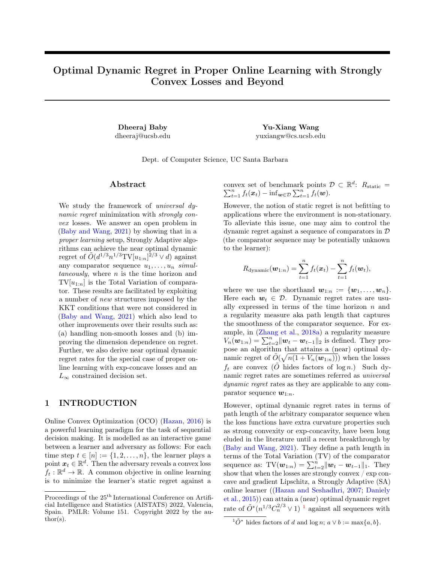# Optimal Dynamic Regret in Proper Online Learning with Strongly Convex Losses and Beyond

Dheeraj Baby Yu-Xiang Wang dheeraj@ucsb.edu yuxiangw@cs.ucsb.edu

Dept. of Computer Science, UC Santa Barbara

### Abstract

We study the framework of *universal dy*namic regret minimization with strongly convex losses. We answer an open problem in [\(Baby and Wang,](#page-8-0) [2021\)](#page-8-0) by showing that in a proper learning setup, Strongly Adaptive algorithms can achieve the near optimal dynamic regret of  $\tilde{O}(d^{1/3}n^{1/3}\text{TV}[u_{1:n}]^{\bar{2}/3} \vee d)$  against any comparator sequence  $u_1, \ldots, u_n$  simultaneously, where  $n$  is the time horizon and  $TV[u_{1:n}]$  is the Total Variation of comparator. These results are facilitated by exploiting a number of new structures imposed by the KKT conditions that were not considered in [\(Baby and Wang,](#page-8-0) [2021\)](#page-8-0) which also lead to other improvements over their results such as: (a) handling non-smooth losses and (b) improving the dimension dependence on regret. Further, we also derive near optimal dynamic regret rates for the special case of proper online learning with exp-concave losses and an  $L_{\infty}$  constrained decision set.

## 1 INTRODUCTION

Online Convex Optimization (OCO) [\(Hazan,](#page-9-0) [2016\)](#page-9-0) is a powerful learning paradigm for the task of sequential decision making. It is modelled as an interactive game between a learner and adversary as follows: For each time step  $t \in [n] := \{1, 2, \ldots, n\}$ , the learner plays a point  $x_t \in \mathbb{R}^d$ . Then the adversary reveals a convex loss  $f_t : \mathbb{R}^d \to \mathbb{R}$ . A common objective in online learning is to minimize the learner's static regret against a convex set of benchmark points  $\mathcal{D} \subset \mathbb{R}^d$ :  $R_{\text{static}} = \sum_{t=1}^n f_t(\boldsymbol{x}_t) - \inf_{\boldsymbol{w} \in \mathcal{D}} \sum_{t=1}^n f_t(\boldsymbol{w})$ .

However, the notion of static regret is not befitting to applications where the environment is non-stationary. To alleviate this issue, one may aim to control the dynamic regret against a sequence of comparators in D (the comparator sequence may be potentially unknown to the learner):

$$
R_{\text{dynamic}}(\boldsymbol{w}_{1:n}) = \sum_{t=1}^{n} f_t(\boldsymbol{x}_t) - \sum_{t=1}^{n} f_t(\boldsymbol{w}_t),
$$

where we use the shorthand  $w_{1:n} := \{w_1, \ldots, w_n\}.$ Here each  $w_t \in \mathcal{D}$ . Dynamic regret rates are usually expressed in terms of the time horizon  $n$  and a regularity measure aka path length that captures the smoothness of the comparator sequence. For example, in [\(Zhang et al.,](#page-9-1) [2018a\)](#page-9-1) a regularity measure  $V_n(\boldsymbol{w}_{1:n}) = \sum_{t=2}^n \|\boldsymbol{w}_t - \boldsymbol{w}_{t-1}\|_2$  is defined. They propose an algorithm that attains a (near) optimal dynamic regret of  $\tilde{O}(\sqrt{n(1 + V_n(\boldsymbol{w}_{1:n})))})$  when the losses  $f_t$  are convex ( $\tilde{O}$  hides factors of log n.) Such dynamic regret rates are sometimes referred as universal dynamic regret rates as they are applicable to any comparator sequence  $w_{1:n}$ .

However, optimal dynamic regret rates in terms of path length of the arbitrary comparator sequence when the loss functions have extra curvature properties such as strong convexity or exp-concavity, have been long eluded in the literature until a recent breakthrough by [\(Baby and Wang,](#page-8-0) [2021\)](#page-8-0). They define a path length in terms of the Total Variation (TV) of the comparator sequence as:  $TV(\bm{w}_{1:n}) = \sum_{t=2}^{n} ||\bm{w}_t - \bm{w}_{t-1}||_1$ . They show that when the losses are strongly convex / exp concave and gradient Lipschitz, a Strongly Adaptive (SA) online learner ([\(Hazan and Seshadhri,](#page-9-2) [2007;](#page-9-2) [Daniely](#page-9-3) [et al.,](#page-9-3) [2015\)](#page-9-3)) can attain a (near) optimal dynamic regret rate of  $\tilde{O}^*(n^{1/3}C_n^{2/3} \vee 1)^{-1}$  $\tilde{O}^*(n^{1/3}C_n^{2/3} \vee 1)^{-1}$  $\tilde{O}^*(n^{1/3}C_n^{2/3} \vee 1)^{-1}$  against all sequences with

Proceedings of the  $25<sup>th</sup>$  International Conference on Artificial Intelligence and Statistics (AISTATS) 2022, Valencia, Spain. PMLR: Volume 151. Copyright 2022 by the author(s).

<span id="page-0-0"></span> ${}^{1}\tilde{O}^*$  hides factors of d and log n;  $a \vee b := \max\{a, b\}.$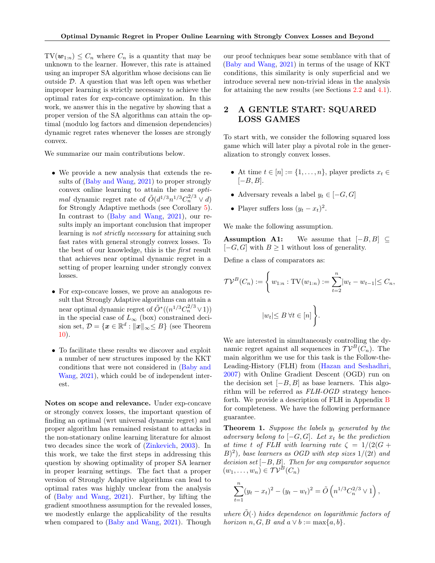$TV(\mathbf{w}_{1:n}) \leq C_n$  where  $C_n$  is a quantity that may be unknown to the learner. However, this rate is attained using an improper SA algorithm whose decisions can lie outside  $D$ . A question that was left open was whether improper learning is strictly necessary to achieve the optimal rates for exp-concave optimization. In this work, we answer this in the negative by showing that a proper version of the SA algorithms can attain the optimal (modulo log factors and dimension dependencies) dynamic regret rates whenever the losses are strongly convex.

We summarize our main contributions below.

- We provide a new analysis that extends the results of [\(Baby and Wang,](#page-8-0) [2021\)](#page-8-0) to proper strongly convex online learning to attain the near optimal dynamic regret rate of  $\tilde{O}(d^{1/3}n^{1/3}C_n^{2/3} \vee d)$ for Strongly Adaptive methods (see Corollary [5\)](#page-5-0). In contrast to [\(Baby and Wang,](#page-8-0) [2021\)](#page-8-0), our results imply an important conclusion that improper learning is not strictly necessary for attaining such fast rates with general strongly convex losses. To the best of our knowledge, this is the first result that achieves near optimal dynamic regret in a setting of proper learning under strongly convex losses.
- For exp-concave losses, we prove an analogous result that Strongly Adaptive algorithms can attain a near optimal dynamic regret of  $\tilde{O}^*((n^{1/3}C_n^{2/3} \vee 1))$ in the special case of  $L_{\infty}$  (box) constrained decision set,  $\mathcal{D} = \{ \boldsymbol{x} \in \mathbb{R}^d : ||\boldsymbol{x}||_{\infty} \leq B \}$  (see Theorem [10\)](#page-7-0).
- To facilitate these results we discover and exploit a number of new structures imposed by the KKT conditions that were not considered in [\(Baby and](#page-8-0) [Wang,](#page-8-0) [2021\)](#page-8-0), which could be of independent interest.

Notes on scope and relevance. Under exp-concave or strongly convex losses, the important question of finding an optimal (wrt universal dynamic regret) and proper algorithm has remained resistant to attacks in the non-stationary online learning literature for almost two decades since the work of [\(Zinkevich,](#page-10-0) [2003\)](#page-10-0). In this work, we take the first steps in addressing this question by showing optimality of proper SA learner in proper learning settings. The fact that a proper version of Strongly Adaptive algorithms can lead to optimal rates was highly unclear from the analysis of [\(Baby and Wang,](#page-8-0) [2021\)](#page-8-0). Further, by lifting the gradient smoothness assumption for the revealed losses, we modestly enlarge the applicability of the results when compared to [\(Baby and Wang,](#page-8-0) [2021\)](#page-8-0). Though our proof techniques bear some semblance with that of [\(Baby and Wang,](#page-8-0) [2021\)](#page-8-0) in terms of the usage of KKT conditions, this similarity is only superficial and we introduce several new non-trivial ideas in the analysis for attaining the new results (see Sections [2.2](#page-2-0) and [4.1\)](#page-7-1).

## <span id="page-1-1"></span>2 A GENTLE START: SQUARED LOSS GAMES

To start with, we consider the following squared loss game which will later play a pivotal role in the generalization to strongly convex losses.

- At time  $t \in [n] := \{1, \ldots, n\}$ , player predicts  $x_t \in$  $[-B, B]$ .
- Adversary reveals a label  $y_t \in [-G, G]$
- Player suffers loss  $(y_t x_t)^2$ .

We make the following assumption.

Assumption A1: We assume that  $[-B, B] \subset$  $[-G, G]$  with  $B \geq 1$  without loss of generality.

Define a class of comparators as:

$$
\mathcal{TV}^B(C_n) := \left\{ w_{1:n} : \mathrm{TV}(w_{1:n}) := \sum_{t=2}^n |w_t - w_{t-1}| \leq C_n, \right\}
$$
  

$$
|w_t| \leq B \ \forall t \in [n] \left.\right\}.
$$

We are interested in simultaneously controlling the dynamic regret against all sequences in  $\mathcal{TV}^B(C_n)$ . The main algorithm we use for this task is the Follow-the-Leading-History (FLH) from [\(Hazan and Seshadhri,](#page-9-2) [2007\)](#page-9-2) with Online Gradient Descent (OGD) run on the decision set  $[-B, B]$  as base learners. This algorithm will be referred as FLH-OGD strategy henceforth. We provide a description of FLH in Appendix [B](#page-11-0) for completeness. We have the following performance guarantee.

<span id="page-1-0"></span>**Theorem 1.** Suppose the labels  $y_t$  generated by the adversary belong to  $[-G, G]$ . Let  $x_t$  be the prediction at time t of FLH with learning rate  $\zeta = 1/(2(G +$  $(B)^2$ ), base learners as OGD with step sizes  $1/(2t)$  and  $\text{decision set } [-B, B]$ . Then for any comparator sequence  $(w_1, \ldots, w_n) \in \mathcal{TV}^B(C_n)$ 

$$
\sum_{t=1}^{n} (y_t - x_t)^2 - (y_t - w_t)^2 = \tilde{O}\left(n^{1/3} C_n^{2/3} \vee 1\right),
$$

where  $\tilde{O}(\cdot)$  hides dependence on logarithmic factors of horizon  $n, G, B$  and  $a \vee b := \max\{a, b\}.$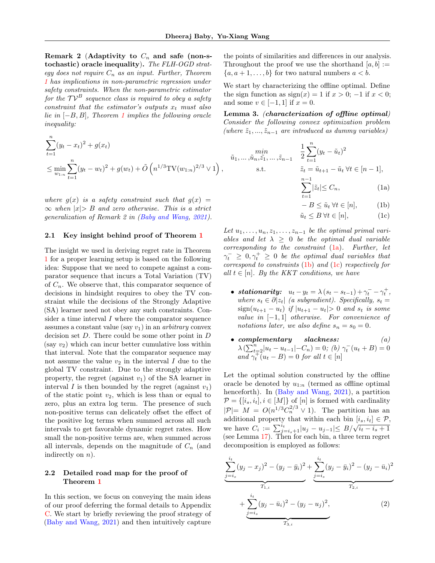,

<span id="page-2-6"></span>Remark 2 (Adaptivity to  $C_n$  and safe (non-stochastic) oracle inequality). The FLH-OGD strategy does not require  $C_n$  as an input. Further, Theorem [1](#page-1-0) has implications in non-parametric regression under safety constraints. When the non-parametric estimator for the  $\mathcal{TV}^B$  sequence class is required to obey a safety constraint that the estimator's outputs  $x_t$  must also lie in  $[-B, B]$ , Theorem [1](#page-1-0) implies the following oracle inequality:

$$
\sum_{t=1}^{n} (y_t - x_t)^2 + g(x_t)
$$
\n
$$
\leq \min_{w_{1:n}} \sum_{t=1}^{n} (y_t - w_t)^2 + g(w_t) + \tilde{O}\left(n^{1/3} \text{TV}(w_{1:n})^{2/3} \vee 1\right)
$$

where  $g(x)$  is a safety constraint such that  $g(x) =$  $\infty$  when  $|x| > B$  and zero otherwise. This is a strict generalization of Remark 2 in [\(Baby and Wang,](#page-8-0) [2021\)](#page-8-0).

#### 2.1 Key insight behind proof of Theorem [1](#page-1-0)

The insight we used in deriving regret rate in Theorem [1](#page-1-0) for a proper learning setup is based on the following idea: Suppose that we need to compete against a comparator sequence that incurs a Total Variation (TV) of  $C_n$ . We observe that, this comparator sequence of decisions in hindsight requires to obey the TV constraint while the decisions of the Strongly Adaptive (SA) learner need not obey any such constraints. Consider a time interval I where the comparator sequence assumes a constant value (say  $v_1$ ) in an *arbitrary* convex decision set  $D$ . There could be some other point in  $D$ (say  $v_2$ ) which can incur better cumulative loss within that interval. Note that the comparator sequence may not assume the value  $v_2$  in the interval I due to the global TV constraint. Due to the strongly adaptive property, the regret (against  $v_1$ ) of the SA learner in interval I is then bounded by the regret (against  $v_1$ ) of the static point  $v_2$ , which is less than or equal to zero, plus an extra log term. The presence of such non-positive terms can delicately offset the effect of the positive log terms when summed across all such intervals to get favorable dynamic regret rates. How small the non-positive terms are, when summed across all intervals, depends on the magnitude of  $C_n$  (and indirectly on  $n$ ).

### <span id="page-2-0"></span>2.2 Detailed road map for the proof of Theorem [1](#page-1-0)

In this section, we focus on conveying the main ideas of our proof deferring the formal details to Appendix [C.](#page-12-0) We start by briefly reviewing the proof strategy of [\(Baby and Wang,](#page-8-0) [2021\)](#page-8-0) and then intuitively capture

the points of similarities and differences in our analysis. Throughout the proof we use the shorthand  $[a, b] :=$  ${a, a+1, \ldots, b}$  for two natural numbers  $a < b$ .

We start by characterizing the offline optimal. Define the sign function as  $sign(x) = 1$  if  $x > 0$ ;  $-1$  if  $x < 0$ ; and some  $v \in [-1, 1]$  if  $x = 0$ .

<span id="page-2-4"></span>Lemma 3. (characterization of offline optimal) Consider the following convex optimization problem (where  $\tilde{z}_1, ..., \tilde{z}_{n-1}$  are introduced as dummy variables)

$$
\tilde{u}_1, \dots, \tilde{u}_n, \tilde{z}_1, \dots, \tilde{z}_{n-1} \quad \frac{1}{2} \sum_{t=1}^n (y_t - \tilde{u}_t)^2
$$
\n
$$
\text{s.t.} \qquad \tilde{z}_t = \tilde{u}_{t+1} - \tilde{u}_t \,\forall t \in [n-1],
$$
\n
$$
\sum_{t=1}^{n-1} |\tilde{z}_t| \le C_n, \qquad (1a)
$$

<span id="page-2-3"></span><span id="page-2-2"></span><span id="page-2-1"></span>
$$
- B \le \tilde{u}_t \,\forall t \in [n], \tag{1b}
$$

$$
\tilde{u}_t \le B \,\forall t \in [n],\tag{1c}
$$

Let  $u_1, \ldots, u_n, z_1, \ldots, z_{n-1}$  be the optimal primal variables and let  $\lambda \geq 0$  be the optimal dual variable corresponding to the constraint  $(1a)$ . Further, let  $\gamma_t^- \geq 0, \gamma_t^+ \geq 0$  be the optimal dual variables that correspond to constraints  $(1b)$  and  $(1c)$  respectively for all  $t \in [n]$ . By the KKT conditions, we have

- stationarity:  $u_t y_t = \lambda (s_t s_{t-1}) + \gamma_t^- \gamma_t^+$ , where  $s_t \in \partial |z_t|$  (a subgradient). Specifically,  $s_t =$  $sign(u_{t+1} - u_t)$  if  $|u_{t+1} - u_t| > 0$  and  $s_t$  is some value in  $[-1, 1]$  otherwise. For convenience of notations later, we also define  $s_n = s_0 = 0$ .
- $\bullet$  complementary slackness:  $\qquad \qquad (a)$  $\lambda \left( \sum_{t=2}^{n} |u_t - u_{t-1}| - C_n \right) = 0;$  (b)  $\gamma_t^-(u_t + B) = 0$ and  $\gamma_t^+ (u_t - B) = 0$  for all  $t \in [n]$

Let the optimal solution constructed by the offline oracle be denoted by  $u_{1:n}$  (termed as offline optimal henceforth). In [\(Baby and Wang,](#page-8-0) [2021\)](#page-8-0), a partition  $\mathcal{P} = \{ [i_s, i_t], i \in [M] \}$  of  $[n]$  is formed with cardinality  $|\mathcal{P}|=M = O(n^{1/3}C_n^{2/3} \vee 1)$ . The partition has an additional property that within each bin  $[i_s, i_t] \in \mathcal{P}$ , we have  $C_i := \sum_{j=i_s+1}^{i_t} |u_j - u_{j-1}| \leq B/\sqrt{i_t - i_s + 1}$ (see Lemma [17\)](#page-15-0). Then for each bin, a three term regret decomposition is employed as follows:

<span id="page-2-5"></span>
$$
\underbrace{\sum_{j=i_s}^{i_t} (y_j - x_j)^2 - (y_j - \bar{y}_i)^2}_{T_{1,i}} + \underbrace{\sum_{j=i_s}^{i_t} (y_j - \bar{y}_i)^2 - (y_j - \bar{u}_i)^2}_{T_{2,i}}_{T_{3,i}} + \underbrace{\sum_{j=i_s}^{i_t} (y_j - \bar{u}_i)^2 - (y_j - u_j)^2}_{T_{3,i}},
$$
\n(2)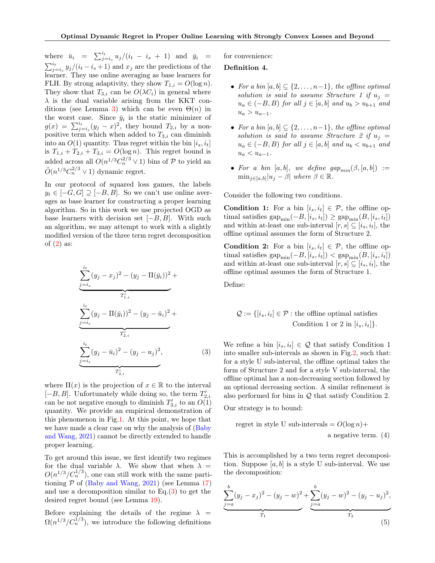where  $\bar{u}_i = \sum_{j=i_s}^{i_t} u_j/(i_t - i_s + 1)$  and  $\bar{y}_i =$  $\sum_{j=i_s}^{i_t} y_j/(i_t - i_s + 1)$  and  $x_j$  are the predictions of the learner. They use online averaging as base learners for FLH. By strong adaptivity, they show  $T_{1,i} = O(\log n)$ . They show that  $T_{3,i}$  can be  $O(\lambda C_i)$  in general where  $\lambda$  is the dual variable arising from the KKT con-ditions (see Lemma [3\)](#page-2-4) which can be even  $\Theta(n)$  in the worst case. Since  $\bar{y}_i$  is the static minimizer of  $g(x) = \sum_{j=i_s}^{i_t} (y_j - x)^2$ , they bound  $T_{2,i}$  by a nonpositive term which when added to  $T_{3,i}$  can diminish into an  $O(1)$  quantity. Thus regret within the bin  $[i_s, i_t]$ is  $T_{1,i} + T_{2,i} + T_{3,i} = O(\log n)$ . This regret bound is added across all  $O(n^{1/3}C_n^{2/3} \vee 1)$  bins of  $P$  to yield an  $\tilde{O}(n^{1/3}C_n^{2/3} \vee 1)$  dynamic regret.

In our protocol of squared loss games, the labels  $y_t \in [-G, G] \supset [-B, B]$ . So we can't use online averages as base learner for constructing a proper learning algorithm. So in this work we use projected OGD as base learners with decision set  $[-B, B]$ . With such an algorithm, we may attempt to work with a slightly modified version of the three term regret decomposition of  $(2)$  as:

$$
\underbrace{\sum_{j=i_s}^{i_t} (y_j - x_j)^2 - (y_j - \Pi(\bar{y}_i))^2 + \cdots + \sum_{j=i_s}^{i_t} (y_j - \Pi(\bar{y}_i))^2 - (y_j - \bar{u}_i)^2 + \cdots + \sum_{j=i_s}^{i_t} (y_j - \bar{u}_i)^2 - (y_j - u_j)^2},
$$
\n
$$
\underbrace{\sum_{j=i_s}^{i_t} (y_j - \bar{u}_i)^2 - (y_j - u_j)^2}_{T'_{3,i}},
$$
\n(3)

where  $\Pi(x)$  is the projection of  $x \in \mathbb{R}$  to the interval  $[-B, B]$ . Unfortunately while doing so, the term  $T'_{2,i}$ can be not negative enough to diminish  $T'_{3,i}$  to an  $O(1)$ quantity. We provide an empirical demonstration of this phenomenon in Fig[.1.](#page-4-0) At this point, we hope that we have made a clear case on why the analysis of [\(Baby](#page-8-0) [and Wang,](#page-8-0) [2021\)](#page-8-0) cannot be directly extended to handle proper learning.

To get around this issue, we first identify two regimes for the dual variable  $\lambda$ . We show that when  $\lambda =$  $O(n^{1/3}/C_n^{1/3})$ , one can still work with the same partitioning  $P$  of [\(Baby and Wang,](#page-8-0) [2021\)](#page-8-0) (see Lemma [17\)](#page-15-0) and use a decomposition similar to  $Eq.(3)$  $Eq.(3)$  to get the desired regret bound (see Lemma [19\)](#page-16-0).

Before explaining the details of the regime  $\lambda =$  $\Omega(n^{1/3}/C_n^{1/3})$ , we introduce the following definitions for convenience:

### <span id="page-3-3"></span>Definition 4.

- For a bin  $[a, b] \subseteq \{2, \ldots, n-1\}$ , the offline optimal solution is said to assume Structure 1 if  $u_i =$  $u_a \in (-B, B)$  for all  $j \in [a, b]$  and  $u_b > u_{b+1}$  and  $u_a > u_{a-1}.$
- For a bin  $[a, b] \subseteq \{2, \ldots, n-1\}$ , the offline optimal solution is said to assume Structure 2 if  $u_i =$  $u_a \in (-B, B)$  for all  $j \in [a, b]$  and  $u_b < u_{b+1}$  and  $u_a < u_{a-1}.$
- For a bin [a, b], we define  $gap_{min}(\beta, [a, b])$  :=  $\min_{j \in [a,b]} |u_j - \beta|$  where  $\beta \in \mathbb{R}$ .

Consider the following two conditions.

**Condition 1:** For a bin  $[i_s, i_t] \in \mathcal{P}$ , the offline optimal satisfies gap<sub>min</sub> $(-B, [i_s, i_t]) \ge$  gap<sub>min</sub> $(B, [i_s, i_t])$ and within at-least one sub-interval  $[r, s] \subseteq [i_s, i_t]$ , the offline optimal assumes the form of Structure 2.

**Condition 2:** For a bin  $[i_s, i_t] \in \mathcal{P}$ , the offline optimal satisfies gap<sub>min</sub> $(-B, [i_s, i_t]) <$  gap<sub>min</sub> $(B, [i_s, i_t])$ and within at-least one sub-interval  $[r, s] \subseteq [i_s, i_t]$ , the offline optimal assumes the form of Structure 1.

Define:

$$
Q := \{ [i_s, i_t] \in \mathcal{P} : \text{the offline optimal satisfies}
$$
  
Condition 1 or 2 in  $[i_s, i_t] \}.$ 

<span id="page-3-0"></span>We refine a bin  $[i_s, i_t] \in \mathcal{Q}$  that satisfy Condition 1 into smaller sub-intervals as shown in Fig[.2,](#page-5-1) such that: for a style U sub-interval, the offline optimal takes the form of Structure 2 and for a style V sub-interval, the offline optimal has a non-decreasing section followed by an optional decreasing section. A similar refinement is also performed for bins in Q that satisfy Condition 2.

Our strategy is to bound:

<span id="page-3-2"></span>regret in style U sub-intervals =  $O(\log n)$ + a negative term. (4)

This is accomplished by a two term regret decomposition. Suppose  $[a, b]$  is a style U sub-interval. We use the decomposition:

<span id="page-3-1"></span>
$$
\underbrace{\sum_{j=a}^{b} (y_j - x_j)^2 - (y_j - w)^2}_{T_1} + \underbrace{\sum_{j=a}^{b} (y_j - w)^2 - (y_j - u_j)^2}_{T_2},
$$
\n(5)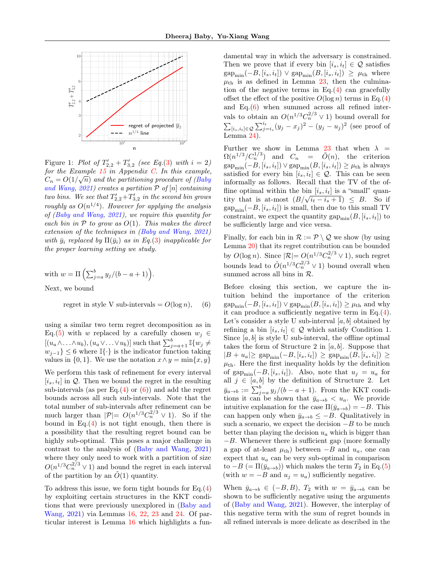<span id="page-4-0"></span>

Figure 1: Plot of  $T'_{2,2} + T'_{3,2}$  (see Eq.[\(3\)](#page-3-0) with  $i = 2$ ) for the Example  $15$  in Appendix  $C$ . In this example,  $C_n = O(1/\sqrt{n})$  and the partitioning procedure of [\(Baby](#page-8-0) [and Wang,](#page-8-0) [2021\)](#page-8-0) creates a partition  $P$  of  $[n]$  containing two bins. We see that  $T'_{2,2}+T'_{3,2}$  in the second bin grows roughly as  $O(n^{1/4})$ . However for applying the analysis of [\(Baby and Wang,](#page-8-0) [2021\)](#page-8-0), we require this quantity for each bin in  $P$  to grow as  $O(1)$ . This makes the direct extension of the techniques in [\(Baby and Wang,](#page-8-0) [2021\)](#page-8-0) with  $\bar{y}_i$  replaced by  $\Pi(\bar{y}_i)$  as in Eq.[\(3\)](#page-3-0) inapplicable for the proper learning setting we study.

with 
$$
w = \Pi \left( \sum_{j=a}^{b} y_j/(b - a + 1) \right)
$$
.  
Next, we bound

regret in style V sub-intervals =  $O(\log n)$ , (6)

using a similar two term regret decomposition as in Eq.[\(5\)](#page-3-1) with w replaced by a carefully chosen  $w_i \in$  $[(u_a\wedge \ldots \wedge u_b), (u_a\vee \ldots \vee u_b)]$  such that  $\sum_{j=a+1}^{b} \mathbb{I}\{w_j \neq b\}$  $w_{j-1}$ } ≤ 6 where  $\mathbb{I}\{\cdot\}$  is the indicator function taking values in  $\{0, 1\}$ . We use the notation  $x \wedge y = \min\{x, y\}$ 

We perform this task of refinement for every interval  $[i_s, i_t]$  in  $\mathcal{Q}$ . Then we bound the regret in the resulting sub-intervals (as per  $Eq.(4)$  $Eq.(4)$  or  $(6)$ ) and add the regret bounds across all such sub-intervals. Note that the total number of sub-intervals after refinement can be much larger than  $|\mathcal{P}| = O(n^{1/3}C_n^{2/3} \vee 1)$ . So if the bound in Eq. $(4)$  is not tight enough, then there is a possibility that the resulting regret bound can be highly sub-optimal. This poses a major challenge in contrast to the analysis of [\(Baby and Wang,](#page-8-0) [2021\)](#page-8-0) where they only need to work with a partition of size  $O(n^{1/3}C_n^{2/3} \vee 1)$  and bound the regret in each interval of the partition by an  $\tilde{O}(1)$  quantity.

To address this issue, we form tight bounds for  $Eq.(4)$  $Eq.(4)$ by exploiting certain structures in the KKT conditions that were previously unexplored in [\(Baby and](#page-8-0) [Wang,](#page-8-0) [2021\)](#page-8-0) via Lemmas [16,](#page-14-0) [22,](#page-19-0) [23](#page-20-0) and [24.](#page-20-1) Of particular interest is Lemma [16](#page-14-0) which highlights a fundamental way in which the adversary is constrained. Then we prove that if every bin  $[i_s, i_t] \in \mathcal{Q}$  satisfies  $\text{gap}_{\text{min}}(-B, [i_s, i_t]) \vee \text{gap}_{\text{min}}(B, [i_s, i_t]) \geq \mu_{\text{th}}$  where  $\mu_{\text{th}}$  is as defined in Lemma [23,](#page-20-0) then the culmination of the negative terms in Eq. $(4)$  can gracefully offset the effect of the positive  $O(\log n)$  terms in Eq.[\(4\)](#page-3-2) and Eq.[\(6\)](#page-4-1) when summed across all refined intervals to obtain an  $O(n^{1/3}C_n^{2/3} \vee 1)$  bound overall for  $\sum_{[i_s,i_t] \in \mathcal{Q}} \sum_{j=i_s}^{i_t} (y_j - x_j)^2 - (y_j - u_j)^2$  (see proof of Lemma [24\)](#page-20-1).

Further we show in Lemma [23](#page-20-0) that when  $\lambda =$  $\Omega(n^{1/3}/C_n^{1/3})$  and  $C_n = \tilde{O}(n)$ , the criterion  $gap_{\text{min}}(-B, [i_s, i_t]) \vee gap_{\text{min}}(B, [i_s, i_t]) \geq \mu_{\text{th}}$  is always satisfied for every bin  $[i_s, i_t] \in \mathcal{Q}$ . This can be seen informally as follows. Recall that the TV of the offline optimal within the bin  $[i_s, i_t]$  is a "small" quantity that is at-most  $(B/\sqrt{i_t - i_s + 1}) \leq B$ . So if  $\text{gap}_{\text{min}}(-B, [i_s, i_t])$  is small, then due to this small TV constraint, we expect the quantity  $\text{gap}_{\text{min}}(B, [i_s, i_t])$  to be sufficiently large and vice versa.

Finally, for each bin in  $\mathcal{R} := \mathcal{P} \setminus \mathcal{Q}$  we show (by using Lemma [20\)](#page-17-0) that its regret contribution can be bounded by  $O(\log n)$ . Since  $|\mathcal{R}| = O(n^{1/3}C_n^{2/3} \vee 1)$ , such regret bounds lead to  $\tilde{O}(n^{1/3}C_n^{2/3} \vee 1)$  bound overall when summed across all bins in R.

<span id="page-4-1"></span>Before closing this section, we capture the intuition behind the importance of the criterion  $\text{gap}_{\text{min}}(-B, [i_s, i_t]) \vee \text{gap}_{\text{min}}(B, [i_s, i_t]) \geq \mu_{\text{th}}$  and why it can produce a sufficiently negative term in Eq.[\(4\)](#page-3-2). Let's consider a style U sub-interval  $[a, b]$  obtained by refining a bin  $[i_s, i_t] \in \mathcal{Q}$  which satisfy Condition 1. Since  $[a, b]$  is style U sub-interval, the offline optimal takes the form of Structure 2 in  $[a, b]$ . Suppose that  $|B + u_a| \ge \text{gap}_{\text{min}}(-B, [i_s, i_t]) \ge \text{gap}_{\text{min}}(B, [i_s, i_t]) \ge$  $\mu_{\text{th}}$ . Here the first inequality holds by the definition of gap<sub>min</sub> $(-B, [i_s, i_t])$ . Also, note that  $u_j = u_a$  for all  $j \in [a, b]$  by the definition of Structure 2. Let  $\bar{y}_{a \to b} := \sum_{j=a}^{b} y_j/(b - a + 1)$ . From the KKT conditions it can be shown that  $\bar{y}_{a\to b} < u_a$ . We provide intuitive explanation for the case  $\Pi(\bar{y}_{a\to b}) = -B$ . This can happen only when  $\bar{y}_{a\to b} \leq -B$ . Qualitatively in such a scenario, we expect the decision  $-B$  to be much better than playing the decision  $u_a$  which is bigger than  $-B$ . Whenever there is sufficient gap (more formally a gap of at-least  $\mu_{\text{th}}$ ) between  $-B$  and  $u_a$ , one can expect that  $u_a$  can be very sub-optimal in comparison to  $-B$  (=  $\Pi(\bar{y}_{a\to b})$ ) which makes the term  $T_2$  in Eq.[\(5\)](#page-3-1) (with  $w = -B$  and  $u_j = u_a$ ) sufficiently negative.

When  $\bar{y}_{a\to b} \in (-B, B)$ ,  $T_2$  with  $w = \bar{y}_{a\to b}$  can be shown to be sufficiently negative using the arguments of [\(Baby and Wang,](#page-8-0) [2021\)](#page-8-0). However, the interplay of this negative term with the sum of regret bounds in all refined intervals is more delicate as described in the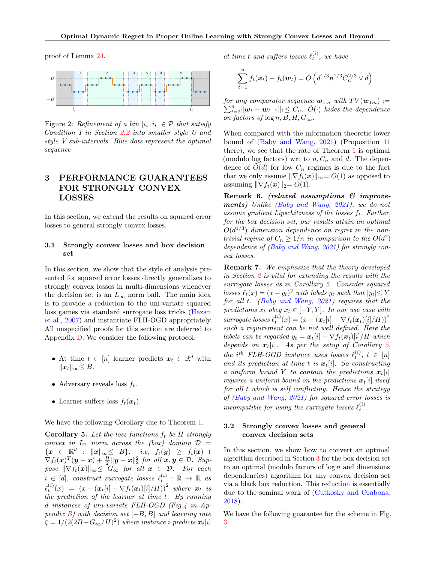proof of Lemma [24.](#page-20-1)

<span id="page-5-1"></span>

Figure 2: Refinement of a bin  $[i_s, i_t] \in \mathcal{P}$  that satisfy Condition 1 in Section [2.2](#page-2-0) into smaller style U and style V sub-intervals. Blue dots represent the optimal sequence

## <span id="page-5-2"></span>3 PERFORMANCE GUARANTEES FOR STRONGLY CONVEX LOSSES

In this section, we extend the results on squared error losses to general strongly convex losses.

### 3.1 Strongly convex losses and box decision set

In this section, we show that the style of analysis presented for squared error losses directly generalizes to strongly convex losses in multi-dimensions whenever the decision set is an  $L_{\infty}$  norm ball. The main idea is to provide a reduction to the uni-variate squared loss games via standard surrogate loss tricks [\(Hazan](#page-9-4) [et al.,](#page-9-4) [2007\)](#page-9-4) and instantiate FLH-OGD appropriately. All unspecified proofs for this section are deferred to Appendix [D.](#page-24-0) We consider the following protocol:

- At time  $t \in [n]$  learner predicts  $x_t \in \mathbb{R}^d$  with  $||x_t||_{\infty} \leq B.$
- Adversary reveals loss  $f_t$ .
- Learner suffers loss  $f_t(\boldsymbol{x}_t)$ .

We have the following Corollary due to Theorem [1.](#page-1-0)

<span id="page-5-0"></span>**Corollary 5.** Let the loss functions  $f_t$  be H strongly convex in  $L_2$  norm across the (box) domain  $\mathcal{D}$  =  $\{x \in \mathbb{R}^d : ||x||_{\infty} \leq B\}.$  i.e,  $f_t(y) \geq f_t(x) +$  $\nabla f_t(\boldsymbol{x})^T(\boldsymbol{y}-\boldsymbol{x}) + \frac{H}{2}\|\boldsymbol{y}-\boldsymbol{x}\|_2^2$  for all  $\boldsymbol{x},\boldsymbol{y}\in\mathcal{D}$ . Suppose  $\|\nabla f_t(\boldsymbol{x})\|_{\infty} \leq G_{\infty}$  for all  $\boldsymbol{x} \in \mathcal{D}$ . For each  $i \in [d]$ , construct surrogate losses  $\ell_t^{(i)} : \mathbb{R} \to \mathbb{R}$  as  $\ell_t^{(i)}(x) = (x - (x_t[i] - \nabla f_t(x_t)[i]/H))^2$  where  $x_t$  is the prediction of the learner at time t. By running d instances of uni-variate FLH-OGD (Fig[.4](#page-12-1) in Ap-pendix [B\)](#page-11-0) with decision set  $[-B, B]$  and learning rate  $\zeta = 1/(2(2B+G_{\infty}/H)^2)$  where instance i predicts  $\boldsymbol{x}_t[i]$ 

at time t and suffers losses  $\ell_t^{(i)}$ , we have

$$
\sum_{t=1}^n f_t(\boldsymbol{x}_t) - f_t(\boldsymbol{w}_t) = \tilde{O}\left(d^{1/3}n^{1/3}C_n^{2/3} \vee d\right),
$$

for any comparator sequence  $\boldsymbol{w}_{1:n}$  with  $TV(\boldsymbol{w}_{1:n}) :=$  $\sum_{t=2}^{n} \lVert \boldsymbol{w}_{t} - \boldsymbol{w}_{t-1} \rVert_1 \leq C_n$ .  $\tilde{O}(\cdot)$  hides the dependence on factors of  $\log n, B, H, G_{\infty}$ .

When compared with the information theoretic lower bound of [\(Baby and Wang,](#page-8-0) [2021\)](#page-8-0) (Proposition 11 there), we see that the rate of Theorem [1](#page-1-0) is optimal (modulo log factors) wrt to  $n, C_n$  and d. The dependence of  $\tilde{O}(d)$  for low  $C_n$  regimes is due to the fact that we only assume  $\|\nabla f_t(\boldsymbol{x})\|_{\infty} = O(1)$  as opposed to assuming  $\|\nabla f_t(\boldsymbol{x})\|_2 = O(1)$ .

Remark 6. (relaxed assumptions & improvements) Unlike [\(Baby and Wang,](#page-8-0) [2021\)](#page-8-0), we do not assume gradient Lipschitzness of the losses  $f_t$ . Further, for the box decision set, our results attain an optimal  $O(d^{1/3})$  dimension dependence on regret in the nontrivial regime of  $C_n \geq 1/n$  in comparison to the  $O(d^2)$ dependence of [\(Baby and Wang,](#page-8-0) [2021\)](#page-8-0) for strongly convex losses.

Remark 7. We emphasize that the theory developed in Section [2](#page-1-1) is vital for extending the results with the surrogate losses as in Corollary [5.](#page-5-0) Consider squared losses  $\ell_t(x) = (x - y_t)^2$  with labels  $y_t$  such that  $|y_t| \leq Y$ for all t. [\(Baby and Wang,](#page-8-0) [2021\)](#page-8-0) requires that the predictions  $x_t$  obey  $x_t \in [-Y, Y]$ . In our use case with surrogate losses  $\ell_t^{(i)}(x) = \left(x - (\boldsymbol{x}_t[i] - \nabla f_t(\boldsymbol{x}_t)[i]/H)\right)^2$ such a requirement can be not well defined. Here the labels can be regarded  $y_t = x_t[i] - \nabla f_t(x_t)[i]/H$  which depends on  $x_t[i]$ . As per the setup of Corollary [5,](#page-5-0) the i<sup>th</sup> FLH-OGD instance uses losses  $\ell_t^{(i)}$ ,  $t \in [n]$ and its prediction at time t is  $x_t[i]$ . So constructing a uniform bound Y to contain the predictions  $x_t[i]$ requires a uniform bound on the predictions  $x_t[i]$  itself for all t which is self conflicting. Hence the strategy of [\(Baby and Wang,](#page-8-0) [2021\)](#page-8-0) for squared error losses is incompatible for using the surrogate losses  $\ell_t^{(i)}$ .

## 3.2 Strongly convex losses and general convex decision sets

In this section, we show how to convert an optimal algorithm described in Section [3](#page-5-2) for the box decision set to an optimal (modulo factors of  $\log n$  and dimensions dependencies) algorithm for any convex decision set via a black box reduction. This reduction is essentially due to the seminal work of [\(Cutkosky and Orabona,](#page-9-5) [2018\)](#page-9-5).

We have the following guarantee for the scheme in Fig. [3.](#page-6-0)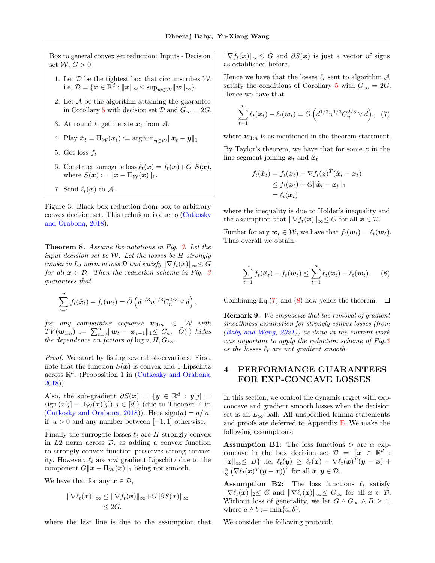<span id="page-6-0"></span>Box to general convex set reduction: Inputs - Decision set  $W, G > 0$ 

- 1. Let  $D$  be the tightest box that circumscribes  $W$ . i.e,  $\mathcal{D} = \{\boldsymbol{x}\in\mathbb{R}^d: \|\boldsymbol{x}\|_{\infty}\leq \sup_{\boldsymbol{w}\in\mathcal{W}}\|\boldsymbol{w}\|_{\infty}\}.$
- 2. Let  $A$  be the algorithm attaining the guarantee in Corollary [5](#page-5-0) with decision set  $\mathcal{D}$  and  $G_{\infty} = 2G$ .
- 3. At round t, get iterate  $x_t$  from  $A$ .
- 4. Play  $\hat{x}_t = \Pi_{\mathcal{W}}(x_t) := \operatorname{argmin}_{\mathbf{u} \in \mathcal{W}} ||x_t \mathbf{y}||_1$ .
- 5. Get loss  $f_t$ .
- 6. Construct surrogate loss  $\ell_t(\boldsymbol{x}) = f_t(\boldsymbol{x})+G\cdot S(\boldsymbol{x}),$ where  $S(\boldsymbol{x}) := ||\boldsymbol{x} - \Pi_{\mathcal{W}}(\boldsymbol{x})||_1.$
- 7. Send  $\ell_t(x)$  to A.

Figure 3: Black box reduction from box to arbitrary convex decision set. This technique is due to [\(Cutkosky](#page-9-5) [and Orabona,](#page-9-5) [2018\)](#page-9-5).

Theorem 8. Assume the notations in Fig. [3.](#page-6-0) Let the input decision set be W. Let the losses be H strongly convex in  $L_2$  norm across D and satisfy  $\|\nabla f_t(\boldsymbol{x})\|_{\infty} \leq G$ for all  $x \in \mathcal{D}$ . Then the reduction scheme in Fig. [3](#page-6-0) guarantees that

$$
\sum_{t=1}^{n} f_t(\hat{\bm{x}}_t) - f_t(\bm{w}_t) = \tilde{O}\left(d^{1/3} n^{1/3} C_n^{2/3} \vee d\right),
$$

for any comparator sequence  $\mathbf{w}_{1:n} \in \mathcal{W}$  with  $TV(\boldsymbol{w}_{1:n}) := \sum_{t=2}^n \|\boldsymbol{w}_t - \boldsymbol{w}_{t-1}\|_1 \leq C_n.$   $\tilde{O}(\cdot)$  hides the dependence on factors of  $\log n, H, G_{\infty}$ .

Proof. We start by listing several observations. First, note that the function  $S(x)$  is convex and 1-Lipschitz across  $\mathbb{R}^d$ . (Proposition 1 in [\(Cutkosky and Orabona,](#page-9-5) [2018\)](#page-9-5)).

Also, the sub-gradient  $\partial S(x) = \{y \in \mathbb{R}^d : y[j] =$  $sign(x[j] - \Pi_W(x)[j])$   $j \in [d]$  (due to Theorem 4 in [\(Cutkosky and Orabona,](#page-9-5) [2018\)](#page-9-5)). Here  $sign(a) = a/|a|$ if  $|a|>0$  and any number between  $[-1, 1]$  otherwise.

Finally the surrogate losses  $\ell_t$  are H strongly convex in  $L2$  norm across  $D$ , as adding a convex function to strongly convex function preserves strong convexity. However,  $\ell_t$  are not gradient Lipschitz due to the component  $G||x - \Pi_{\mathcal{W}}(x)||_1$  being not smooth.

We have that for any  $x \in \mathcal{D}$ ,

$$
\|\nabla \ell_t(\boldsymbol{x})\|_{\infty} \leq \|\nabla f_t(\boldsymbol{x})\|_{\infty} + G \|\partial S(\boldsymbol{x})\|_{\infty} \leq 2G,
$$

where the last line is due to the assumption that

 $\|\nabla f_t(\boldsymbol{x})\|_{\infty} \leq G$  and  $\partial S(\boldsymbol{x})$  is just a vector of signs as established before.

Hence we have that the losses  $\ell_t$  sent to algorithm  $A$ satisfy the conditions of Corollary [5](#page-5-0) with  $G_{\infty} = 2G$ . Hence we have that

<span id="page-6-1"></span>
$$
\sum_{t=1}^{n} \ell_t(\boldsymbol{x}_t) - \ell_t(\boldsymbol{w}_t) = \tilde{O}\left(d^{1/3} n^{1/3} C_n^{2/3} \vee d\right), \tag{7}
$$

where  $w_{1:n}$  is as mentioned in the theorem statement.

By Taylor's theorem, we have that for some  $z$  in the line segment joining  $x_t$  and  $\hat{x}_t$ 

$$
f_t(\hat{\boldsymbol{x}}_t) = f_t(\boldsymbol{x}_t) + \nabla f_t(\boldsymbol{z})^T (\hat{\boldsymbol{x}}_t - \boldsymbol{x}_t) \\ \leq f_t(\boldsymbol{x}_t) + G \|\hat{\boldsymbol{x}}_t - \boldsymbol{x}_t\|_1 \\ = \ell_t(\boldsymbol{x}_t)
$$

where the inequality is due to Holder's inequality and the assumption that  $\|\nabla f_t(\boldsymbol{x})\|_{\infty} \leq G$  for all  $\boldsymbol{x} \in \mathcal{D}$ .

Further for any  $w_t \in W$ , we have that  $f_t(w_t) = \ell_t(w_t)$ . Thus overall we obtain,

<span id="page-6-2"></span>
$$
\sum_{t=1}^{n} f_t(\hat{\boldsymbol{x}}_t) - f_t(\boldsymbol{w}_t) \leq \sum_{t=1}^{n} \ell_t(\boldsymbol{x}_t) - \ell_t(\boldsymbol{w}_t). \tag{8}
$$

Combining Eq.[\(7\)](#page-6-1) and [\(8\)](#page-6-2) now yeilds the theorem.  $\Box$ 

**Remark 9.** We emphasize that the removal of gradient smoothness assumption for strongly convex losses (from [\(Baby and Wang,](#page-8-0) [2021\)](#page-8-0)) as done in the current work was important to apply the reduction scheme of Fig[.3](#page-6-0) as the losses  $\ell_t$  are not gradient smooth.

## <span id="page-6-3"></span>4 PERFORMANCE GUARANTEES FOR EXP-CONCAVE LOSSES

In this section, we control the dynamic regret with expconcave and gradient smooth losses when the decision set is an  $L_{\infty}$  ball. All unspecified lemma statements and proofs are deferred to Appendix  $E$ . We make the following assumptions:

**Assumption B1:** The loss functions  $\ell_t$  are  $\alpha$  expconcave in the box decision set  $\mathcal{D} = \{x \in \mathbb{R}^d :$  $||\boldsymbol{x}||_{\infty} \leq B$ } .ie,  $\ell_t(\boldsymbol{y}) \geq \ell_t(\boldsymbol{x}) + \nabla \ell_t(\boldsymbol{x})^T(\boldsymbol{y} - \boldsymbol{x}) +$  $\frac{\alpha}{2} \left( \nabla \ell_t(\boldsymbol{x})^T (\boldsymbol{y} - \boldsymbol{x}) \right)^2 \text{ for all } \boldsymbol{x}, \boldsymbol{y} \in \mathcal{D}.$ 

**Assumption B2:** The loss functions  $\ell_t$  satisfy  $\|\nabla \ell_t(\boldsymbol{x})\|_2 \leq G$  and  $\|\nabla \ell_t(\boldsymbol{x})\|_{\infty} \leq G_{\infty}$  for all  $\boldsymbol{x} \in \mathcal{D}$ . Without loss of generality, we let  $G \wedge G_{\infty} \wedge B \geq 1$ , where  $a \wedge b := \min\{a, b\}.$ 

We consider the following protocol: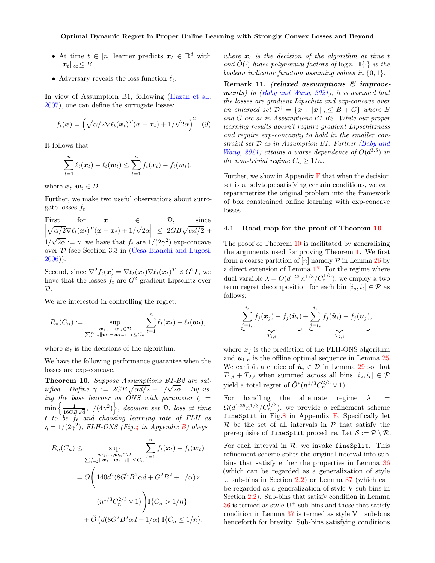- At time  $t \in [n]$  learner predicts  $x_t \in \mathbb{R}^d$  with  $||x_t||_{\infty} \leq B.$
- Adversary reveals the loss function  $\ell_t$ .

In view of Assumption B1, following [\(Hazan et al.,](#page-9-4) [2007\)](#page-9-4), one can define the surrogate losses:

$$
f_t(\boldsymbol{x}) = \left(\sqrt{\alpha/2} \nabla \ell_t(\boldsymbol{x}_t)^T (\boldsymbol{x} - \boldsymbol{x}_t) + 1/\sqrt{2\alpha}\right)^2.
$$
 (9)

It follows that

$$
\sum_{t=1}^n \ell_t(\boldsymbol{x}_t) - \ell_t(\boldsymbol{w}_t) \leq \sum_{t=1}^n f_t(\boldsymbol{x}_t) - f_t(\boldsymbol{w}_t),
$$

where  $x_t, w_t \in \mathcal{D}$ .

Further, we make two useful observations about surrogate losses  $f_t$ .

First for  $x \in \mathcal{D}$ , since  $\left|\sqrt{\alpha/2} \nabla \ell_t(\bm{x}_t)^T(\bm{x} - \bm{x}_t) + 1/\sqrt{2\alpha}\right| \leq 2GB\sqrt{\alpha d/2} +$  $\overline{\phantom{a}}$  $1/\sqrt{2\alpha} := \gamma$ , we have that  $f_t$  are  $1/(2\gamma^2)$  exp-concave over D (see Section 3.3 in [\(Cesa-Bianchi and Lugosi,](#page-8-1) [2006\)](#page-8-1)).

Second, since  $\nabla^2 f_t(\boldsymbol{x}) = \nabla \ell_t(\boldsymbol{x}_t) \nabla \ell_t(\boldsymbol{x}_t)^T \preccurlyeq G^2 \boldsymbol{I}$ , we have that the losses  $f_t$  are  $G^2$  gradient Lipschitz over  $\mathcal{D}.$ 

We are interested in controlling the regret:

$$
R_n(C_n) := \sup_{\substack{\boldsymbol{w}_1,\ldots,\boldsymbol{w}_n \in \mathcal{D}\\ \sum_{t=2}^n \|\boldsymbol{w}_t - \boldsymbol{w}_{t-1}\|_1 \leq C_n}} \sum_{t=1}^n \ell_t(\boldsymbol{x}_t) - \ell_t(\boldsymbol{w}_t),
$$

where  $x_t$  is the decisions of the algorithm.

We have the following performance guarantee when the losses are exp-concave.

<span id="page-7-0"></span>Theorem 10. Suppose Assumptions B1-B2 are satisfied. Define  $\gamma := 2GB\sqrt{\alpha d/2} + 1/\sqrt{2\alpha}$ . By using the base learner as ONS with parameter  $\zeta =$  $\left\{\frac{1}{16GB\sqrt{d}},1/(4\gamma^2)\right\}$ , decision set  $\mathcal{D},$  loss at time t to be  $f_t$  and choosing learning rate of FLH as  $\eta = 1/(2\gamma^2)$ , FLH-ONS (Fig[.4](#page-12-1) in Appendix [B\)](#page-11-0) obeys

$$
R_n(C_n) \leq \sup_{\substack{\mathbf{w}_1, \dots, \mathbf{w}_n \in \mathcal{D} \\ \sum_{t=2}^n ||\mathbf{w}_t - \mathbf{w}_{t-1}||_1 \leq C_n}} \sum_{t=1}^n f_t(\mathbf{x}_t) - f_t(\mathbf{w}_t)
$$
  
=  $\tilde{O}\left(140d^2(8G^2B^2\alpha d + G^2B^2 + 1/\alpha) \times (n^{1/3}C_n^{2/3} \vee 1)\right) \mathbb{I}\left\{C_n > 1/n\right\}$   
+  $\tilde{O}\left(d(8G^2B^2\alpha d + 1/\alpha)\mathbb{I}\left\{C_n \leq 1/n\right\},\right.$ 

where  $x_t$  is the decision of the algorithm at time t and  $\tilde{O}(\cdot)$  hides polynomial factors of  $\log n$ .  $\mathbb{I}\{\cdot\}$  is the boolean indicator function assuming values in  ${0, 1}$ .

<span id="page-7-2"></span>Remark 11. (relaxed assumptions  $\mathcal{B}$  improve-ments) In [\(Baby and Wang,](#page-8-0) [2021\)](#page-8-0), it is assumed that the losses are gradient Lipschitz and exp-concave over an enlarged set  $\mathcal{D}^{\dagger} = \{ \boldsymbol{x} : ||\boldsymbol{x}||_{\infty} \leq B + G \}$  where B and G are as in Assumptions B1-B2. While our proper learning results doesn't require gradient Lipschitzness and require exp-concavity to hold in the smaller constraint set D as in Assumption B1. Further [\(Baby and](#page-8-0) [Wang,](#page-8-0) [2021\)](#page-8-0) attains a worse dependence of  $O(d^{3.5})$  in the non-trivial regime  $C_n \geq 1/n$ .

[F](#page-40-0)urther, we show in Appendix  $\bf{F}$  that when the decision set is a polytope satisfying certain conditions, we can reparametrize the original problem into the framework of box constrained online learning with exp-concave losses.

#### <span id="page-7-1"></span>4.1 Road map for the proof of Theorem [10](#page-7-0)

The proof of Theorem [10](#page-7-0) is facilitated by generalising the arguments used for proving Theorem [1.](#page-1-0) We first form a coarse partition of  $[n]$  namely  $P$  in Lemma [26](#page-26-0) by a direct extension of Lemma [17.](#page-15-0) For the regime where dual varaible  $\lambda = O(d^{1.25}n^{1/3}/C_n^{1/3})$ , we employ a two term regret decomposition for each bin  $[i_s, i_t] \in \mathcal{P}$  as follows:

$$
\underbrace{\sum_{j=i_s}^{i_t} f_j(\boldsymbol{x}_j) - f_j(\boldsymbol{\check{u}}_i)}_{T_{1,i}} + \underbrace{\sum_{j=i_s}^{i_t} f_j(\boldsymbol{\check{u}}_i) - f_j(\boldsymbol{u}_j)}_{T_{2,i}},
$$

where  $x_i$  is the prediction of the FLH-ONS algorithm and  $u_{1:n}$  is the offline optimal sequence in Lemma [25.](#page-25-1) We exhibit a choice of  $\check{u}_i \in \mathcal{D}$  in Lemma [29](#page-26-1) so that  $T_{1,i} + T_{2,i}$  when summed across all bins  $[i_s, i_t] \in \mathcal{P}$ yield a total regret of  $\tilde{O}^*(n^{1/3}C_n^{2/3} \vee 1)$ .

For handling the alternate regime  $\lambda$  =  $\Omega(d^{1.25}n^{1/3}/C_n^{1/3}),$  we provide a refinement scheme fineSplit in Fig. $8$  in Appendix [E.](#page-25-0) Specifically let  $\mathcal R$  be the set of all intervals in  $\mathcal P$  that satisfy the prerequisite of fineSplit procedure. Let  $S := \mathcal{P} \setminus \mathcal{R}$ .

For each interval in  $R$ , we invoke fineSplit. This refinement scheme splits the original interval into subbins that satisfy either the properties in Lemma [36](#page-34-1) (which can be regarded as a generalization of style U sub-bins in Section [2.2\)](#page-2-0) or Lemma [37](#page-35-0) (which can be regarded as a generalization of style V sub-bins in Section [2.2\)](#page-2-0). Sub-bins that satisfy condition in Lemma  $36$  is termed as style U<sup>+</sup> sub-bins and those that satisfy condition in Lemma [37](#page-35-0) is termed as style  $V^+$  sub-bins henceforth for brevity. Sub-bins satisfying conditions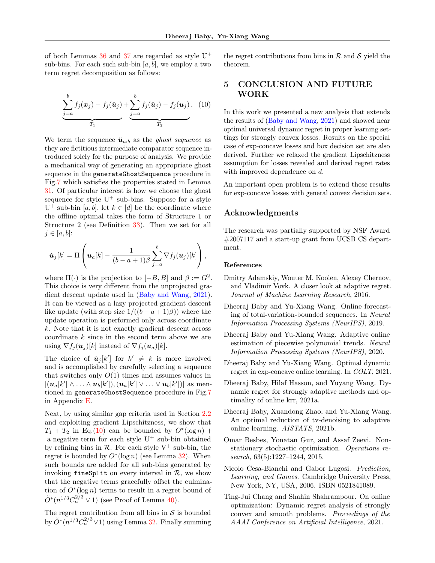of both Lemmas [36](#page-34-1) and [37](#page-35-0) are regarded as style  $U^+$ sub-bins. For each such sub-bin  $[a, b]$ , we employ a two term regret decomposition as follows:

$$
\underbrace{\sum_{j=a}^{b} f_j(\boldsymbol{x}_j) - f_j(\boldsymbol{\check{u}}_j)}_{T_1} + \underbrace{\sum_{j=a}^{b} f_j(\boldsymbol{\check{u}}_j) - f_j(\boldsymbol{u}_j)}_{T_2}.
$$
 (10)

We term the sequence  $\check{u}_{a:b}$  as the ghost sequence as they are fictitious intermediate comparator sequence introduced solely for the purpose of analysis. We provide a mechanical way of generating an appropriate ghost sequence in the generateGhostSequence procedure in Fig[.7](#page-28-0) which satisfies the properties stated in Lemma [31.](#page-27-0) Of particular interest is how we choose the ghost sequence for style  $U^+$  sub-bins. Suppose for a style U<sup>+</sup> sub-bin [a, b], let  $k \in [d]$  be the coordinate where the offline optimal takes the form of Structure 1 or Structure 2 (see Definition [33\)](#page-30-0). Then we set for all  $j \in [a, b]$ :

$$
\tilde{\boldsymbol{u}}_j[k] = \Pi \left( \boldsymbol{u}_a[k] - \frac{1}{(b-a+1)\beta} \sum_{j=a}^b \nabla f_j(\boldsymbol{u}_j)[k] \right),
$$

where  $\Pi(\cdot)$  is the projection to  $[-B, B]$  and  $\beta := G^2$ . This choice is very different from the unprojected gradient descent update used in [\(Baby and Wang,](#page-8-0) [2021\)](#page-8-0). It can be viewed as a lazy projected gradient descent like update (with step size  $1/((b - a + 1)\beta)$ ) where the update operation is performed only across coordinate k. Note that it is not exactly gradient descent across coordinate k since in the second term above we are using  $\nabla f_j(\boldsymbol{u}_j)[k]$  instead of  $\nabla f_j(\boldsymbol{u}_a)[k]$ .

The choice of  $\check{u}_j[k']$  for  $k' \neq k$  is more involved and is accomplished by carefully selecting a sequence that switches only  $O(1)$  times and assumes values in  $[(\boldsymbol{u}_a[k'] \wedge \ldots \wedge \boldsymbol{u}_b[k']),(\boldsymbol{u}_a[k'] \vee \ldots \vee \boldsymbol{u}_b[k'])]$  as mentioned in generateGhostSequence procedure in Fig[.7](#page-28-0) in Appendix [E.](#page-25-0)

Next, by using similar gap criteria used in Section [2.2](#page-2-0) and exploiting gradient Lipschitzness, we show that  $T_1 + T_2$  in Eq.[\(10\)](#page-8-2) can be bounded by  $O^*(\log n)$  + a negative term for each style  $U^+$  sub-bin obtained by refining bins in  $\mathcal{R}$ . For each style  $V^+$  sub-bin, the regret is bounded by  $O^*(\log n)$  (see Lemma [32\)](#page-29-0). When such bounds are added for all sub-bins generated by invoking fineSplit on every interval in  $R$ , we show that the negative terms gracefully offset the culmination of  $O<sup>*</sup>(\log n)$  terms to result in a regret bound of  $\tilde{O}^*(n^{1/3}C_n^{2/3} \vee 1)$  (see Proof of Lemma [40\)](#page-37-0).

The regret contribution from all bins in  $S$  is bounded by  $\tilde{O}^*(n^{1/3}C_n^{2/3} \vee 1)$  using Lemma [32.](#page-29-0) Finally summing

the regret contributions from bins in  $R$  and  $S$  yield the theorem.

## 5 CONCLUSION AND FUTURE WORK

<span id="page-8-2"></span>In this work we presented a new analysis that extends the results of [\(Baby and Wang,](#page-8-0) [2021\)](#page-8-0) and showed near optimal universal dynamic regret in proper learning settings for strongly convex losses. Results on the special case of exp-concave losses and box decision set are also derived. Further we relaxed the gradient Lipschitzness assumption for losses revealed and derived regret rates with improved dependence on d.

An important open problem is to extend these results for exp-concave losses with general convex decision sets.

## Acknowledgments

The research was partially supported by NSF Award #2007117 and a start-up grant from UCSB CS department.

### References

- <span id="page-8-9"></span>Dmitry Adamskiy, Wouter M. Koolen, Alexey Chernov, and Vladimir Vovk. A closer look at adaptive regret. Journal of Machine Learning Research, 2016.
- <span id="page-8-4"></span>Dheeraj Baby and Yu-Xiang Wang. Online forecasting of total-variation-bounded sequences. In Neural Information Processing Systems (NeurIPS), 2019.
- <span id="page-8-5"></span>Dheeraj Baby and Yu-Xiang Wang. Adaptive online estimation of piecewise polynomial trends. Neural Information Processing Systems (NeurIPS), 2020.
- <span id="page-8-0"></span>Dheeraj Baby and Yu-Xiang Wang. Optimal dynamic regret in exp-concave online learning. In COLT, 2021.
- <span id="page-8-8"></span>Dheeraj Baby, Hilaf Hasson, and Yuyang Wang. Dynamic regret for strongly adaptive methods and optimality of online krr, 2021a.
- <span id="page-8-6"></span>Dheeraj Baby, Xuandong Zhao, and Yu-Xiang Wang. An optimal reduction of tv-denoising to adaptive online learning. AISTATS, 2021b.
- <span id="page-8-3"></span>Omar Besbes, Yonatan Gur, and Assaf Zeevi. Nonstationary stochastic optimization. Operations research, 63(5):1227–1244, 2015.
- <span id="page-8-1"></span>Nicolo Cesa-Bianchi and Gabor Lugosi. Prediction, Learning, and Games. Cambridge University Press, New York, NY, USA, 2006. ISBN 0521841089.
- <span id="page-8-7"></span>Ting-Jui Chang and Shahin Shahrampour. On online optimization: Dynamic regret analysis of strongly convex and smooth problems. Proceedings of the AAAI Conference on Artificial Intelligence, 2021.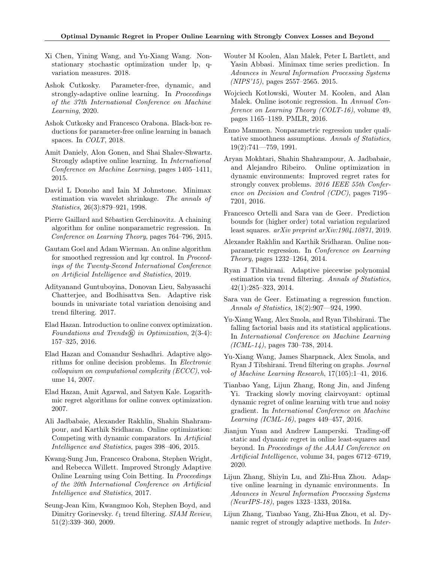- <span id="page-9-9"></span>Xi Chen, Yining Wang, and Yu-Xiang Wang. Nonstationary stochastic optimization under lp, qvariation measures. 2018.
- <span id="page-9-13"></span>Ashok Cutkosky. Parameter-free, dynamic, and strongly-adaptive online learning. In Proceedings of the 37th International Conference on Machine Learning, 2020.
- <span id="page-9-5"></span>Ashok Cutkosky and Francesco Orabona. Black-box reductions for parameter-free online learning in banach spaces. In COLT, 2018.
- <span id="page-9-3"></span>Amit Daniely, Alon Gonen, and Shai Shalev-Shwartz. Strongly adaptive online learning. In International Conference on Machine Learning, pages 1405–1411, 2015.
- <span id="page-9-17"></span>David L Donoho and Iain M Johnstone. Minimax estimation via wavelet shrinkage. The annals of Statistics, 26(3):879–921, 1998.
- <span id="page-9-25"></span>Pierre Gaillard and Sébastien Gerchinovitz. A chaining algorithm for online nonparametric regression. In Conference on Learning Theory, pages 764–796, 2015.
- <span id="page-9-12"></span>Gautam Goel and Adam Wierman. An online algorithm for smoothed regression and lqr control. In Proceedings of the Twenty-Second International Conference on Artificial Intelligence and Statistics, 2019.
- <span id="page-9-22"></span>Adityanand Guntuboyina, Donovan Lieu, Sabyasachi Chatterjee, and Bodhisattva Sen. Adaptive risk bounds in univariate total variation denoising and trend filtering. 2017.
- <span id="page-9-0"></span>Elad Hazan. Introduction to online convex optimization. Foundations and Trends $\mathcal{R}$  in Optimization, 2(3-4): 157–325, 2016.
- <span id="page-9-2"></span>Elad Hazan and Comandur Seshadhri. Adaptive algorithms for online decision problems. In Electronic colloquium on computational complexity (ECCC), volume 14, 2007.
- <span id="page-9-4"></span>Elad Hazan, Amit Agarwal, and Satyen Kale. Logarithmic regret algorithms for online convex optimization. 2007.
- <span id="page-9-6"></span>Ali Jadbabaie, Alexander Rakhlin, Shahin Shahrampour, and Karthik Sridharan. Online optimization: Competing with dynamic comparators. In Artificial Intelligence and Statistics, pages 398–406, 2015.
- <span id="page-9-14"></span>Kwang-Sung Jun, Francesco Orabona, Stephen Wright, and Rebecca Willett. Improved Strongly Adaptive Online Learning using Coin Betting. In Proceedings of the 20th International Conference on Artificial Intelligence and Statistics, 2017.
- <span id="page-9-18"></span>Seung-Jean Kim, Kwangmoo Koh, Stephen Boyd, and Dimitry Gorinevsky.  $\ell_1$  trend filtering. SIAM Review, 51(2):339–360, 2009.
- <span id="page-9-26"></span>Wouter M Koolen, Alan Malek, Peter L Bartlett, and Yasin Abbasi. Minimax time series prediction. In Advances in Neural Information Processing Systems (NIPS'15), pages 2557–2565. 2015.
- <span id="page-9-27"></span>Wojciech Kotłowski, Wouter M. Koolen, and Alan Malek. Online isotonic regression. In Annual Conference on Learning Theory (COLT-16), volume 49, pages 1165–1189. PMLR, 2016.
- <span id="page-9-15"></span>Enno Mammen. Nonparametric regression under qualitative smoothness assumptions. Annals of Statistics, 19(2):741—759, 1991.
- <span id="page-9-8"></span>Aryan Mokhtari, Shahin Shahrampour, A. Jadbabaie, and Alejandro Ribeiro. Online optimization in dynamic environments: Improved regret rates for strongly convex problems. 2016 IEEE 55th Conference on Decision and Control (CDC), pages 7195– 7201, 2016.
- <span id="page-9-23"></span>Francesco Ortelli and Sara van de Geer. Prediction bounds for (higher order) total variation regularized least squares. arXiv preprint arXiv:1904.10871, 2019.
- <span id="page-9-24"></span>Alexander Rakhlin and Karthik Sridharan. Online nonparametric regression. In Conference on Learning Theory, pages 1232–1264, 2014.
- <span id="page-9-19"></span>Ryan J Tibshirani. Adaptive piecewise polynomial estimation via trend filtering. Annals of Statistics, 42(1):285–323, 2014.
- <span id="page-9-16"></span>Sara van de Geer. Estimating a regression function. Annals of Statistics, 18(2):907—924, 1990.
- <span id="page-9-20"></span>Yu-Xiang Wang, Alex Smola, and Ryan Tibshirani. The falling factorial basis and its statistical applications. In International Conference on Machine Learning  $(ICML-14)$ , pages 730–738, 2014.
- <span id="page-9-21"></span>Yu-Xiang Wang, James Sharpnack, Alex Smola, and Ryan J Tibshirani. Trend filtering on graphs. Journal of Machine Learning Research, 17(105):1–41, 2016.
- <span id="page-9-7"></span>Tianbao Yang, Lijun Zhang, Rong Jin, and Jinfeng Yi. Tracking slowly moving clairvoyant: optimal dynamic regret of online learning with true and noisy gradient. In International Conference on Machine Learning (ICML-16), pages 449–457, 2016.
- <span id="page-9-11"></span>Jianjun Yuan and Andrew Lamperski. Trading-off static and dynamic regret in online least-squares and beyond. In Proceedings of the AAAI Conference on Artificial Intelligence, volume 34, pages 6712–6719, 2020.
- <span id="page-9-1"></span>Lijun Zhang, Shiyin Lu, and Zhi-Hua Zhou. Adaptive online learning in dynamic environments. In Advances in Neural Information Processing Systems (NeurIPS-18), pages 1323–1333, 2018a.
- <span id="page-9-10"></span>Lijun Zhang, Tianbao Yang, Zhi-Hua Zhou, et al. Dynamic regret of strongly adaptive methods. In Inter-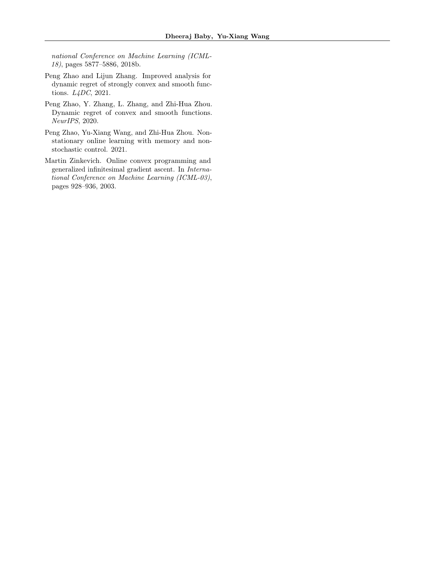national Conference on Machine Learning (ICML-18), pages 5877–5886, 2018b.

- <span id="page-10-2"></span>Peng Zhao and Lijun Zhang. Improved analysis for dynamic regret of strongly convex and smooth functions. L4DC, 2021.
- <span id="page-10-1"></span>Peng Zhao, Y. Zhang, L. Zhang, and Zhi-Hua Zhou. Dynamic regret of convex and smooth functions. NeurIPS, 2020.
- <span id="page-10-3"></span>Peng Zhao, Yu-Xiang Wang, and Zhi-Hua Zhou. Nonstationary online learning with memory and nonstochastic control. 2021.
- <span id="page-10-0"></span>Martin Zinkevich. Online convex programming and generalized infinitesimal gradient ascent. In International Conference on Machine Learning (ICML-03), pages 928–936, 2003.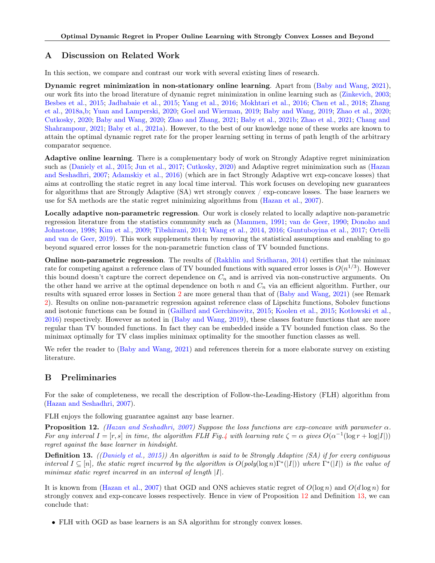## A Discussion on Related Work

In this section, we compare and contrast our work with several existing lines of research.

Dynamic regret minimization in non-stationary online learning. Apart from [\(Baby and Wang,](#page-8-0) [2021\)](#page-8-0), our work fits into the broad literature of dynamic regret minimization in online learning such as [\(Zinkevich,](#page-10-0) [2003;](#page-10-0) [Besbes et al.,](#page-8-3) [2015;](#page-8-3) [Jadbabaie et al.,](#page-9-6) [2015;](#page-9-6) [Yang et al.,](#page-9-7) [2016;](#page-9-7) [Mokhtari et al.,](#page-9-8) [2016;](#page-9-8) [Chen et al.,](#page-9-9) [2018;](#page-9-9) [Zhang](#page-9-1) [et al.,](#page-9-1) [2018a,](#page-9-1)[b;](#page-9-10) [Yuan and Lamperski,](#page-9-11) [2020;](#page-9-11) [Goel and Wierman,](#page-9-12) [2019;](#page-9-12) [Baby and Wang,](#page-8-4) [2019;](#page-8-4) [Zhao et al.,](#page-10-1) [2020;](#page-10-1) [Cutkosky,](#page-9-13) [2020;](#page-9-13) [Baby and Wang,](#page-8-5) [2020;](#page-8-5) [Zhao and Zhang,](#page-10-2) [2021;](#page-10-2) [Baby et al.,](#page-8-6) [2021b;](#page-8-6) [Zhao et al.,](#page-10-3) [2021;](#page-10-3) [Chang and](#page-8-7) [Shahrampour,](#page-8-7) [2021;](#page-8-7) [Baby et al.,](#page-8-8) [2021a\)](#page-8-8). However, to the best of our knowledge none of these works are known to attain the optimal dynamic regret rate for the proper learning setting in terms of path length of the arbitrary comparator sequence.

Adaptive online learning. There is a complementary body of work on Strongly Adaptive regret minimization such as [\(Daniely et al.,](#page-9-3) [2015;](#page-9-3) [Jun et al.,](#page-9-14) [2017;](#page-9-14) [Cutkosky,](#page-9-13) [2020\)](#page-9-13) and Adaptive regret minimization such as [\(Hazan](#page-9-2) [and Seshadhri,](#page-9-2) [2007;](#page-9-2) [Adamskiy et al.,](#page-8-9) [2016\)](#page-8-9) (which are in fact Strongly Adaptive wrt exp-concave losses) that aims at controlling the static regret in any local time interval. This work focuses on developing new guarantees for algorithms that are Strongly Adaptive (SA) wrt strongly convex / exp-concave losses. The base learners we use for SA methods are the static regret minimizing algorithms from [\(Hazan et al.,](#page-9-4) [2007\)](#page-9-4).

Locally adaptive non-parametric regression. Our work is closely related to locally adaptive non-parametric regression literature from the statistics community such as [\(Mammen,](#page-9-15) [1991;](#page-9-15) [van de Geer,](#page-9-16) [1990;](#page-9-16) [Donoho and](#page-9-17) [Johnstone,](#page-9-17) [1998;](#page-9-17) [Kim et al.,](#page-9-18) [2009;](#page-9-18) [Tibshirani,](#page-9-19) [2014;](#page-9-19) [Wang et al.,](#page-9-20) [2014,](#page-9-20) [2016;](#page-9-21) [Guntuboyina et al.,](#page-9-22) [2017;](#page-9-22) [Ortelli](#page-9-23) [and van de Geer,](#page-9-23) [2019\)](#page-9-23). This work supplements them by removing the statistical assumptions and enabling to go beyond squared error losses for the non-parametric function class of TV bounded functions.

Online non-parametric regression. The results of [\(Rakhlin and Sridharan,](#page-9-24) [2014\)](#page-9-24) certifies that the minimax rate for competing against a reference class of TV bounded functions with squared error losses is  $O(n^{1/3})$ . However this bound doesn't capture the correct dependence on  $C_n$  and is arrived via non-constructive arguments. On the other hand we arrive at the optimal dependence on both n and  $C_n$  via an efficient algorithm. Further, our results with squared error losses in Section [2](#page-1-1) are more general than that of [\(Baby and Wang,](#page-8-0) [2021\)](#page-8-0) (see Remark [2\)](#page-2-6). Results on online non-parametric regression against reference class of Lipschitz functions, Sobolev functions and isotonic functions can be found in [\(Gaillard and Gerchinovitz,](#page-9-25) [2015;](#page-9-25) [Koolen et al.,](#page-9-26) [2015;](#page-9-26) [Kotłowski et al.,](#page-9-27) [2016\)](#page-9-27) respectively. However as noted in [\(Baby and Wang,](#page-8-4) [2019\)](#page-8-4), these classes feature functions that are more regular than TV bounded functions. In fact they can be embedded inside a TV bounded function class. So the minimax optimally for TV class implies minimax optimality for the smoother function classes as well.

We refer the reader to [\(Baby and Wang,](#page-8-0) [2021\)](#page-8-0) and references therein for a more elaborate survey on existing literature.

# <span id="page-11-0"></span>B Preliminaries

For the sake of completeness, we recall the description of Follow-the-Leading-History (FLH) algorithm from [\(Hazan and Seshadhri,](#page-9-2) [2007\)](#page-9-2).

FLH enjoys the following guarantee against any base learner.

<span id="page-11-1"></span>**Proposition 12.** [\(Hazan and Seshadhri,](#page-9-2) [2007\)](#page-9-2) Suppose the loss functions are exp-concave with parameter  $\alpha$ . For any interval  $I = [r, s]$  in time, the algorithm FLH Fig[.4](#page-12-1) with learning rate  $\zeta = \alpha$  gives  $O(\alpha^{-1}(\log r + \log|I|))$ regret against the base learner in hindsight.

<span id="page-11-2"></span>**Definition 13.** ([\(Daniely et al.,](#page-9-3) [2015\)](#page-9-3)) An algorithm is said to be Strongly Adaptive (SA) if for every contiguous interval  $I \subseteq [n]$ , the static regret incurred by the algorithm is  $O(poly(\log n)\Gamma^*(|I|))$  where  $\Gamma^*(|I|)$  is the value of minimax static regret incurred in an interval of length |I|.

It is known from [\(Hazan et al.,](#page-9-4) [2007\)](#page-9-4) that OGD and ONS achieves static regret of  $O(\log n)$  and  $O(d \log n)$  for strongly convex and exp-concave losses respectively. Hence in view of Proposition [12](#page-11-1) and Definition [13,](#page-11-2) we can conclude that:

• FLH with OGD as base learners is an SA algorithm for strongly convex losses.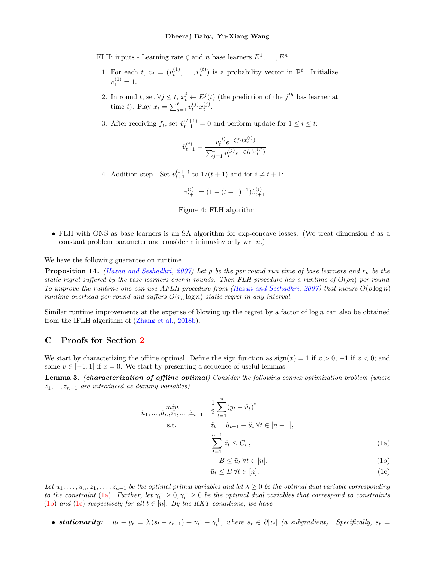<span id="page-12-1"></span>FLH: inputs - Learning rate  $\zeta$  and n base learners  $E^1, \ldots, E^n$ 

- 1. For each  $t, v_t = (v_t^{(1)}, \ldots, v_t^{(t)})$  is a probability vector in  $\mathbb{R}^t$ . Initialize  $v_1^{(1)}=1.$
- 2. In round t, set  $\forall j \leq t$ ,  $x_t^j \leftarrow E^j(t)$  (the prediction of the  $j^{th}$  bas learner at time t). Play  $x_t = \sum_{j=1}^t v_t^{(j)} x_t^{(j)}$ .
- 3. After receiving  $f_t$ , set  $\hat{v}_{t+1}^{(t+1)} = 0$  and perform update for  $1 \leq i \leq t$ :

$$
\hat{v}_{t+1}^{(i)} = \frac{v_t^{(i)} e^{-\zeta f_t(x_t^{(i)})}}{\sum_{j=1}^t v_t^{(j)} e^{-\zeta f_t(x_t^{(j)})}}
$$

4. Addition step - Set  $v_{t+1}^{(t+1)}$  to  $1/(t+1)$  and for  $i \neq t+1$ :

 $v_{t+1}^{(i)} = (1 - (t+1)^{-1})\hat{v}_{t+1}^{(i)}$ 

Figure 4: FLH algorithm

• FLH with ONS as base learners is an SA algorithm for exp-concave losses. (We treat dimension d as a constant problem parameter and consider minimaxity only wrt  $n$ .)

We have the following guarantee on runtime.

**Proposition 14.** [\(Hazan and Seshadhri,](#page-9-2) [2007\)](#page-9-2) Let  $\rho$  be the per round run time of base learners and  $r_n$  be the static regret suffered by the base learners over n rounds. Then FLH procedure has a runtime of  $O(\rho n)$  per round. To improve the runtime one can use AFLH procedure from [\(Hazan and Seshadhri,](#page-9-2) [2007\)](#page-9-2) that incurs  $O(\rho \log n)$ runtime overhead per round and suffers  $O(r_n \log n)$  static regret in any interval.

Similar runtime improvements at the expense of blowing up the regret by a factor of  $\log n$  can also be obtained from the IFLH algorithm of [\(Zhang et al.,](#page-9-10) [2018b\)](#page-9-10).

## <span id="page-12-0"></span>C Proofs for Section [2](#page-1-1)

We start by characterizing the offline optimal. Define the sign function as  $\text{sign}(x) = 1$  if  $x > 0$ ;  $-1$  if  $x < 0$ ; and some  $v \in [-1, 1]$  if  $x = 0$ . We start by presenting a sequence of useful lemmas.

Lemma 3. (characterization of offline optimal) Consider the following convex optimization problem (where  $\tilde{z}_1, ..., \tilde{z}_{n-1}$  are introduced as dummy variables)

$$
\tilde{u}_1, \dots, \tilde{u}_n, \tilde{z}_1, \dots, \tilde{z}_{n-1} \quad \frac{1}{2} \sum_{t=1}^n (y_t - \tilde{u}_t)^2
$$
\n
$$
\text{s.t.} \qquad \tilde{z}_t = \tilde{u}_{t+1} - \tilde{u}_t \,\forall t \in [n-1],
$$
\n
$$
\sum_{t=1}^{n-1} |\tilde{z}_t| \le C_n,
$$
\n(1a)

$$
-B \le \tilde{u}_t \,\forall t \in [n],\tag{1b}
$$

 $\tilde{u}_t \leq B \,\forall t \in [n],$ (1c)

Let  $u_1, \ldots, u_n, z_1, \ldots, z_{n-1}$  be the optimal primal variables and let  $\lambda \geq 0$  be the optimal dual variable corresponding to the constraint [\(1a\)](#page-2-1). Further, let  $\gamma_t^- \geq 0, \gamma_t^+ \geq 0$  be the optimal dual variables that correspond to constraints [\(1b\)](#page-2-2) and [\(1c\)](#page-2-3) respectively for all  $t \in [n]$ . By the KKT conditions, we have

• stationarity:  $u_t - y_t = \lambda (s_t - s_{t-1}) + \gamma_t^- - \gamma_t^+$ , where  $s_t \in \partial |z_t|$  (a subgradient). Specifically,  $s_t =$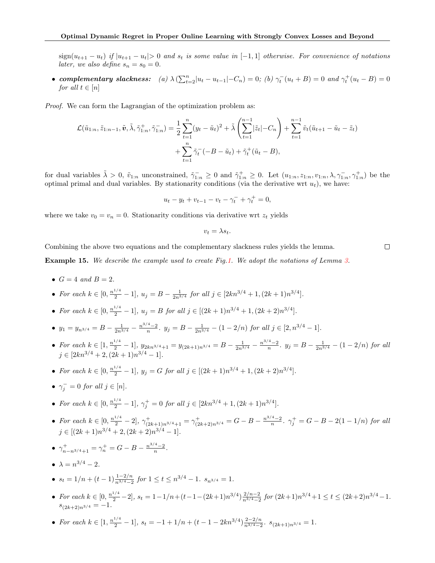$sign(u_{t+1} - u_t)$  if  $|u_{t+1} - u_t| > 0$  and  $s_t$  is some value in [-1,1] otherwise. For convenience of notations later, we also define  $s_n = s_0 = 0$ .

• complementary slackness: (a)  $\lambda \left( \sum_{t=2}^{n} |u_t - u_{t-1}| - C_n \right) = 0$ ; (b)  $\gamma_t^{-}(u_t + B) = 0$  and  $\gamma_t^{+}(u_t - B) = 0$ for all  $t \in [n]$ 

Proof. We can form the Lagrangian of the optimization problem as:

$$
\mathcal{L}(\tilde{u}_{1:n}, \tilde{z}_{1:n-1}, \tilde{v}, \tilde{\lambda}, \tilde{\gamma}_{1:n}^+, \tilde{\gamma}_{1:n}^-) = \frac{1}{2} \sum_{t=1}^n (y_t - \tilde{u}_t)^2 + \tilde{\lambda} \left( \sum_{t=1}^{n-1} |\tilde{z}_t| - C_n \right) + \sum_{t=1}^{n-1} \tilde{v}_t (\tilde{u}_{t+1} - \tilde{u}_t - \tilde{z}_t)
$$

$$
+ \sum_{t=1}^n \tilde{\gamma}_t^- (-B - \tilde{u}_t) + \tilde{\gamma}_t^+ (\tilde{u}_t - B),
$$

for dual variables  $\tilde{\lambda} > 0$ ,  $\tilde{v}_{1:n}$  unconstrained,  $\tilde{\gamma}_{1:n}^{-} \geq 0$  and  $\tilde{\gamma}_{1:n}^{+} \geq 0$ . Let  $(u_{1:n}, z_{1:n}, v_{1:n}, \lambda, \gamma_{1:n}^{-}, \gamma_{1:n}^{+})$  be the optimal primal and dual variables. By stationarity conditions (via the derivative wrt  $u_t$ ), we have:

$$
u_t - y_t + v_{t-1} - v_t - \gamma_t^- + \gamma_t^+ = 0,
$$

where we take  $v_0 = v_n = 0$ . Stationarity conditions via derivative wrt  $z_t$  yields

$$
v_t = \lambda s_t.
$$

 $\Box$ 

Combining the above two equations and the complementary slackness rules yields the lemma.

<span id="page-13-0"></span>Example 15. We describe the example used to create Fig[.1.](#page-4-0) We adopt the notations of Lemma [3.](#page-2-4)

- $G = 4$  and  $B = 2$ .
- For each  $k \in [0, \frac{n^{1/4}}{2} 1]$ ,  $u_j = B \frac{1}{2n^{3/4}}$  for all  $j \in [2kn^{3/4} + 1, (2k+1)n^{3/4}]$ .
- For each  $k \in [0, \frac{n^{1/4}}{2} 1]$ ,  $u_j = B$  for all  $j \in [(2k+1)n^{3/4} + 1, (2k+2)n^{3/4}]$ .
- $y_1 = y_{n^{3/4}} = B \frac{1}{2n^{3/4}} \frac{n^{3/4}-2}{n}$ .  $y_j = B \frac{1}{2n^{3/4}} (1-2/n)$  for all  $j \in [2, n^{3/4}-1]$ .
- For each  $k \in [1, \frac{n^{1/4}}{2} 1]$ ,  $y_{2kn^{3/4}+1} = y_{(2k+1)n^{3/4}} = B \frac{1}{2n^{3/4}} \frac{n^{3/4} 2}{n}$ .  $y_j = B \frac{1}{2n^{3/4}} (1 2/n)$  for all  $j \in [2kn^{3/4}+2,(2k+1)n^{3/4}-1].$
- For each  $k \in [0, \frac{n^{1/4}}{2} 1]$ ,  $y_j = G$  for all  $j \in [(2k+1)n^{3/4} + 1, (2k+2)n^{3/4}]$ .
- $\gamma_j^- = 0$  for all  $j \in [n]$ .
- For each  $k \in [0, \frac{n^{1/4}}{2} 1]$ ,  $\gamma_j^+ = 0$  for all  $j \in [2kn^{3/4} + 1, (2k+1)n^{3/4}]$ .
- For each  $k \in [0, \frac{n^{1/4}}{2} 2]$ ,  $\gamma^+_{(2k+1)n^{3/4}+1} = \gamma^+_{(2k+2)n^{3/4}} = G B \frac{n^{3/4}-2}{n}$ .  $\gamma^+_j = G B 2(1 1/n)$  for all  $j \in [(2k+1)n^{3/4} + 2, (2k+2)n^{3/4} - 1].$
- $\gamma_{n-n^{3/4}+1}^+ = \gamma_n^+ = G B \frac{n^{3/4}-2}{n}.$
- $\lambda = n^{3/4} 2.$
- $s_t = 1/n + (t-1) \frac{1-2/n}{n^{3/4}-2}$  for  $1 \le t \le n^{3/4}-1$ .  $s_{n^{3/4}} = 1$ .
- For each  $k \in [0, \frac{n^{1/4}}{2} 2]$ ,  $s_t = 1 1/n + (t 1 (2k+1)n^{3/4}) \frac{2/n-2}{n^{3/4}-2}$  $\frac{2/n-2}{n^{3/4}-2}$  for  $(2k+1)n^{3/4}+1 \le t \le (2k+2)n^{3/4}-1$ .  $s_{(2k+2)n^{3/4}}=-1.$
- For each  $k \in [1, \frac{n^{1/4}}{2} 1], s_t = -1 + 1/n + (t 1 2kn^{3/4})\frac{2-2/n}{n^{3/4}-2}$  $\frac{2-2/n}{n^{3/4}-2}$ .  $s_{(2k+1)n^{3/4}}=1$ .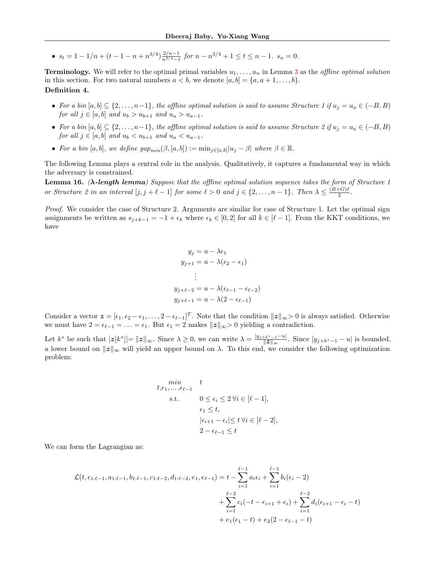•  $s_t = 1 - 1/n + (t - 1 - n + n^{3/4}) \frac{2/n - 1}{n^{3/4} - 1}$  $\frac{2/n-1}{n^{3/4}-1}$  for  $n-n^{3/4}+1 \le t \le n-1$ .  $s_n=0$ .

**Terminology.** We will refer to the optimal primal variables  $u_1, \ldots, u_n$  in Lemma [3](#page-2-4) as the *offline optimal solution* in this section. For two natural numbers  $a < b$ , we denote  $[a, b] = \{a, a+1, \ldots, b\}$ . Definition 4.

- For a bin  $[a, b] \subseteq \{2, \ldots, n-1\}$ , the offline optimal solution is said to assume Structure 1 if  $u_j = u_a \in (-B, B)$ for all  $j \in [a, b]$  and  $u_b > u_{b+1}$  and  $u_a > u_{a-1}$ .
- For a bin  $[a, b] \subseteq \{2, \ldots, n-1\}$ , the offline optimal solution is said to assume Structure 2 if  $u_j = u_a \in (-B, B)$ for all  $j \in [a, b]$  and  $u_b < u_{b+1}$  and  $u_a < u_{a-1}$ .
- For a bin  $[a, b]$ , we define  $gap_{min}(\beta, [a, b]) := \min_{j \in [a, b]} |u_j \beta|$  where  $\beta \in \mathbb{R}$ .

The following Lemma plays a central role in the analysis. Qualitatively, it captures a fundamental way in which the adversary is constrained.

<span id="page-14-0"></span>**Lemma 16.** ( $\lambda$ -length lemma) Suppose that the offline optimal solution sequence takes the form of Structure 1 or Structure 2 in an interval  $[j, j + \ell - 1]$  for some  $\ell > 0$  and  $j \in \{2, ..., n - 1\}$ . Then  $\lambda \leq \frac{(B+G)\ell}{2}$  $rac{1}{2}$ .

Proof. We consider the case of Structure 2. Arguments are similar for case of Structure 1. Let the optimal sign assignments be written as  $s_{j+k-1} = -1 + \epsilon_k$  where  $\epsilon_k \in [0,2]$  for all  $k \in [\ell - 1]$ . From the KKT conditions, we have

$$
y_j = u - \lambda \epsilon_1
$$
  
\n
$$
y_{j+1} = u - \lambda(\epsilon_2 - \epsilon_1)
$$
  
\n
$$
\vdots
$$
  
\n
$$
y_{j+\ell-2} = u - \lambda(\epsilon_{\ell-1} - \epsilon_{\ell-2})
$$
  
\n
$$
y_{j+\ell-1} = u - \lambda(2 - \epsilon_{\ell-1})
$$

Consider a vector  $\boldsymbol{z} = [\epsilon_1, \epsilon_2 - \epsilon_1, \dots, 2 - \epsilon_{\ell-1}]^T$ . Note that the condition  $||\boldsymbol{z}||_{\infty} > 0$  is always satisfied. Otherwise we must have  $2 = \epsilon_{\ell-1} = \ldots = \epsilon_1$ . But  $\epsilon_1 = 2$  makes  $||z||_{\infty} > 0$  yielding a contradiction.

Let  $k^*$  be such that  $|z[k^*]| = ||z||_{\infty}$ . Since  $\lambda \geq 0$ , we can write  $\lambda = \frac{|y_{j+k^*-1}-u|}{||z||_{\infty}}$ . Since  $|y_{j+k^*-1}-u|$  is bounded, a lower bound on  $||z||_{\infty}$  will yield an upper bound on  $\lambda$ . To this end, we consider the following optimization problem:

$$
min\n\n t, \epsilon_1, \ldots, \epsilon_{\ell-1} \quad t
$$
\n
$$
0 \le \epsilon_i \le 2 \,\forall i \in [\ell - 1],
$$
\n
$$
\epsilon_1 \le t,
$$
\n
$$
|\epsilon_{i+1} - \epsilon_i| \le t \,\forall i \in [\ell - 2],
$$
\n
$$
2 - \epsilon_{\ell-1} \le t
$$

We can form the Lagrangian as:

$$
\mathcal{L}(t, \epsilon_{1:\ell-1}, a_{1:\ell-1}, b_{1:\ell-1}, c_{1:\ell-2}, d_{1:\ell-2}, e_1, e_{\ell-1}) = t - \sum_{i=1}^{\ell-1} a_i \epsilon_i + \sum_{i=1}^{\ell-1} b_i (\epsilon_i - 2)
$$
  
+ 
$$
\sum_{i=1}^{\ell-2} c_i (-t - \epsilon_{i+1} + \epsilon_i) + \sum_{i=1}^{\ell-2} d_i (\epsilon_{i+1} - \epsilon_i - t)
$$
  
+ 
$$
e_1 (\epsilon_1 - t) + e_2 (2 - \epsilon_{\ell-1} - t)
$$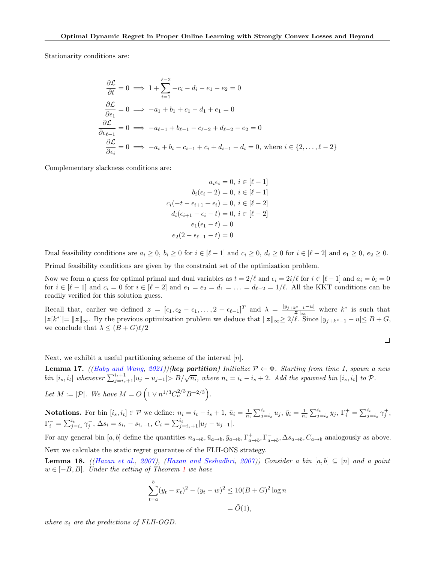Stationarity conditions are:

$$
\frac{\partial \mathcal{L}}{\partial t} = 0 \implies 1 + \sum_{i=1}^{\ell-2} -c_i - d_i - e_1 - e_2 = 0
$$
  

$$
\frac{\partial \mathcal{L}}{\partial \epsilon_1} = 0 \implies -a_1 + b_1 + c_1 - d_1 + e_1 = 0
$$
  

$$
\frac{\partial \mathcal{L}}{\partial \epsilon_{\ell-1}} = 0 \implies -a_{\ell-1} + b_{\ell-1} - c_{\ell-2} + d_{\ell-2} - e_2 = 0
$$
  

$$
\frac{\partial \mathcal{L}}{\partial \epsilon_i} = 0 \implies -a_i + b_i - c_{i-1} + c_i + d_{i-1} - d_i = 0, \text{ where } i \in \{2, ..., \ell-2\}
$$

Complementary slackness conditions are:

$$
a_i \epsilon_i = 0, \ i \in [\ell - 1]
$$

$$
b_i(\epsilon_i - 2) = 0, \ i \in [\ell - 1]
$$

$$
c_i(-t - \epsilon_{i+1} + \epsilon_i) = 0, \ i \in [\ell - 2]
$$

$$
d_i(\epsilon_{i+1} - \epsilon_i - t) = 0, \ i \in [\ell - 2]
$$

$$
e_1(\epsilon_1 - t) = 0
$$

$$
e_2(2 - \epsilon_{\ell - 1} - t) = 0
$$

Dual feasibility conditions are  $a_i \geq 0$ ,  $b_i \geq 0$  for  $i \in [\ell - 1]$  and  $c_i \geq 0$ ,  $d_i \geq 0$  for  $i \in [\ell - 2]$  and  $e_1 \geq 0$ ,  $e_2 \geq 0$ .

Primal feasibility conditions are given by the constraint set of the optimization problem.

Now we form a guess for optimal primal and dual variables as  $t = 2/\ell$  and  $\epsilon_i = 2i/\ell$  for  $i \in [\ell - 1]$  and  $a_i = b_i = 0$ for  $i \in [\ell - 1]$  and  $c_i = 0$  for  $i \in [\ell - 2]$  and  $e_1 = e_2 = d_1 = \ldots = d_{\ell-2} = 1/\ell$ . All the KKT conditions can be readily verified for this solution guess.

Recall that, earlier we defined  $\boldsymbol{z} = [\epsilon_1, \epsilon_2 - \epsilon_1, \ldots, 2 - \epsilon_{\ell-1}]^T$  and  $\lambda = \frac{|y_{j+k^*-1}-u|}{\|\boldsymbol{z}\|_{\infty}}$  where  $k^*$  is such that  $|z[k^*]| = ||z||_{\infty}$ . By the previous optimization problem we deduce that  $||z||_{\infty} \ge 2^j \ell$ . Since  $|y_{j+k^*-1} - u| \le B + G$ , we conclude that  $\lambda \leq (B+G)\ell/2$ 

$$
\Box
$$

Next, we exhibit a useful partitioning scheme of the interval  $[n]$ .

<span id="page-15-0"></span>**Lemma 17.** ([\(Baby and Wang,](#page-8-0) [2021\)](#page-8-0))(key partition) Initialize  $P \leftarrow \Phi$ . Starting from time 1, spawn a new  $\delta$  bin  $[i_s, i_t]$  whenever  $\sum_{j=i_s+1}^{i_t+1} |u_j - u_{j-1}| > B/\sqrt{n_i}$ , where  $n_i = i_t - i_s + 2$ . Add the spawned bin  $[i_s, i_t]$  to  $\mathcal{P}$ .

Let 
$$
M := |\mathcal{P}|
$$
. We have  $M = O\left(1 \vee n^{1/3} C_n^{2/3} B^{-2/3}\right)$ .

**Notations.** For bin  $[i_s, i_t] \in \mathcal{P}$  we define:  $n_i = i_t - i_s + 1$ ,  $\bar{u}_i = \frac{1}{n_i} \sum_{j=i_s}^{i_t} u_j$ ,  $\bar{y}_i = \frac{1}{n_i} \sum_{j=i_s}^{i_t} y_j$ ,  $\Gamma_i^+ = \sum_{j=i_s}^{i_t} \gamma_j^+$ ,  $\Gamma_i^- = \sum_{j=i_s}^{i_t} \gamma_j^-, \ \Delta s_i = s_{i_t} - s_{i_s-1}, \ C_i = \sum_{j=i_s+1}^{i_t} |u_j - u_{j-1}|.$ 

For any general bin  $[a, b]$  define the quantities  $n_{a\to b}$ ,  $\bar{u}_{a\to b}$ ,  $\bar{y}_{a\to b}$ ,  $\Gamma^+_{a\to b}$ ,  $\Gamma^-_{a\to b}$ ,  $\Delta s_{a\to b}$ ,  $C_{a\to b}$  analogously as above. Next we calculate the static regret guarantee of the FLH-ONS strategy.

<span id="page-15-1"></span>**Lemma 18.** ([\(Hazan et al.,](#page-9-4) [2007\)](#page-9-2), [\(Hazan and Seshadhri,](#page-9-2) 2007)) Consider a bin  $[a, b] \subseteq [n]$  and a point  $w \in [-B, B]$ . Under the setting of Theorem [1](#page-1-0) we have

$$
\sum_{t=a}^{b} (y_t - x_t)^2 - (y_t - w)^2 \le 10(B + G)^2 \log n
$$
  
=  $\tilde{O}(1)$ ,

where  $x_t$  are the predictions of FLH-OGD.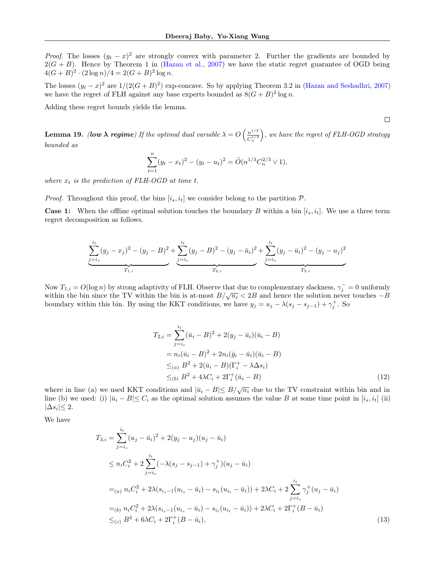*Proof.* The losses  $(y_t - x)^2$  are strongly convex with parameter 2. Further the gradients are bounded by  $2(G + B)$ . Hence by Theorem 1 in [\(Hazan et al.,](#page-9-4) [2007\)](#page-9-4) we have the static regret guarantee of OGD being  $4(G+B)^2 \cdot (2 \log n)/4 = 2(G+B)^2 \log n.$ 

The losses  $(y_t - x)^2$  are  $1/(2(G + B)^2)$  exp-concave. So by applying Theorem 3.2 in [\(Hazan and Seshadhri,](#page-9-2) [2007\)](#page-9-2) we have the regret of FLH against any base experts bounded as  $8(G + B)^2 \log n$ .

Adding these regret bounds yields the lemma.

 $\Box$ 

<span id="page-16-0"></span>**Lemma 19.** (low  $\lambda$  regime) If the optimal dual variable  $\lambda = O\left(\frac{n^{1/3}}{c^{1/3}}\right)$  $C_n^{1/3}$  $\big)$ , we have the regret of FLH-OGD strategy bounded as

$$
\sum_{t=1}^{n} (y_t - x_t)^2 - (y_t - u_t)^2 = \tilde{O}(n^{1/3} C_n^{2/3} \vee 1),
$$

where  $x_t$  is the prediction of FLH-OGD at time t.

*Proof.* Throughout this proof, the bins  $[i_s, i_t]$  we consider belong to the partition  $P$ .

**Case 1:** When the offline optimal solution touches the boundary B within a bin  $[i_s, i_t]$ . We use a three term regret decomposition as follows.

$$
\underbrace{\sum_{j=i_s}^{i_t} (y_j - x_j)^2 - (y_j - B)^2}_{T_{1,i}} + \underbrace{\sum_{j=i_s}^{i_t} (y_j - B)^2 - (y_j - \bar{u}_i)^2}_{T_{2,i}} + \underbrace{\sum_{j=i_s}^{i_t} (y_j - \bar{u}_i)^2 - (y_j - u_j)^2}_{T_{3,i}}
$$

Now  $T_{1,i} = O(\log n)$  by strong adaptivity of FLH. Observe that due to complementary slackness,  $\gamma_j^- = 0$  uniformly within the bin since the TV within the bin is at-most  $B/\sqrt{n_i} < 2B$  and hence the solution never touches  $-B$ boundary within this bin. By using the KKT conditions, we have  $y_j = u_j - \lambda(s_j - s_{j-1}) + \gamma_j^+$ . So

<span id="page-16-2"></span><span id="page-16-1"></span>
$$
T_{2,i} = \sum_{j=i_s}^{i_t} (\bar{u}_i - B)^2 + 2(y_j - \bar{u}_i)(\bar{u}_i - B)
$$
  
=  $n_i(\bar{u}_i - B)^2 + 2n_i(\bar{y}_i - \bar{u}_i)(\bar{u}_i - B)$   

$$
\leq_{(a)} B^2 + 2(\bar{u}_i - B)(\Gamma_i^+ - \lambda \Delta s_i)
$$
  

$$
\leq_{(b)} B^2 + 4\lambda C_i + 2\Gamma_i^+(\bar{u}_i - B)
$$
 (12)

where in line (a) we used KKT conditions and  $|\bar{u}_i - B| \leq B/\sqrt{n_i}$  due to the TV constraint within bin and in line (b) we used: (i)  $|\bar{u}_i - B| \leq C_i$  as the optimal solution assumes the value B at some time point in  $[i_s, i_t]$  (ii)  $|\Delta s_i| \leq 2.$ 

We have

$$
T_{3,i} = \sum_{j=i_s}^{i_t} (u_j - \bar{u}_i)^2 + 2(y_j - u_j)(u_j - \bar{u}_i)
$$
  
\n
$$
\leq n_i C_i^2 + 2 \sum_{j=i_s}^{i_t} (-\lambda (s_j - s_{j-1}) + \gamma_j^+)(u_j - \bar{u}_i)
$$
  
\n
$$
=_{(a)} n_i C_i^2 + 2\lambda (s_{i_s-1}(u_{i_s} - \bar{u}_i) - s_{i_t}(u_{i_t} - \bar{u}_i)) + 2\lambda C_i + 2 \sum_{j=i_s}^{i_t} \gamma_j^+(u_j - \bar{u}_i)
$$
  
\n
$$
=_{(b)} n_i C_i^2 + 2\lambda (s_{i_s-1}(u_{i_s} - \bar{u}_i) - s_{i_t}(u_{i_t} - \bar{u}_i)) + 2\lambda C_i + 2\Gamma_i^+(B - \bar{u}_i)
$$
  
\n
$$
\leq_{(c)} B^2 + 6\lambda C_i + 2\Gamma_i^+(B - \bar{u}_i),
$$
\n(13)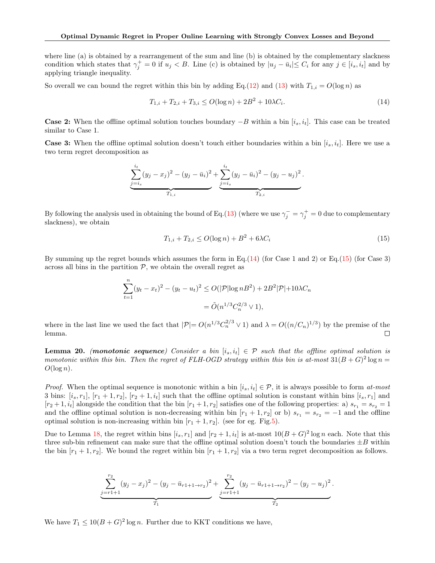where line (a) is obtained by a rearrangement of the sum and line (b) is obtained by the complementary slackness condition which states that  $\gamma_j^+ = 0$  if  $u_j < B$ . Line (c) is obtained by  $|u_j - \bar{u}_i| \leq C_i$  for any  $j \in [i_s, i_t]$  and by applying triangle inequality.

So overall we can bound the regret within this bin by adding Eq.[\(12\)](#page-16-1) and [\(13\)](#page-16-2) with  $T_{1,i} = O(\log n)$  as

<span id="page-17-1"></span>
$$
T_{1,i} + T_{2,i} + T_{3,i} \le O(\log n) + 2B^2 + 10\lambda C_i.
$$
\n(14)

**Case 2:** When the offline optimal solution touches boundary  $-B$  within a bin  $[i_s, i_t]$ . This case can be treated similar to Case 1.

**Case 3:** When the offline optimal solution doesn't touch either boundaries within a bin  $[i_s, i_t]$ . Here we use a two term regret decomposition as

$$
\underbrace{\sum_{j=i_s}^{i_t} (y_j - x_j)^2 - (y_j - \bar{u}_i)^2}_{T_{1,i}} + \underbrace{\sum_{j=i_s}^{i_t} (y_j - \bar{u}_i)^2 - (y_j - u_j)^2}_{T_{2,i}}.
$$

By following the analysis used in obtaining the bound of Eq.[\(13\)](#page-16-2) (where we use  $\gamma_j^- = \gamma_j^+ = 0$  due to complementary slackness), we obtain

<span id="page-17-2"></span>
$$
T_{1,i} + T_{2,i} \le O(\log n) + B^2 + 6\lambda C_i
$$
\n(15)

By summing up the regret bounds which assumes the form in Eq.[\(14\)](#page-17-1) (for Case 1 and 2) or Eq.[\(15\)](#page-17-2) (for Case 3) across all bins in the partition  $P$ , we obtain the overall regret as

$$
\sum_{t=1}^{\infty} (y_t - x_t)^2 - (y_t - u_t)^2 \le O(|\mathcal{P}| \log nB^2) + 2B^2|\mathcal{P}| + 10\lambda C_n
$$

$$
= \tilde{O}(n^{1/3}C_n^{2/3} \vee 1),
$$

where in the last line we used the fact that  $|\mathcal{P}| = O(n^{1/3}C_n^{2/3} \vee 1)$  and  $\lambda = O((n/C_n)^{1/3})$  by the premise of the lemma.  $\Box$ 

<span id="page-17-0"></span>**Lemma 20.** (monotonic sequence) Consider a bin  $[i_s, i_t] \in \mathcal{P}$  such that the offline optimal solution is monotonic within this bin. Then the regret of FLH-OGD strategy within this bin is at-most  $31(B+G)^2 \log n =$  $O(\log n)$ .

*Proof.* When the optimal sequence is monotonic within a bin  $[i_s, i_t] \in \mathcal{P}$ , it is always possible to form at-most 3 bins:  $[i_s, r_1]$ ,  $[r_1 + 1, r_2]$ ,  $[r_2 + 1, i_t]$  such that the offline optimal solution is constant within bins  $[i_s, r_1]$  and  $[r_2+1, i_t]$  alongside the condition that the bin  $[r_1+1, r_2]$  satisfies one of the following properties: a)  $s_{r_1} = s_{r_2} = 1$ and the offline optimal solution is non-decreasing within bin  $[r_1 + 1, r_2]$  or b)  $s_{r_1} = s_{r_2} = -1$  and the offline optimal solution is non-increasing within bin  $[r_1 + 1, r_2]$ . (see for eg. Fig[.5\)](#page-18-0).

Due to Lemma [18,](#page-15-1) the regret within bins  $[i_s, r_1]$  and  $[r_2 + 1, i_t]$  is at-most  $10(B+G)^2 \log n$  each. Note that this three sub-bin refinement can make sure that the offline optimal solution doesn't touch the boundaries  $\pm B$  within the bin  $[r_1 + 1, r_2]$ . We bound the regret within bin  $[r_1 + 1, r_2]$  via a two term regret decomposition as follows.

$$
\underbrace{\sum_{j=r1+1}^{r_2} (y_j - x_j)^2 - (y_j - \bar{u}_{r1+1 \to r_2})^2}_{T_1} + \underbrace{\sum_{j=r1+1}^{r_2} (y_j - \bar{u}_{r1+1 \to r_2})^2 - (y_j - u_j)^2}_{T_2}.
$$

We have  $T_1 \leq 10(B+G)^2 \log n$ . Further due to KKT conditions we have,

 $\overline{n}$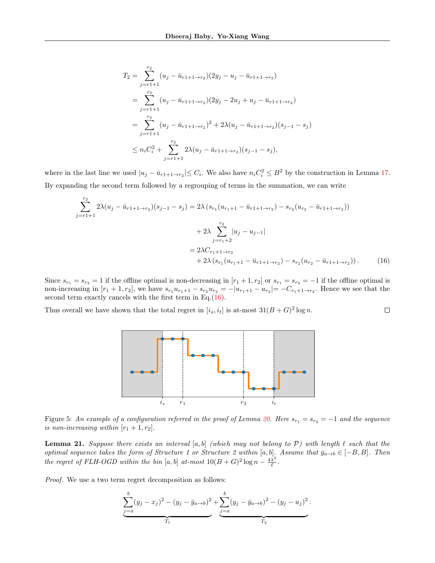$$
T_2 = \sum_{j=r1+1}^{r_2} (u_j - \bar{u}_{r1+1 \to r_2})(2y_j - u_j - \bar{u}_{r1+1 \to r_2})
$$
  
= 
$$
\sum_{j=r1+1}^{r_2} (u_j - \bar{u}_{r1+1 \to r_2})(2y_j - 2u_j + u_j - \bar{u}_{r1+1 \to r_2})
$$
  
= 
$$
\sum_{j=r1+1}^{r_2} (u_j - \bar{u}_{r1+1 \to r_2})^2 + 2\lambda (u_j - \bar{u}_{r1+1 \to r_2})(s_{j-1} - s_j)
$$
  

$$
\leq n_i C_i^2 + \sum_{j=r1+1}^{r_2} 2\lambda (u_j - \bar{u}_{r1+1 \to r_2})(s_{j-1} - s_j),
$$

where in the last line we used  $|u_j - \bar{u}_{r1+1 \to r_2}| \leq C_i$ . We also have  $n_i C_i^2 \leq B^2$  by the construction in Lemma [17.](#page-15-0) By expanding the second term followed by a regrouping of terms in the summation, we can write

$$
\sum_{j=r1+1}^{r_2} 2\lambda (u_j - \bar{u}_{r1+1 \to r_2})(s_{j-1} - s_j) = 2\lambda (s_{r_1}(u_{r_1+1} - \bar{u}_{r1+1 \to r_2}) - s_{r_2}(u_{r_2} - \bar{u}_{r1+1 \to r_2}))
$$
  
+ 
$$
2\lambda \sum_{j=r_1+2}^{r_2} |u_j - u_{j-1}|
$$
  
= 
$$
2\lambda C_{r_1+1 \to r_2}
$$
  
+ 
$$
2\lambda (s_{r_1}(u_{r_1+1} - \bar{u}_{r1+1 \to r_2}) - s_{r_2}(u_{r_2} - \bar{u}_{r1+1 \to r_2})).
$$
 (16)

<span id="page-18-1"></span> $\Box$ 

Since  $s_{r_1} = s_{r_2} = 1$  if the offline optimal is non-decreasing in  $[r_1 + 1, r_2]$  or  $s_{r_1} = s_{r_2} = -1$  if the offline optimal is non-increasing in  $[r_1+1, r_2]$ , we have  $s_{r_1}u_{r_1+1} - s_{r_2}u_{r_2} = -|u_{r_1+1} - u_{r_2}| = -C_{r_1+1 \to r_2}$ . Hence we see that the second term exactly cancels with the first term in Eq.[\(16\)](#page-18-1).

<span id="page-18-0"></span>Thus overall we have shown that the total regret in  $[i_s, i_t]$  is at-most  $31(B+G)^2 \log n$ .



Figure 5: An example of a configuration referred in the proof of Lemma [20.](#page-17-0) Here  $s_{r_1} = s_{r_2} = -1$  and the sequence is non-increasing within  $[r_1 + 1, r_2]$ .

<span id="page-18-2"></span>**Lemma 21.** Suppose there exists an interval [a, b] (which may not belong to  $P$ ) with length  $\ell$  such that the optimal sequence takes the form of Structure 1 or Structure 2 within [a, b]. Assume that  $\bar{y}_{a\to b} \in [-B, B]$ . Then the regret of FLH-OGD within the bin  $[a, b]$  at-most  $10(B+G)^2 \log n - \frac{4\lambda^2}{\ell}$  $\frac{\lambda^2}{\ell}$  .

Proof. We use a two term regret decomposition as follows:

$$
\underbrace{\sum_{j=a}^{b} (y_j - x_j)^2 - (y_j - \bar{y}_{a \to b})^2}_{T_1} + \underbrace{\sum_{j=a}^{b} (y_j - \bar{y}_{a \to b})^2 - (y_j - u_j)^2}_{T_2}.
$$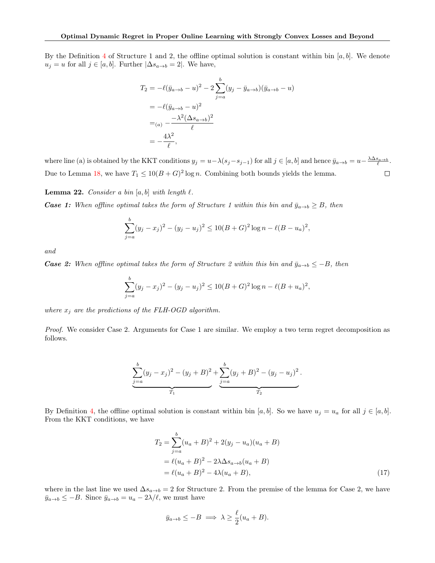By the Definition [4](#page-3-3) of Structure 1 and 2, the offline optimal solution is constant within bin  $[a, b]$ . We denote  $u_j = u$  for all  $j \in [a, b]$ . Further  $|\Delta s_{a\rightarrow b} = 2|$ . We have,

$$
T_2 = -\ell(\bar{y}_{a \to b} - u)^2 - 2\sum_{j=a}^{b} (y_j - \bar{y}_{a \to b})(\bar{y}_{a \to b} - u)
$$
  
=  $-\ell(\bar{y}_{a \to b} - u)^2$   
=  $(a) -\frac{\lambda^2(\Delta s_{a \to b})^2}{\ell}$   
=  $-\frac{4\lambda^2}{\ell}$ ,

where line (a) is obtained by the KKT conditions  $y_j = u - \lambda(s_j - s_{j-1})$  for all  $j \in [a, b]$  and hence  $\bar{y}_{a \to b} = u - \frac{\lambda \Delta s_{a \to b}}{\ell}$ . Due to Lemma [18,](#page-15-1) we have  $T_1 \leq 10(B+G)^2 \log n$ . Combining both bounds yields the lemma.  $\Box$ 

<span id="page-19-0"></span>**Lemma 22.** Consider a bin  $[a, b]$  with length  $\ell$ .

**Case 1:** When offline optimal takes the form of Structure 1 within this bin and  $\bar{y}_{a\to b} \geq B$ , then

$$
\sum_{j=a}^{b} (y_j - x_j)^2 - (y_j - u_j)^2 \le 10(B+G)^2 \log n - \ell(B-u_a)^2,
$$

and

**Case 2:** When offline optimal takes the form of Structure 2 within this bin and  $\bar{y}_{a\to b} \leq -B$ , then

$$
\sum_{j=a}^{b} (y_j - x_j)^2 - (y_j - u_j)^2 \le 10(B+G)^2 \log n - \ell(B+u_a)^2,
$$

where  $x_j$  are the predictions of the FLH-OGD algorithm.

Proof. We consider Case 2. Arguments for Case 1 are similar. We employ a two term regret decomposition as follows.

$$
\underbrace{\sum_{j=a}^{b} (y_j - x_j)^2 - (y_j + B)^2}_{T_1} + \underbrace{\sum_{j=a}^{b} (y_j + B)^2 - (y_j - u_j)^2}_{T_2}.
$$

By Definition [4,](#page-3-3) the offline optimal solution is constant within bin [a, b]. So we have  $u_j = u_a$  for all  $j \in [a, b]$ . From the KKT conditions, we have

$$
T_2 = \sum_{j=a}^{b} (u_a + B)^2 + 2(y_j - u_a)(u_a + B)
$$
  
=  $\ell(u_a + B)^2 - 2\lambda \Delta s_{a \to b}(u_a + B)$   
=  $\ell(u_a + B)^2 - 4\lambda(u_a + B),$  (17)

where in the last line we used  $\Delta s_{a\rightarrow b} = 2$  for Structure 2. From the premise of the lemma for Case 2, we have  $\bar{y}_{a\to b} \leq -B$ . Since  $\bar{y}_{a\to b} = u_a - 2\lambda/\ell$ , we must have

<span id="page-19-1"></span>
$$
\bar{y}_{a\to b} \leq -B \implies \lambda \geq \frac{\ell}{2}(u_a + B).
$$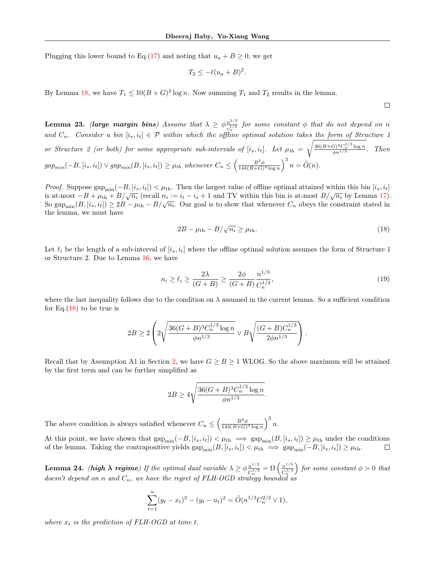Plugging this lower bound to Eq.[\(17\)](#page-19-1) and noting that  $u_a + B \geq 0$ , we get

$$
T_2 \leq -\ell(u_a + B)^2.
$$

By Lemma [18,](#page-15-1) we have  $T_1 \leq 10(B+G)^2 \log n$ . Now summing  $T_1$  and  $T_2$  results in the lemma.

<span id="page-20-0"></span>**Lemma 23.** (large margin bins) Assume that  $\lambda \geq \phi \frac{n^{1/3}}{c_n^{1/3}}$  $\frac{n^{1/3}}{c_n^{1/3}}$  for some constant  $\phi$  that do not depend on n and  $C_n$ . Consider a bin  $[i_s, i_t] \in \mathcal{P}$  within which the offline optimal solution takes the form of Structure 1 or Structure 2 (or both) for some appropriate sub-intervals of  $[i_s, i_t]$ . Let  $\mu_{th} =$  $\int 36(B+G)^3C_n^{1/3}\log n$  $\frac{f_{\beta}^{j_0}C_n^{j_0} \log n}{\phi n^{1/3}}$ . Then  $gap_{min}(-B, [i_s, i_t]) \vee gap_{min}(B, [i_s, i_t]) \geq \mu_{th}$  whenever  $C_n \leq \left(\frac{B^2 \phi}{144(B+G)^3 \log n}\right)^3 n = \tilde{O}(n)$ .

*Proof.* Suppose gap<sub>min</sub> $(-B, [i_s, i_t]) < \mu_{\text{th}}$ . Then the largest value of offline optimal attained within this bin  $[i_s, i_t]$ is at-most  $-B + \mu_{th} + B/\sqrt{n_i}$  (recall  $n_i := i_t - i_s + 1$  and TV within this bin is at-most  $B/\sqrt{n_i}$  by Lemma [17\)](#page-15-0). So gap<sub>min</sub> $(B, [i_s, i_t]) \geq 2B - \mu_{th} - B/\sqrt{n_i}$ . Our goal is to show that whenever  $C_n$  obeys the constraint stated in the lemma, we must have

$$
2B - \mu_{\rm th} - B/\sqrt{n_i} \ge \mu_{\rm th}.\tag{18}
$$

<span id="page-20-3"></span><span id="page-20-2"></span> $\Box$ 

Let  $\ell_i$  be the length of a sub-interval of  $[i_s, i_t]$  where the offline optimal solution assumes the form of Structure 1 or Structure 2. Due to Lemma [16,](#page-14-0) we have

$$
n_i \ge \ell_i \ge \frac{2\lambda}{(G+B)} \ge \frac{2\phi}{(G+B)} \frac{n^{1/3}}{C_n^{1/3}},\tag{19}
$$

where the last inequality follows due to the condition on  $\lambda$  assumed in the current lemma. So a sufficient condition for Eq. $(18)$  to be true is

$$
2B \ge 2\left(2\sqrt{\frac{36(G+B)^3C_n^{1/3}\log n}{\phi n^{1/3}}}\vee B\sqrt{\frac{(G+B)C_n^{1/3}}{2\phi n^{1/3}}}\right).
$$

Recall that by Assumption A1 in Section [2,](#page-1-1) we have  $G \geq B \geq 1$  WLOG. So the above maximum will be attained by the first term and can be further simplified as

$$
2B \ge 4\sqrt{\frac{36(G+B)^3C_n^{1/3}\log n}{\phi n^{1/3}}}.
$$

The above condition is always satisfied whenever  $C_n \leq \left(\frac{B^2 \phi}{144(B+G)^3 \log n}\right)^3 n$ .

At this point, we have shown that  $\text{gap}_{\text{min}}(-B, [i_s, i_t]) < \mu_{\text{th}} \implies \text{gap}_{\text{min}}(B, [i_s, i_t]) \geq \mu_{\text{th}}$  under the conditions of the lemma. Taking the contrapositive vields  $\text{gap}_{\text{min}}(B, [i_s, i_t]) < \mu_{\text{th}} \implies \text{gap}_{\text{min}}(-B, [i_s, i_t])$ of the lemma. Taking the contrapositive yields  $\text{gap}_{\text{min}}(B, [i_s, i_t]) < \mu_{\text{th}} \implies \text{gap}_{\text{min}}(-B, [i_s, i_t]) \geq \mu_{\text{th}}$ .

<span id="page-20-1"></span>**Lemma 24.** (high  $\lambda$  regime) If the optimal dual variable  $\lambda \geq \phi \frac{n^{1/3}}{C_n^{1/3}}$  $\frac{n^{1/3}}{C_n^{1/3}} = \Omega\left(\frac{n^{1/3}}{C_n^{1/3}}\right)$  $C_n^{1/3}$ for some constant  $\phi > 0$  that doesn't depend on n and  $C_n$ , we have the regret of FLH-OGD strategy bounded as

$$
\sum_{t=1}^{n} (y_t - x_t)^2 - (y_t - u_t)^2 = \tilde{O}(n^{1/3} C_n^{2/3} \vee 1),
$$

where  $x_t$  is the prediction of FLH-OGD at time t.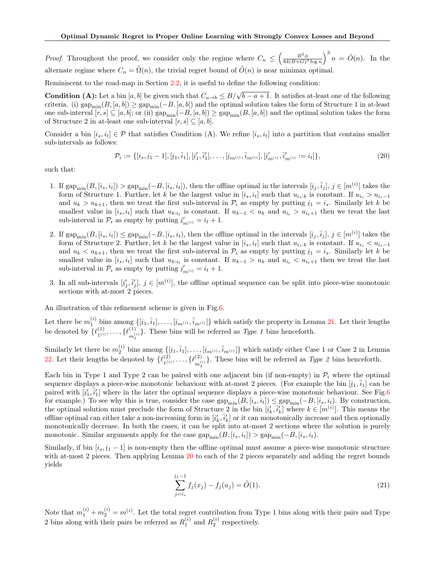*Proof.* Throughout the proof, we consider only the regime where  $C_n \n\t\leq \left(\frac{B^2\phi}{84(B+G)^3\log n}\right)^3 n = \tilde{O}(n)$ . In the alternate regime where  $C_n = \tilde{\Omega}(n)$ , the trivial regret bound of  $\tilde{O}(n)$  is near minimax optimal.

Reminiscent to the road-map in Section [2.2,](#page-2-0) it is useful to define the following condition:

**Condition (A):** Let a bin [a, b] be given such that  $C_{a\to b} \leq B/\sqrt{b-a+1}$ . It satisfies at-least one of the following criteria. (i)  $\text{gap}_{\text{min}}(B, [a, b]) \geq \text{gap}_{\text{min}}(-B, [a, b])$  and the optimal solution takes the form of Structure 1 in at-least one sub-interval  $[r, s] \subseteq [a, b]$ ; or (ii)  $\text{gap}_{\text{min}}(-B, [a, b]) \geq \text{gap}_{\text{min}}(B, [a, b])$  and the optimal solution takes the form of Structure 2 in at-least one sub-interval  $[r, s] \subseteq [a, b]$ .

Consider a bin  $[i_s, i_t] \in \mathcal{P}$  that satisfies Condition (A). We refine  $[i_s, i_t]$  into a partition that contains smaller sub-intervals as follows:

$$
\mathcal{P}_i := \{ [i_s, i_1 - 1], [i_1, \bar{i}_1], [i'_1, \bar{i}'_1], \dots, [i_m, i, \bar{i}_m, i], [i'_m, i, \bar{i}'_m, i]} = i_t] \},\tag{20}
$$

such that:

- 1. If  $\text{gap}_{\text{min}}(B, [i_s, i_t]) > \text{gap}_{\text{min}}(-B, [i_s, i_t])$ , then the offline optimal in the intervals  $[i_j, \overline{i}_j]$ ,  $j \in [m^{(i)}]$  takes the  $\sum_{i=1}^{\infty} \sum_{i=1}^{\infty} \sum_{i=1}^{\infty} \sum_{i=1}^{\infty} \sum_{i=1}^{\infty} \sum_{i=1}^{\infty} \sum_{i=1}^{\infty} \sum_{i=1}^{\infty} \sum_{i=1}^{\infty} \sum_{i=1}^{\infty} \sum_{i=1}^{\infty} \sum_{i=1}^{\infty} \sum_{i=1}^{\infty} \sum_{i=1}^{\infty} \sum_{i=1}^{\infty} \sum_{i=1}^{\infty} \sum_{i=1}^{\infty} \sum_{i=1}^{\infty} \sum_{i$ and  $u_k > u_{k+1}$ , then we treat the first sub-interval in  $\mathcal{P}_i$  as empty by putting  $i_1 = i_s$ . Similarly let k be smallest value in  $[i_s, i_t]$  such that  $u_{k:i_t}$  is constant. If  $u_{k-1} < u_k$  and  $u_{i_t} > u_{i_t+1}$  then we treat the last sub-interval in  $\mathcal{P}_i$  as empty by putting  $\underline{i}'_{m^{(i)}} = i_t + 1$ .
- 2. If  $\text{gap}_{\text{min}}(B, [i_s, i_t]) \leq \text{gap}_{\text{min}}(-B, [i_s, i_t])$ , then the offline optimal in the intervals  $[i_j, \overline{i}_j]$ ,  $j \in [m^{(i)}]$  takes the  $\sum_{i=1}^{\infty} \sum_{i=1}^{\infty} \sum_{i=1}^{\infty} \sum_{i=1}^{\infty} \sum_{i=1}^{\infty} \sum_{i=1}^{\infty} \sum_{i=1}^{\infty} \sum_{i=1}^{\infty} \sum_{i=1}^{\infty} \sum_{i=1}^{\infty} \sum_{i=1}^{\infty} \sum_{i=1}^{\infty} \sum_{i=1}^{\infty} \sum_{i=1}^{\infty} \sum_{i=1}^{\infty} \sum_{i=1}^{\infty} \sum_{i=1}^{\infty} \sum_{i=1}^{\infty} \sum_{i$ and  $u_k < u_{k+1}$ , then we treat the first sub-interval in  $\mathcal{P}_i$  as empty by putting  $i_1 = i_s$ . Similarly let k be smallest value in  $[i_s, i_t]$  such that  $u_{k:i_t}$  is constant. If  $u_{k-1} > u_k$  and  $u_{i_t} < u_{i_t+1}$  then we treat the last sub-interval in  $\mathcal{P}_i$  as empty by putting  $\underline{i}'_{m^{(i)}} = i_t + 1$ .
- 3. In all sub-intervals  $[i'_j, \bar{i}'_j]$ ,  $j \in [m^{(i)}]$ , the offline optimal sequence can be split into piece-wise monotonic sections with at-most 2 pieces.

An illustration of this refinement scheme is given in Fig[.6.](#page-23-0)

Let there be  $m_1^{(i)}$  bins among  $\{[\underline{i}_1, \overline{i}_1], \ldots, [\underline{i}_m^{(i)}, \overline{i}_m^{(i)}]\}$  which satisfy the property in Lemma [21.](#page-18-2) Let their lengths be denoted by  $\{\ell_{1^{(i)}}^{(1)}\}$  $\{1\choose 1^{(i)},\cdots,\{ \ell_{m}^{(1)}\}}$  $\binom{1}{m_1^{(i)}}$ . These bins will be referred as *Type 1* bins henceforth.

Similarly let there be  $m_2^{(i)}$  bins among  $\{[\underline{i}_1, \overline{i}_1], \ldots, [\underline{i}_m(i), \overline{i}_m(i)]\}$  which satisfy either Case 1 or Case 2 in Lemma [22.](#page-19-0) Let their lengths be denoted by  $\{\ell_{1^{(i)}}^{(2)}\}$  $\{\ell_{1^{(i)}}^{(2)},\ldots,\ell_{m_{\alpha}}^{(2)}\}$  $\binom{z}{m_2^{(i)}}$ . These bins will be referred as *Type 2* bins henceforth.

Each bin in Type 1 and Type 2 can be paired with one adjacent bin (if non-empty) in  $\mathcal{P}_i$  where the optimal sequence displays a piece-wise monotonic behaviour with at-most 2 pieces. (For example the bin  $[\underline{i}_1,\overline{i}_1]$  can be paired with  $[\underline{i}'_1, \overline{i}'_1]$  where in the later the optimal sequence displays a piece-wise monotonic behaviour. See Fig[.6](#page-23-0) for example.) To see why this is true, consider the case  $\text{gap}_{\text{min}}(B, [i_s, i_t]) \leq \text{gap}_{\text{min}}(-B, [i_s, i_t])$ . By construction, the optimal solution must preclude the form of Structure 2 in the bin  $[i'_k, \bar{i}'_k]$  where  $k \in [m^{(i)}]$ . This means the offline optimal can either take a non-increasing form in  $[i'_k, \bar{i}'_k]$  or it can monotonically increase and then optionally monotonically decrease. In both the cases, it can be split into at-most 2 sections where the solution is purely monotonic. Similar arguments apply for the case  $\text{gap}_{\text{min}}(B, [i_s, i_t]) > \text{gap}_{\text{min}}(-B, [i_s, i_t])$ .

Similarly, if bin  $[i_s, i_1 - 1]$  is non-empty then the offline optimal must assume a piece-wise monotonic structure with at-most 2 pieces. Then applying Lemma  $20$  to each of the 2 pieces separately and adding the regret bounds yields

<span id="page-21-0"></span>
$$
\sum_{j=i_s}^{i_1-1} f_j(x_j) - f_j(u_j) = \tilde{O}(1).
$$
\n(21)

Note that  $m_1^{(i)} + m_2^{(i)} = m^{(i)}$ . Let the total regret contribution from Type 1 bins along with their pairs and Type 2 bins along with their pairs be referred as  $R_1^{(i)}$  and  $R_2^{(i)}$  respectively.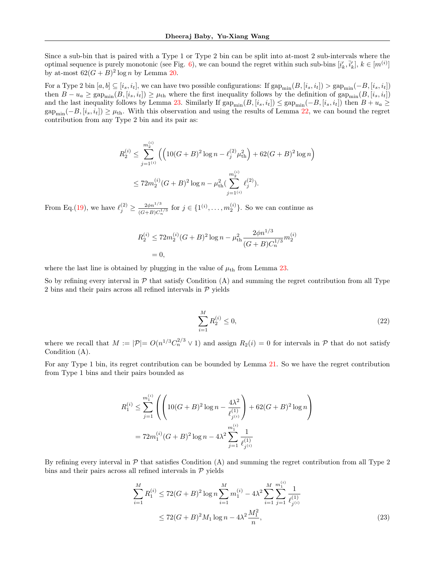Since a sub-bin that is paired with a Type 1 or Type 2 bin can be split into at-most 2 sub-intervals where the optimal sequence is purely monotonic (see Fig. [6\)](#page-23-0), we can bound the regret within such sub-bins  $[\underline{i}'_k, \overline{i}'_k]$ ,  $k \in [m^{(i)}]$ <br>by at most  $62(C + R)^2 \log n$  by Lomma 20 by at-most  $62(G + B)^2 \log n$  by Lemma [20.](#page-17-0)

For a Type 2 bin  $[a, b] \subseteq [i_s, i_t]$ , we can have two possible configurations: If  $\text{gap}_{\text{min}}(B, [i_s, i_t]) > \text{gap}_{\text{min}}(-B, [i_s, i_t])$ then  $B - u_a \ge \text{gap}_{\text{min}}(B, [i_s, i_t]) \ge \mu_{\text{th}}$  where the first inequality follows by the definition of  $\text{gap}_{\text{min}}(B, [i_s, i_t])$ and the last inequality follows by Lemma [23.](#page-20-0) Similarly If  $\text{gap}_{\text{min}}(B, [i_s, i_t]) \leq \text{gap}_{\text{min}}(-B, [i_s, i_t])$  then  $B + u_a \geq$  $\text{gap}_{\text{min}}(-B, [i_s, i_t]) \geq \mu_{\text{th}}$ . With this observation and using the results of Lemma [22,](#page-19-0) we can bound the regret contribution from any Type 2 bin and its pair as:

$$
R_2^{(i)} \le \sum_{j=1^{(i)}}^{m_2^{(i)}} \left( \left( 10(G+B)^2 \log n - \ell_j^{(2)} \mu_{\text{th}}^2 \right) + 62(G+B)^2 \log n \right)
$$
  

$$
\le 72m_2^{(i)}(G+B)^2 \log n - \mu_{\text{th}}^2 \left( \sum_{j=1^{(i)}}^{m_2^{(i)}} \ell_j^{(2)} \right).
$$

From Eq.[\(19\)](#page-20-3), we have  $\ell_j^{(2)} \ge \frac{2\phi n^{1/3}}{(G+B)C_s^3}$  $\frac{2\phi n^{1/3}}{(G+B)C_n^{1/3}}$  for  $j \in \{1^{(i)}, \ldots, m_2^{(i)}\}$ . So we can continue as

$$
R_2^{(i)} \le 72m_2^{(i)}(G+B)^2 \log n - \mu_{\text{th}}^2 \frac{2\phi n^{1/3}}{(G+B)C_n^{1/3}} m_2^{(i)}
$$
  
= 0,

where the last line is obtained by plugging in the value of  $\mu_{th}$  from Lemma [23.](#page-20-0)

So by refining every interval in  $P$  that satisfy Condition (A) and summing the regret contribution from all Type 2 bins and their pairs across all refined intervals in  $P$  yields

<span id="page-22-1"></span>
$$
\sum_{i=1}^{M} R_2^{(i)} \le 0,\t\t(22)
$$

where we recall that  $M := |\mathcal{P}| = O(n^{1/3} C_n^{2/3} \vee 1)$  and assign  $R_2(i) = 0$  for intervals in  $\mathcal{P}$  that do not satisfy Condition (A).

For any Type 1 bin, its regret contribution can be bounded by Lemma [21.](#page-18-2) So we have the regret contribution from Type 1 bins and their pairs bounded as

$$
R_1^{(i)} \le \sum_{j=1}^{m_1^{(i)}} \left( \left( 10(G+B)^2 \log n - \frac{4\lambda^2}{\ell_{j^{(i)}}^{(1)}} \right) + 62(G+B)^2 \log n \right)
$$
  
=  $72m_1^{(i)}(G+B)^2 \log n - 4\lambda^2 \sum_{j=1}^{m_1^{(i)}} \frac{1}{\ell_{j^{(i)}}^{(1)}}$ 

By refining every interval in  $P$  that satisfies Condition (A) and summing the regret contribution from all Type 2 bins and their pairs across all refined intervals in  $\mathcal P$  yields

<span id="page-22-0"></span>
$$
\sum_{i=1}^{M} R_1^{(i)} \le 72(G+B)^2 \log n \sum_{i=1}^{M} m_1^{(i)} - 4\lambda^2 \sum_{i=1}^{M} \sum_{j=1}^{m_1^{(i)}} \frac{1}{\ell_{j^{(i)}}^{(1)}}
$$
  
 
$$
\le 72(G+B)^2 M_1 \log n - 4\lambda^2 \frac{M_1^2}{n},
$$
 (23)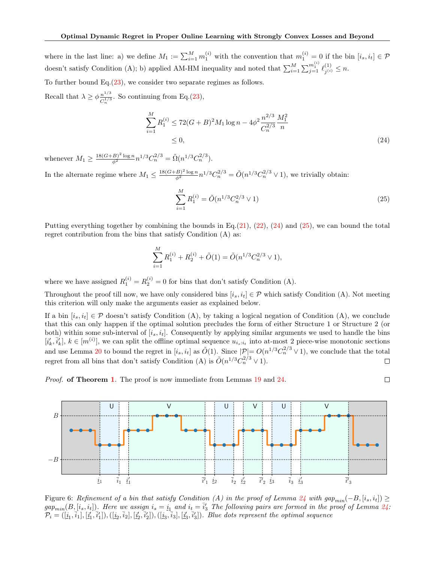where in the last line: a) we define  $M_1 := \sum_{i=1}^M m_1^{(i)}$  with the convention that  $m_1^{(i)} = 0$  if the bin  $[i_s, i_t] \in \mathcal{P}$ doesn't satisfy Condition (A); b) applied AM-HM inequality and noted that  $\sum_{i=1}^{M} \sum_{j=1}^{m_1^{(i)}} \ell_{j^{(i)}}^{(1)}$  $j^{(1)} \leq n$ .

To further bound Eq.[\(23\)](#page-22-0), we consider two separate regimes as follows.

Recall that  $\lambda \geq \phi \frac{n^{1/3}}{C_2^{1/3}}$  $\frac{n^{1/3}}{C_n^{1/3}}$ . So continuing from Eq.[\(23\)](#page-22-0),

$$
\sum_{i=1}^{M} R_1^{(i)} \le 72(G+B)^2 M_1 \log n - 4\phi^2 \frac{n^{2/3}}{C_n^{2/3}} \frac{M_1^2}{n}
$$
\n
$$
\le 0,
$$
\n(24)

whenever  $M_1 \ge \frac{18(G+B)^2 \log n}{\phi^2} n^{1/3} C_n^{2/3} = \tilde{\Omega}(n^{1/3} C_n^{2/3}).$ 

In the alternate regime where  $M_1 \leq \frac{18(G+B)^2 \log n}{\phi^2} n^{1/3} C_n^{2/3} = \tilde{O}(n^{1/3} C_n^{2/3} \vee 1)$ , we trivially obtain:

<span id="page-23-1"></span>
$$
\sum_{i=1}^{M} R_1^{(i)} = \tilde{O}(n^{1/3} C_n^{2/3} \vee 1)
$$
\n(25)

<span id="page-23-2"></span> $\Box$ 

Putting everything together by combining the bounds in Eq.[\(21\)](#page-21-0), [\(22\)](#page-22-1), [\(24\)](#page-23-1) and [\(25\)](#page-23-2), we can bound the total regret contribution from the bins that satisfy Condition (A) as:

$$
\sum_{i=1}^{M} R_1^{(i)} + R_2^{(i)} + \tilde{O}(1) = \tilde{O}(n^{1/3} C_n^{2/3} \vee 1),
$$

where we have assigned  $R_1^{(i)} = R_2^{(i)} = 0$  for bins that don't satisfy Condition (A).

Throughout the proof till now, we have only considered bins  $[i_s, i_t] \in \mathcal{P}$  which satisfy Condition (A). Not meeting this criterion will only make the arguments easier as explained below.

If a bin  $[i_s, i_t] \in \mathcal{P}$  doesn't satisfy Condition (A), by taking a logical negation of Condition (A), we conclude that this can only happen if the optimal solution precludes the form of either Structure 1 or Structure 2 (or both) within some sub-interval of  $[i_s, i_t]$ . Consequently by applying similar arguments we used to handle the bins  $[i'_k, \overline{i}'_k]$ ,  $k \in [m^{(i)}]$ , we can split the offline optimal sequence  $u_{i_s:i_t}$  into at-most 2 piece-wise monotonic sections and use Lemma [20](#page-17-0) to bound the regret in  $[i_s, i_t]$  as  $\tilde{O}(1)$ . Since  $|\mathcal{P}| = O(n^{1/3}C_n^{2/3} \vee 1)$ , we conclude that the total regret from all bins that don't satisfy Condition (A) is  $\tilde{O}(n^{1/3}C_n^{2/3} \vee 1)$ .  $\Box$ 

Proof. of Theorem [1](#page-1-0). The proof is now immediate from Lemmas [19](#page-16-0) and [24.](#page-20-1)

<span id="page-23-0"></span>

Figure 6: Refinement of a bin that satisfy Condition (A) in the proof of Lemma [24](#page-20-1) with  $gap_{min}(-B, [i_s, i_t]) \ge$  $gap_{min}(B, [i_s, i_t])$ . Here we assign  $i_s = i_1$  and  $i_t = \overline{i}'_3$  The following pairs are formed in the proof of Lemma [24:](#page-20-1)  $\mathcal{P}_i = ([i_1, \bar{i}_1], [i'_1, \bar{i}'_1]), ([i_2, \bar{i}_2], [i'_2, \bar{i}'_2]), ([i_3, \bar{i}_3], [i'_3, \bar{i}'_3]).$  Blue dots represent the optimal sequence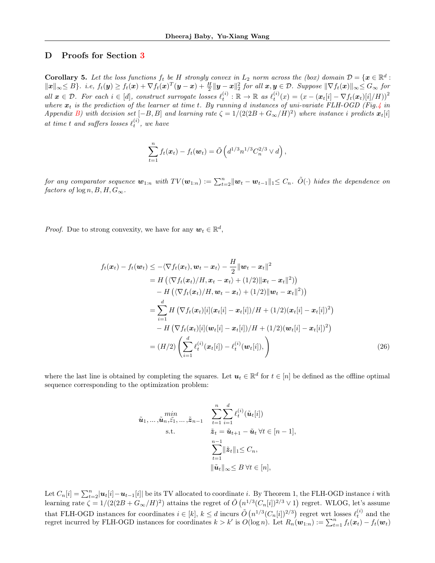## <span id="page-24-0"></span>D Proofs for Section [3](#page-5-2)

**Corollary 5.** Let the loss functions  $f_t$  be H strongly convex in  $L_2$  norm across the (box) domain  $\mathcal{D} = \{x \in \mathbb{R}^d :$  $||x||_{\infty} \leq B$ . i.e,  $f_t(\mathbf{y}) \geq f_t(\mathbf{x}) + \nabla f_t(\mathbf{x})^T(\mathbf{y}-\mathbf{x}) + \frac{H}{2} ||\mathbf{y}-\mathbf{x}||_2^2$  for all  $\mathbf{x}, \mathbf{y} \in \mathcal{D}$ . Suppose  $||\nabla f_t(\mathbf{x})||_{\infty} \leq G_{\infty}$  for all  $x \in \mathcal{D}$ . For each  $i \in [d]$ , construct surrogate losses  $\ell_t^{(i)} : \mathbb{R} \to \mathbb{R}$  as  $\ell_t^{(i)}(x) = (x - (x_t[i] - \nabla f_t(x_t)[i]/H))^2$ where  $x_t$  is the prediction of the learner at time t. By running d instances of uni-variate FLH-OGD (Fig[.4](#page-12-1) in Appendix [B\)](#page-11-0) with decision set  $[-B, B]$  and learning rate  $\zeta = 1/(2(2B + G_{\infty}/H)^2)$  where instance i predicts  $x_t[i]$ at time t and suffers losses  $\ell_t^{(i)}$ , we have

$$
\sum_{t=1}^n f_t(\mathbf{x}_t) - f_t(\mathbf{w}_t) = \tilde{O}\left(d^{1/3}n^{1/3}C_n^{2/3} \vee d\right),
$$

for any comparator sequence  $\mathbf{w}_{1:n}$  with  $TV(\mathbf{w}_{1:n}) := \sum_{t=2}^{n} ||\mathbf{w}_t - \mathbf{w}_{t-1}||_1 \leq C_n$ .  $\tilde{O}(\cdot)$  hides the dependence on factors of  $\log n, B, H, G_{\infty}$ .

*Proof.* Due to strong convexity, we have for any  $w_t \in \mathbb{R}^d$ ,

$$
f_t(\boldsymbol{x}_t) - f_t(\boldsymbol{w}_t) \le -\langle \nabla f_t(\boldsymbol{x}_t), \boldsymbol{w}_t - \boldsymbol{x}_t \rangle - \frac{H}{2} || \boldsymbol{w}_t - \boldsymbol{x}_t ||^2
$$
  
\n
$$
= H\left( \langle \nabla f_t(\boldsymbol{x}_t) / H, \boldsymbol{x}_t - \boldsymbol{x}_t \rangle + (1/2) || \boldsymbol{x}_t - \boldsymbol{x}_t ||^2 \right) \right)
$$
  
\n
$$
- H\left( \langle \nabla f_t(\boldsymbol{x}_t) / H, \boldsymbol{w}_t - \boldsymbol{x}_t \rangle + (1/2) || \boldsymbol{w}_t - \boldsymbol{x}_t ||^2 \right) \right)
$$
  
\n
$$
= \sum_{i=1}^d H\left( \nabla f_t(\boldsymbol{x}_t) [i] (\boldsymbol{x}_t[i] - \boldsymbol{x}_t[i]) / H + (1/2) (\boldsymbol{x}_t[i] - \boldsymbol{x}_t[i])^2 \right)
$$
  
\n
$$
- H\left( \nabla f_t(\boldsymbol{x}_t) [i] (\boldsymbol{w}_t[i] - \boldsymbol{x}_t[i]) / H + (1/2) (\boldsymbol{w}_t[i] - \boldsymbol{x}_t[i])^2 \right)
$$
  
\n
$$
= (H/2) \left( \sum_{i=1}^d \ell_t^{(i)}(\boldsymbol{x}_t[i]) - \ell_t^{(i)}(\boldsymbol{w}_t[i]), \right) \tag{26}
$$

where the last line is obtained by completing the squares. Let  $u_t \in \mathbb{R}^d$  for  $t \in [n]$  be defined as the offline optimal sequence corresponding to the optimization problem:

<span id="page-24-1"></span>
$$
\tilde{u}_1, \dots, \tilde{u}_n, \tilde{z}_1, \dots, \tilde{z}_{n-1} \quad \sum_{t=1}^n \sum_{i=1}^d \ell_t^{(i)}(\tilde{u}_t[i])
$$
\ns.t.\n
$$
\tilde{z}_t = \tilde{u}_{t+1} - \tilde{u}_t \,\forall t \in [n-1],
$$
\n
$$
\sum_{t=1}^{n-1} \|\tilde{z}_t\|_1 \leq C_n,
$$
\n
$$
\|\tilde{u}_t\|_{\infty} \leq B \,\forall t \in [n],
$$

Let  $C_n[i] = \sum_{t=2}^n |\mathbf{u}_t[i] - \mathbf{u}_{t-1}[i]|$  be its TV allocated to coordinate i. By Theorem 1, the FLH-OGD instance i with learning rate  $\zeta = 1/(2(2B + G_{\infty}/H)^2)$  attains the regret of  $\tilde{O}(n^{1/3}(C_n[i])^{2/3} \vee 1)$  regret. WLOG, let's assume that FLH-OGD instances for coordinates  $i \in [k]$ ,  $k \leq d$  incurs  $\tilde{O}(n^{1/3}(C_n[i])^{2/3})$  regret wrt losses  $\ell_t^{(i)}$  and the regret incurred by FLH-OGD instances for coordinates  $k > k'$  is  $O(\log n)$ . Let  $R_n(\mathbf{w}_{1:n}) := \sum_{t=1}^n f_t(\mathbf{x}_t) - f_t(\mathbf{w}_t)$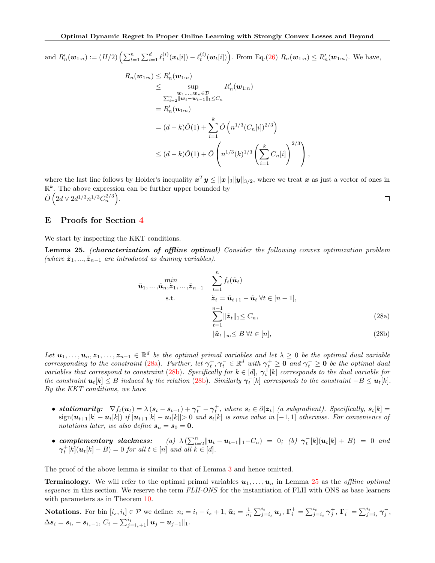and  $R'_n(\boldsymbol{w}_{1:n}) := (H/2) \left( \sum_{t=1}^n \sum_{i=1}^d \ell_t^{(i)}(\boldsymbol{x}_t[i]) - \ell_t^{(i)}(\boldsymbol{w}_t[i]) \right)$ . From Eq.[\(26\)](#page-24-1)  $R_n(\boldsymbol{w}_{1:n}) \le R'_n(\boldsymbol{w}_{1:n})$ . We have,

$$
R_n(\mathbf{w}_{1:n}) \leq R'_n(\mathbf{w}_{1:n})
$$
  
\n
$$
\leq \sup_{\mathbf{w}_1, \dots, \mathbf{w}_n \in \mathcal{D} \atop \sum_{i=2}^n ||\mathbf{w}_t - \mathbf{w}_{t-1}||_1 \leq C_n} R'_n(\mathbf{w}_{1:n})
$$
  
\n
$$
= R'_n(\mathbf{u}_{1:n})
$$
  
\n
$$
= (d - k)\tilde{O}(1) + \sum_{i=1}^k \tilde{O}\left(n^{1/3}(C_n[i])^{2/3}\right)
$$
  
\n
$$
\leq (d - k)\tilde{O}(1) + \tilde{O}\left(n^{1/3}(k)^{1/3}\left(\sum_{i=1}^k C_n[i]\right)^{2/3}\right),
$$

where the last line follows by Holder's inequality  $x^T y \le ||x||_3 ||y||_{3/2}$ , where we treat x as just a vector of ones in  $\mathbb{R}^k$ . The above expression can be further upper bounded by  $\tilde{O}\left(2d\vee 2d^{1/3}n^{1/3}C_n^{2/3}\right)$ .  $\Box$ 

### <span id="page-25-0"></span>E Proofs for Section [4](#page-6-3)

We start by inspecting the KKT conditions.

<span id="page-25-1"></span>Lemma 25. (characterization of offline optimal) Consider the following convex optimization problem (where  $\tilde{\boldsymbol{z}}_1, ..., \tilde{\boldsymbol{z}}_{n-1}$  are introduced as dummy variables).

<span id="page-25-3"></span><span id="page-25-2"></span>
$$
\tilde{u}_1, \dots, \tilde{u}_n, \tilde{z}_1, \dots, \tilde{z}_{n-1} \quad \sum_{t=1}^n f_t(\tilde{u}_t)
$$
\ns.t.\n
$$
\tilde{z}_t = \tilde{u}_{t+1} - \tilde{u}_t \,\forall t \in [n-1],
$$
\n
$$
\sum_{t=1}^{n-1} \|\tilde{z}_t\|_1 \leq C_n,
$$
\n
$$
\|\tilde{u}_t\|_{\infty} \leq B \,\forall t \in [n],
$$
\n(28b)

Let  $u_1, \ldots, u_n, z_1, \ldots, z_{n-1} \in \mathbb{R}^d$  be the optimal primal variables and let  $\lambda \geq 0$  be the optimal dual variable corresponding to the constraint [\(28a\)](#page-25-2). Further, let  $\gamma_t^+$ ,  $\gamma_t^- \in \mathbb{R}^d$  with  $\gamma_t^+ \geq 0$  and  $\gamma_t^- \geq 0$  be the optimal dual variables that correspond to constraint [\(28b\)](#page-25-3). Specifically for  $k \in [d]$ ,  $\gamma_t^+[k]$  corresponds to the dual variable for the constraint  $u_t[k] \leq B$  induced by the relation [\(28b\)](#page-25-3). Similarly  $\gamma_t^{-}[k]$  corresponds to the constraint  $-B \leq u_t[k]$ . By the KKT conditions, we have

- stationarity:  $\nabla f_t(\mathbf{u}_t) = \lambda (s_t s_{t-1}) + \gamma_t^- \gamma_t^+$ , where  $s_t \in \partial |z_t|$  (a subgradient). Specifically,  $s_t[k] =$  $sign(\mathbf{u}_{t+1}[k] - \mathbf{u}_t[k])$  if  $|\mathbf{u}_{t+1}[k] - \mathbf{u}_t[k]| > 0$  and  $\mathbf{s}_t[k]$  is some value in  $[-1,1]$  otherwise. For convenience of notations later, we also define  $s_n = s_0 = 0$ .
- complementary slackness: (a)  $\lambda \left( \sum_{t=2}^{n} ||u_t u_{t-1}||_1 C_n \right) = 0$ ; (b)  $\gamma_t^{-}[k](u_t[k] + B) = 0$  and  $\gamma_t^+[k](u_t[k]-B)=0$  for all  $t\in[n]$  and all  $k\in[d]$ .

The proof of the above lemma is similar to that of Lemma [3](#page-2-4) and hence omitted.

**Terminology.** We will refer to the optimal primal variables  $u_1, \ldots, u_n$  in Lemma [25](#page-25-1) as the *offline optimal* sequence in this section. We reserve the term FLH-ONS for the instantiation of FLH with ONS as base learners with parameters as in Theorem [10.](#page-7-0)

**Notations.** For bin  $[i_s, i_t] \in \mathcal{P}$  we define:  $n_i = i_t - i_s + 1$ ,  $\bar{u}_i = \frac{1}{n_i} \sum_{j=i_s}^{i_t} u_j$ ,  $\Gamma_i^+ = \sum_{j=i_s}^{i_t} \gamma_j^+$ ,  $\Gamma_i^- = \sum_{j=i_s}^{i_t} \gamma_j^-$ ,  $\Delta \boldsymbol{s}_{i} = \boldsymbol{s}_{i_{t}} - \boldsymbol{s}_{i_{s}-1}, \, C_{i} = \sum_{j=i_{s}+1}^{i_{t}} \lVert \boldsymbol{u}_{j} - \boldsymbol{u}_{j-1} \rVert_{1}.$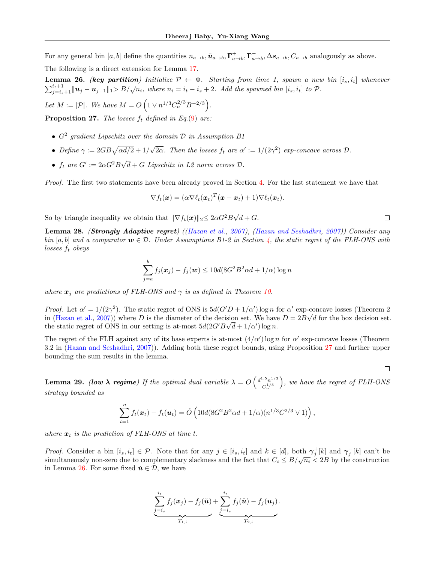For any general bin  $[a, b]$  define the quantities  $n_{a\to b}$ ,  $\overline{\mathbf{u}}_{a\to b}$ ,  $\Gamma^+_{a\to b}$ ,  $\Gamma^-_{a\to b}$ ,  $\Delta s_{a\to b}$ ,  $C_{a\to b}$  analogously as above.

The following is a direct extension for Lemma [17.](#page-15-0)

<span id="page-26-0"></span>**Lemma 26.** (key partition) Initialize  $P \leftarrow \Phi$ . Starting from time 1, spawn a new bin  $[i_s, i_t]$  whenever  $\sum_{j=i_s+1}^{i_t+1} ||u_j - u_{j-1}||_1 > B/\sqrt{n_i}$ , where  $n_i = i_t - i_s + 2$ . Add the spawned bin  $[i_s, i_t]$  to  $\mathcal{P}$ .

Let  $M := |\mathcal{P}|$ . We have  $M = O\left(1 \vee n^{1/3} C_n^{2/3} B^{-2/3}\right)$ .

<span id="page-26-2"></span>**Proposition 27.** The losses  $f_t$  defined in Eq.[\(9\)](#page-7-2) are:

- $G^2$  gradient Lipschitz over the domain  $\mathcal D$  in Assumption B1
- Define  $\gamma := 2GB\sqrt{\alpha d/2} + 1/\sqrt{2\alpha}$ . Then the losses  $f_t$  are  $\alpha' := 1/(2\gamma^2)$  exp-concave across  $\mathcal{D}$ .
- $f_t$  are  $G' := 2\alpha G^2 B \sqrt{d} + G$  Lipschitz in L2 norm across  $D$ .

Proof. The first two statements have been already proved in Section [4.](#page-6-3) For the last statement we have that

$$
\nabla f_t(\boldsymbol{x}) = (\alpha \nabla \ell_t(\boldsymbol{x}_t)^T (\boldsymbol{x} - \boldsymbol{x}_t) + 1) \nabla \ell_t(\boldsymbol{x}_t).
$$

So by triangle inequality we obtain that  $\|\nabla f_t(\boldsymbol{x})\|_2 \leq 2\alpha G^2B\sqrt{d} + G$ .

<span id="page-26-3"></span>Lemma 28. *(Strongly Adaptive regret) ([\(Hazan et al.,](#page-9-4) [2007\)](#page-9-2), [\(Hazan and Seshadhri,](#page-9-2) 2007)) Consider any* bin [a, b] and a comparator  $w \in \mathcal{D}$ . Under Assumptions B1-2 in Section [4,](#page-6-3) the static regret of the FLH-ONS with losses  $f_t$  obeys

$$
\sum_{j=a}^{b} f_j(\boldsymbol{x}_j) - f_j(\boldsymbol{w}) \le 10d(8G^2B^2\alpha d + 1/\alpha)\log n
$$

where  $x_j$  are predictions of FLH-ONS and  $\gamma$  is as defined in Theorem [10.](#page-7-0)

*Proof.* Let  $\alpha' = 1/(2\gamma^2)$ . The static regret of ONS is  $5d(G'D + 1/\alpha')\log n$  for  $\alpha'$  exp-concave losses (Theorem 2) in [\(Hazan et al.,](#page-9-4) [2007\)](#page-9-4)) where D is the diameter of the decision set. We have  $D = 2B\sqrt{d}$  for the box decision set. the static regret of ONS in our setting is at-most  $5d(2G'B\sqrt{d}+1/\alpha')\log n$ .

The regret of the FLH against any of its base experts is at-most  $(4/\alpha')\log n$  for  $\alpha'$  exp-concave losses (Theorem 3.2 in [\(Hazan and Seshadhri,](#page-9-2) [2007\)](#page-9-2)). Adding both these regret bounds, using Proposition [27](#page-26-2) and further upper bounding the sum results in the lemma.

 $\Box$ 

<span id="page-26-1"></span>**Lemma 29.** (low  $\lambda$  regime) If the optimal dual variable  $\lambda = O\left(\frac{d^{1.5}n^{1/3}}{c^{1/3}}\right)$  $C_n^{1/3}$  , we have the regret of FLH-ONS strategy bounded as

$$
\sum_{t=1}^{n} f_t(\boldsymbol{x}_t) - f_t(\boldsymbol{u}_t) = \tilde{O}\left(10d(8G^2B^2\alpha d + 1/\alpha)(n^{1/3}C^{2/3} \vee 1)\right),
$$

where  $x_t$  is the prediction of FLH-ONS at time t.

Proof. Consider a bin  $[i_s, i_t] \in \mathcal{P}$ . Note that for any  $j \in [i_s, i_t]$  and  $k \in [d]$ , both  $\gamma_j^+[k]$  and  $\gamma_j^-[k]$  can't be simultaneously non-zero due to complementary slackness and the fact that  $C_i \leq B/\sqrt{n_i} < 2B$  by the construction in Lemma [26.](#page-26-0) For some fixed  $\check{u} \in \mathcal{D}$ , we have

$$
\underbrace{\sum_{j=i_s}^{i_t} f_j(\boldsymbol{x}_j) - f_j(\boldsymbol{\check{u}})}_{T_{1,i}} + \underbrace{\sum_{j=i_s}^{i_t} f_j(\boldsymbol{\check{u}}) - f_j(\boldsymbol{u}_j)}_{T_{2,i}}.
$$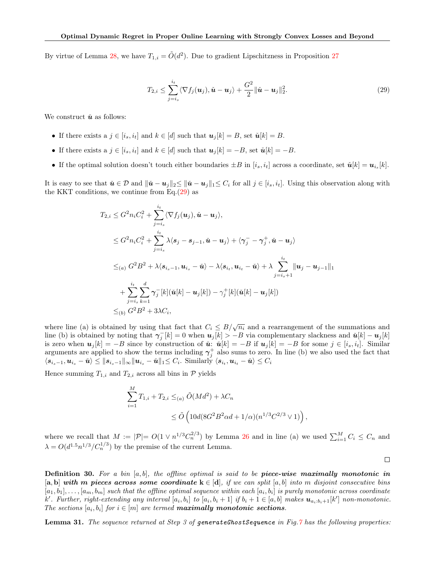By virtue of Lemma [28,](#page-26-3) we have  $T_{1,i} = \tilde{O}(d^2)$ . Due to gradient Lipschitzness in Proposition [27](#page-26-2)

<span id="page-27-1"></span>
$$
T_{2,i} \leq \sum_{j=i_s}^{i_t} \langle \nabla f_j(\boldsymbol{u}_j), \tilde{\boldsymbol{u}} - \boldsymbol{u}_j \rangle + \frac{G^2}{2} ||\tilde{\boldsymbol{u}} - \boldsymbol{u}_j||_2^2.
$$
 (29)

We construct  $\check{u}$  as follows:

- If there exists a  $j \in [i_s, i_t]$  and  $k \in [d]$  such that  $u_j[k] = B$ , set  $\check{u}[k] = B$ .
- If there exists a  $j \in [i_s, i_t]$  and  $k \in [d]$  such that  $u_j[k] = -B$ , set  $\check{u}[k] = -B$ .
- If the optimal solution doesn't touch either boundaries  $\pm B$  in  $[i_s, i_t]$  across a coordinate, set  $\check{u}[k] = u_{i_s}[k]$ .

It is easy to see that  $\check{u} \in \mathcal{D}$  and  $\|\check{u} - u_j\|_2 \le \|\check{u} - u_j\|_1 \le C_i$  for all  $j \in [i_s, i_t]$ . Using this observation along with the KKT conditions, we continue from  $Eq.(29)$  $Eq.(29)$  as

$$
T_{2,i} \leq G^2 n_i C_i^2 + \sum_{j=i_s}^{i_t} \langle \nabla f_j(\boldsymbol{u}_j), \boldsymbol{\check{u}} - \boldsymbol{u}_j \rangle,
$$
  
\n
$$
\leq G^2 n_i C_i^2 + \sum_{j=i_s}^{i_t} \lambda \langle \boldsymbol{s}_j - \boldsymbol{s}_{j-1}, \boldsymbol{\check{u}} - \boldsymbol{u}_j \rangle + \langle \boldsymbol{\gamma}_j^- - \boldsymbol{\gamma}_j^+, \boldsymbol{\check{u}} - \boldsymbol{u}_j \rangle
$$
  
\n
$$
\leq_{(a)} G^2 B^2 + \lambda \langle \boldsymbol{s}_{i_s-1}, \boldsymbol{u}_{i_s} - \boldsymbol{\check{u}} \rangle - \lambda \langle \boldsymbol{s}_{i_t}, \boldsymbol{u}_{i_t} - \boldsymbol{\check{u}} \rangle + \lambda \sum_{j=i_s+1}^{i_t} \|\boldsymbol{u}_j - \boldsymbol{u}_{j-1}\|_1
$$
  
\n
$$
+ \sum_{j=i_s}^{i_t} \sum_{k=1}^d \gamma_j^- [k] (\boldsymbol{\check{u}}[k] - \boldsymbol{u}_j[k]) - \gamma_j^+ [k] (\boldsymbol{\check{u}}[k] - \boldsymbol{u}_j[k])
$$
  
\n
$$
\leq_{(b)} G^2 B^2 + 3\lambda C_i,
$$

where line (a) is obtained by using that fact that  $C_i \leq B/\sqrt{n_i}$  and a rearrangement of the summations and line (b) is obtained by noting that  $\gamma_j^{-}[k] = 0$  when  $u_j[k] > -B$  via complementary slackness and  $\check{u}[k] - u_j[k]$ is zero when  $u_i[k] = -B$  since by construction of  $\check{u}$ :  $\check{u}[k] = -B$  if  $u_i[k] = -B$  for some  $j \in [i_s, i_t]$ . Similar arguments are applied to show the terms including  $\gamma_j^+$  also sums to zero. In line (b) we also used the fact that  $\langle s_{i_s-1}, u_{i_s} - \check{u} \rangle \leq ||s_{i_s-1}||_{\infty} ||u_{i_s} - \check{u}||_1 \leq C_i$ . Similarly  $\langle s_{i_t}, u_{i_t} - \check{u} \rangle \leq C_i$ 

Hence summing  $T_{1,i}$  and  $T_{2,i}$  across all bins in  $P$  yields

$$
\sum_{i=1}^{M} T_{1,i} + T_{2,i} \leq_{(a)} \tilde{O}(Md^2) + \lambda C_n
$$
  
 
$$
\leq \tilde{O}\left(10d(8G^2B^2\alpha d + 1/\alpha)(n^{1/3}C^{2/3} \vee 1)\right),
$$

where we recall that  $M := |\mathcal{P}| = O(1 \vee n^{1/3} C_n^{2/3})$  by Lemma [26](#page-26-0) and in line (a) we used  $\sum_{i=1}^M C_i \leq C_n$  and  $\lambda = O(d^{1.5} n^{1/3} / C_n^{1/3})$  by the premise of the current Lemma.

 $\Box$ 

**Definition 30.** For a bin  $[a, b]$ , the offline optimal is said to be **piece-wise maximally monotonic in**  $[a, b]$  with m pieces across some coordinate  $k \in [d]$ , if we can split  $[a, b]$  into m disjoint consecutive bins  $[a_1,b_1],\ldots,[a_m,b_m]$  such that the offline optimal sequence within each  $[a_i,b_i]$  is purely monotonic across coordinate k'. Further, right-extending any interval  $[a_i, b_i]$  to  $[a_i, b_i + 1]$  if  $b_i + 1 \in [a, b]$  makes  $u_{a_i:b_i+1}[k']$  non-monotonic. The sections  $[a_i, b_i]$  for  $i \in [m]$  are termed **maximally monotonic sections**.

<span id="page-27-0"></span>**Lemma 31.** The sequence returned at Step 3 of generateGhostSequence in Fig[.7](#page-28-0) has the following properties: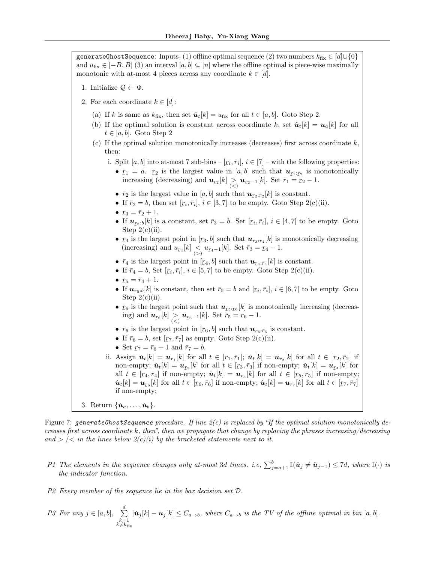<span id="page-28-0"></span>generateGhostSequence: Inputs- (1) offline optimal sequence (2) two numbers  $k_{fix} \in [d] \cup \{0\}$ and  $u_{fix} \in [-B, B]$  (3) an interval  $[a, b] \subseteq [n]$  where the offline optimal is piece-wise maximally monotonic with at-most 4 pieces across any coordinate  $k \in [d]$ .

- 1. Initialize  $\mathcal{Q} \leftarrow \Phi$ .
- 2. For each coordinate  $k \in [d]$ :
	- (a) If k is same as  $k_{\text{fix}}$ , then set  $\tilde{\boldsymbol{u}}_t[k] = u_{\text{fix}}$  for all  $t \in [a, b]$ . Goto Step 2.
	- (b) If the optimal solution is constant across coordinate k, set  $\tilde{u}_t[k] = u_a[k]$  for all  $t \in [a, b]$ . Goto Step 2
	- (c) If the optimal solution monotonically increases (decreases) first across coordinate  $k$ , then:
		- i. Split  $[a, b]$  into at-most 7 sub-bins  $-[r_i, \bar{r}_i], i \in [7]$  with the following properties: •  $r_1 = a$ .  $r_2$  is the largest value in [a, b] such that  $u_{r_1:r_2}$  is monotonically
			- increasing (decreasing) and  $u_{r_2}[k] > u_{r_2-1}[k]$ . Set  $\bar{r}_1 = \bar{r}_2 1$ .
			- $\bar{r}_2$  is the largest value in [a, b] such that  $u_{r_2 \cdot \bar{r}_2}[k]$  is constant.
			- If  $\bar{r}_2 = b$ , then set  $[r_i, \bar{r}_i], i \in [3, 7]$  to be empty. Goto Step 2(c)(ii).
			- $r_3 = \bar{r}_2 + 1.$
			- If  $u_{r_3:b}[k]$  is a constant, set  $\bar{r}_3 = b$ . Set  $[r_i, \bar{r}_i], i \in [4, 7]$  to be empty. Goto  $Step 2(c)(ii).$
			- $r_4$  is the largest point in  $[r_3, b]$  such that  $u_{r_3+r_4}[k]$  is monotonically decreasing (increasing) and  $u_{\underline{r}_4}[k] < u_{\underline{r}_4-1}[k]$ . Set  $\bar{r}_3 = \underline{r}_4 - 1$ .
			- $\bar{r}_4$  is the largest point in [ $r_4$ ,  $b$ ] such that  $u_{r_4:\bar{r}_4}[k]$  is constant.
			- If  $\bar{r}_4 = b$ , Set  $[r_i, \bar{r}_i], i \in [5, 7]$  to be empty. Goto Step 2(c)(ii).
			- $r_5 = \bar{r}_4 + 1.$
			- If  $u_{Ts:b}[k]$  is constant, then set  $\bar{r}_5 = b$  and  $[r_i, \bar{r}_i], i \in [6, 7]$  to be empty. Goto Stop  $2(e)(ii)$  $Step 2(c)(ii)$ .
			- $r_6$  is the largest point such that  $u_{rs:Ts}[k]$  is monotonically increasing (decreas-<br>inc) and  $u_{rs}[k] > u_{rs}[k]$ . Set  $\bar{x}_s = x_{rs} 1$ ing) and  $u_{r_6}[k] > u_{r_6-1}[k]$ . Set  $\bar{r}_5 = r_6 - 1$ .
			- $\bar{r}_6$  is the largest point in [ $r_6$ , b] such that  $u_{r_6:\bar{r}_6}$  is constant.
			- $r_0$  is the largest point in [16,9] start that  $x_{T_6:T_6}$  is <br>• If  $\bar{r}_6 = b$ , set  $[r_7, \bar{r}_7]$  as empty. Goto Step 2(c)(ii).
			- Set  $r_7 = \bar{r}_6 + 1$  and  $\bar{r}_7 = b$ .
		- ii. Assign  $\check{u}_t[k] = u_{r_1}[k]$  for all  $t \in [r_1, \bar{r}_1]$ ;  $\check{u}_t[k] = u_{r_2}[k]$  for all  $t \in [r_2, \bar{r}_2]$  if non-empty;  $\check{u}_t[k] = u_{rs}[k]$  for all  $t \in [r_3, \bar{r}_3]$  if non-empty;  $\check{u}_t[k] = u_{r_4}[k]$  for all  $t \in [r_4, \bar{r}_4]$  if non-empty;  $\check{u}_t[k] = u_{rs}[k]$  for all  $t \in [r_5, \bar{r}_5]$  if non-empty;  $\tilde{u}_t[k] = u_{\bar{t}_0}[k]$  for all  $t \in [r_6, \bar{r}_6]$  if non-empty;  $\tilde{u}_t[k] = u_{\bar{r}_7}[k]$  for all  $t \in [r_7, \bar{r}_7]$ <br>if non-empty:  $\tilde{u}_t[k] = u_{\bar{r}_7}[k]$  for all  $t \in [r_7, \bar{r}_7]$ if non-empty;

3. Return  $\{\check{u}_a, \ldots, \check{u}_b\}$ .

Figure 7: generateGhostSequence procedure. If line  $2(c)$  is replaced by "If the optimal solution monotonically decreases first across coordinate  $k$ , then", then we propagate that change by replacing the phrases increasing/decreasing and  $\geq$  / $\lt$  in the lines below  $2(c)(i)$  by the bracketed statements next to it.

- P1 The elements in the sequence changes only at-most 3d times. i.e,  $\sum_{j=a+1}^{b} \mathbb{I}(\check{u}_j \neq \check{u}_{j-1}) \leq 7d$ , where  $\mathbb{I}(\cdot)$  is the indicator function.
- P2 Every member of the sequence lie in the box decision set D.

$$
P3 \ \text{For any } j \in [a, b], \sum_{\substack{k=1\\k \neq k_{\text{fix}}}}^d |\check{u}_j[k] - u_j[k]| \leq C_{a \to b}, \text{ where } C_{a \to b} \text{ is the TV of the offline optimal in bin } [a, b].
$$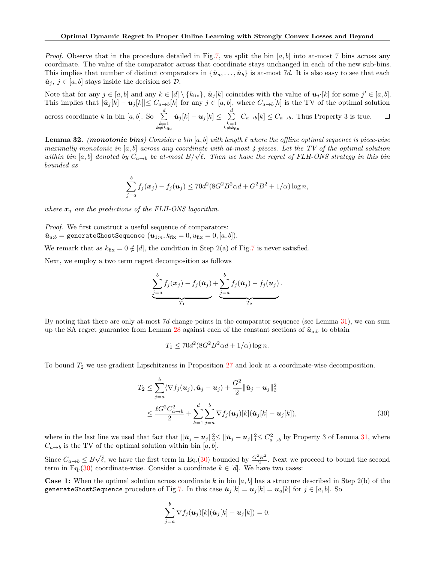*Proof.* Observe that in the procedure detailed in Fig[.7,](#page-28-0) we split the bin [a, b] into at-most 7 bins across any coordinate. The value of the comparator across that coordinate stays unchanged in each of the new sub-bins. This implies that number of distinct comparators in  $\{\check{u}_a, \ldots, \check{u}_b\}$  is at-most 7d. It is also easy to see that each  $\check{u}_j, j \in [a, b]$  stays inside the decision set  $\mathcal{D}$ .

Note that for any  $j \in [a, b]$  and any  $k \in [d] \setminus \{k_{fix}\}, \tilde{\mathbf{u}}_j[k]$  coincides with the value of  $\mathbf{u}_{j'}[k]$  for some  $j' \in [a, b]$ . This implies that  $|\check{u}_j[k] - u_j[k]| \leq C_{a\to b}[k]$  for any  $j \in [a, b]$ , where  $C_{a\to b}[k]$  is the TV of the optimal solution across coordinate k in bin [a, b]. So  $\sum_{n=1}^{d}$ 

 $|\check{\boldsymbol{u}}_j[k]-\boldsymbol{u}_j[k]|\leq \sum\limits_{j=1}^d$  $C_{a\rightarrow b}[k] \leq C_{a\rightarrow b}$ . Thus Property 3 is true.  $\Box$  $k=1$ <br> $k\neq k$ <sub>fix</sub>  $k=1$ <br> $k\neq k$ <sub>fix</sub>

<span id="page-29-0"></span>**Lemma 32.** (monotonic bins) Consider a bin  $[a, b]$  with length  $\ell$  where the offline optimal sequence is piece-wise maximally monotonic in  $[a, b]$  across any coordinate with at-most 4 pieces. Let the TV of the optimal solution within bin  $[a, b]$  denoted by  $C_{a\rightarrow b}$  be at-most  $B/\sqrt{\ell}$ . Then we have the regret of FLH-ONS strategy in this bin bounded as

$$
\sum_{j=a}^{b} f_j(\boldsymbol{x}_j) - f_j(\boldsymbol{u}_j) \le 70d^2(8G^2B^2\alpha d + G^2B^2 + 1/\alpha)\log n,
$$

where  $x_i$  are the predictions of the FLH-ONS lagorithm.

Proof. We first construct a useful sequence of comparators:  $\check{u}_{a:b} =$  generateGhostSequence  $(u_{1:n}, k_{fix} = 0, u_{fix} = 0, [a, b]).$ 

We remark that as  $k_{\text{fix}} = 0 \notin [d]$ , the condition in Step 2(a) of Fig[.7](#page-28-0) is never satisfied.

Next, we employ a two term regret decomposition as follows

$$
\underbrace{\sum_{j=a}^{b} f_j(\boldsymbol{x}_j) - f_j(\check{\boldsymbol{u}}_j)}_{T_1} + \underbrace{\sum_{j=a}^{b} f_j(\check{\boldsymbol{u}}_j) - f_j(\boldsymbol{u}_j)}_{T_2}.
$$

By noting that there are only at-most 7d change points in the comparator sequence (see Lemma [31\)](#page-27-0), we can sum up the SA regret guarantee from Lemma [28](#page-26-3) against each of the constant sections of  $\tilde{u}_{a:b}$  to obtain

<span id="page-29-1"></span>
$$
T_1 \le 70d^2(8G^2B^2\alpha d + 1/\alpha)\log n.
$$

To bound  $T_2$  we use gradient Lipschitzness in Proposition [27](#page-26-2) and look at a coordinate-wise decomposition.

$$
T_2 \leq \sum_{j=a}^{b} \langle \nabla f_j(\boldsymbol{u}_j), \check{\boldsymbol{u}}_j - \boldsymbol{u}_j \rangle + \frac{G^2}{2} ||\check{\boldsymbol{u}}_j - \boldsymbol{u}_j||_2^2
$$
  

$$
\leq \frac{\ell G^2 C_{a\to b}^2}{2} + \sum_{k=1}^{d} \sum_{j=a}^{b} \nabla f_j(\boldsymbol{u}_j)[k](\check{\boldsymbol{u}}_j[k] - \boldsymbol{u}_j[k]), \tag{30}
$$

where in the last line we used that fact that  $\|\check{\bm{u}}_j - \bm{u}_j\|_2^2 \leq \|\check{\bm{u}}_j - \bm{u}_j\|_1^2 \leq C_{a\to b}^2$  by Property 3 of Lemma [31,](#page-27-0) where  $C_{a\rightarrow b}$  is the TV of the optimal solution within bin [a, b].

Since  $C_{a\to b} \leq B\sqrt{\ell}$ , we have the first term in Eq.[\(30\)](#page-29-1) bounded by  $\frac{G^2B^2}{2}$ . Next we proceed to bound the second term in Eq.[\(30\)](#page-29-1) coordinate-wise. Consider a coordinate  $k \in [d]$ . We have two cases:

**Case 1:** When the optimal solution across coordinate k in bin  $[a, b]$  has a structure described in Step 2(b) of the generateGhostSequence procedure of Fig[.7.](#page-28-0) In this case  $\tilde{u}_i[k] = u_i[k] = u_a[k]$  for  $j \in [a, b]$ . So

$$
\sum_{j=a}^{b} \nabla f_j(\boldsymbol{u}_j)[k](\boldsymbol{\check{u}}_j[k]-\boldsymbol{u}_j[k])=0.
$$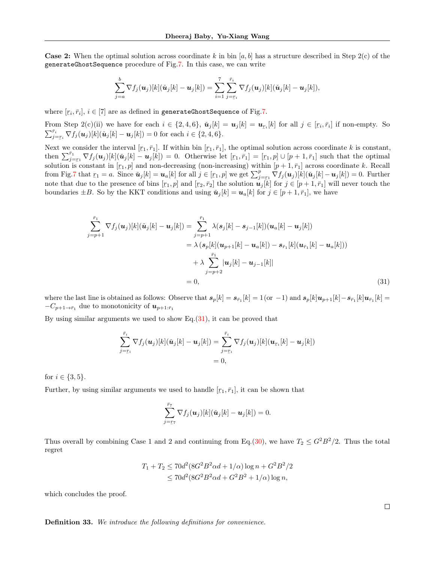**Case 2:** When the optimal solution across coordinate k in bin [a, b] has a structure described in Step 2(c) of the generateGhostSequence procedure of Fig[.7.](#page-28-0) In this case, we can write

$$
\sum_{j=a}^{b} \nabla f_j(\boldsymbol{u}_j)[k](\tilde{\boldsymbol{u}}_j[k] - \boldsymbol{u}_j[k]) = \sum_{i=1}^{7} \sum_{j=r_i}^{\bar{r}_i} \nabla f_j(\boldsymbol{u}_j)[k](\tilde{\boldsymbol{u}}_j[k] - \boldsymbol{u}_j[k]),
$$

where  $[r_i, \bar{r}_i], i \in [7]$  are as defined in generateGhostSequence of Fig[.7.](#page-28-0)

From Step 2(c)(ii) we have for each  $i \in \{2, 4, 6\}$ ,  $\check{u}_j[k] = u_j[k] = u_{\underline{r}_i}[k]$  for all  $j \in [\underline{r}_i, \overline{r}_i]$  if non-empty. So  $\sum_{i=1}^{\overline{r}_i} \sum_{i=1}^{\infty} f_i(\underline{r}_i) [L] \in [L]$  $\sum_{j=r_i}^{\bar{r}_i} \nabla f_j(\boldsymbol{u}_j)[k](\tilde{\boldsymbol{u}}_j[k] - \boldsymbol{u}_j[k]) = 0$  for each  $i \in \{2, 4, 6\}.$ 

Next we consider the interval  $[r_1, \bar{r}_1]$ . If within bin  $[r_1, \bar{r}_1]$ , the optimal solution across coordinate k is constant, then  $\sum_{j=\underline{r_1}}^{\underline{r_1}} \nabla f_j(\underline{u}_j)[k](\underline{\tilde{u}}_j[k] - \underline{u}_j[k]) = 0$ . Otherwise let  $[\underline{r_1}, \overline{r_1}] = [\underline{r_1}, \underline{p}] \cup [\underline{p+1}, \overline{r_1}]$  such that the optimal solution is constant in  $[r_1, p]$  and non-decreasing (non-increasing) within  $[p + 1, \overline{r_1}]$  across coordinate k. Recall from Fig[.7](#page-28-0) that  $r_1 = a$ . Since  $\tilde{u}_j[k] = u_a[k]$  for all  $j \in [r_1, p]$  we get  $\sum_{j=r_1}^p \nabla f_j(u_j)[k](\tilde{u}_j[k] - u_j[k]) = 0$ . Further The matrix of the presence of bins  $[r_1, p]$  and  $[r_2, \overline{r}_2]$  the solution  $u_j[k]$  for  $j \in [p+1, \overline{r}_1]$  will never touch the boundaries  $\pm B$ . So by the KKT conditions and using  $\tilde{u}_j[k] = u_a[k]$  for  $j \in [p+1, \bar{r}_1]$ , we have

$$
\sum_{j=p+1}^{\bar{r}_1} \nabla f_j(\boldsymbol{u}_j)[k](\check{\boldsymbol{u}}_j[k] - \boldsymbol{u}_j[k]) = \sum_{j=p+1}^{\bar{r}_1} \lambda(s_j[k] - s_{j-1}[k])(\boldsymbol{u}_a[k] - \boldsymbol{u}_j[k])
$$
  
\n
$$
= \lambda(s_p[k](\boldsymbol{u}_{p+1}[k] - \boldsymbol{u}_a[k]) - s_{\bar{r}_1}[k](\boldsymbol{u}_{\bar{r}_1}[k] - \boldsymbol{u}_a[k]))
$$
  
\n
$$
+ \lambda \sum_{j=p+2}^{\bar{r}_1} |\boldsymbol{u}_j[k] - \boldsymbol{u}_{j-1}[k]|
$$
  
\n
$$
= 0,
$$
\n(31)

where the last line is obtained as follows: Observe that  $s_p[k] = s_{\bar{r}_1}[k] = 1$  (or  $-1$ ) and  $s_p[k]u_{p+1}[k] - s_{\bar{r}_1}[k]u_{\bar{r}_1}[k] =$  $-C_{p+1\to \bar{r}_1}$  due to monotonicity of  $u_{p+1:\bar{r}_1}$ 

By using similar arguments we used to show  $Eq.(31)$  $Eq.(31)$ , it can be proved that

$$
\sum_{j=r_i}^{\bar{r}_i} \nabla f_j(\boldsymbol{u}_j)[k](\check{\boldsymbol{u}}_j[k]-\boldsymbol{u}_j[k]) = \sum_{j=r_i}^{\bar{r}_i} \nabla f_j(\boldsymbol{u}_j)[k](\boldsymbol{u}_{r_i}[k]-\boldsymbol{u}_j[k])
$$
  
= 0,

for  $i \in \{3, 5\}.$ 

Further, by using similar arguments we used to handle  $[r_1, \bar{r}_1]$ , it can be shown that

$$
\sum_{j=\tau_7}^{\bar{\tau}_7} \nabla f_j(\boldsymbol{u}_j)[k](\check{\boldsymbol{u}}_j[k]-\boldsymbol{u}_j[k])=0.
$$

Thus overall by combining Case 1 and 2 and continuing from Eq.[\(30\)](#page-29-1), we have  $T_2 \n\leq G^2B^2/2$ . Thus the total regret

$$
T_1 + T_2 \le 70d^2(8G^2B^2\alpha d + 1/\alpha)\log n + G^2B^2/2
$$
  
 
$$
\le 70d^2(8G^2B^2\alpha d + G^2B^2 + 1/\alpha)\log n,
$$

which concludes the proof.

<span id="page-30-0"></span>Definition 33. We introduce the following definitions for convenience.

<span id="page-30-1"></span> $\Box$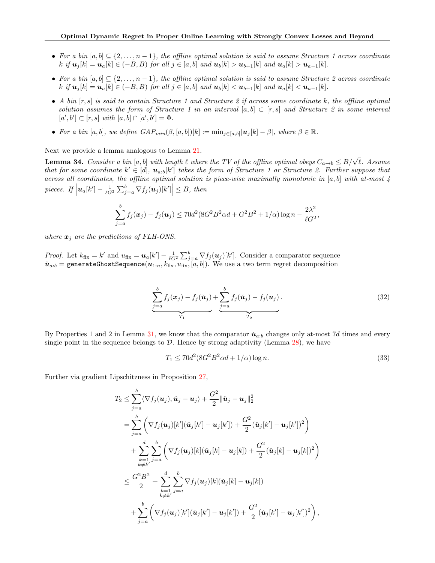- For a bin  $[a, b] \subseteq \{2, \ldots, n-1\}$ , the offline optimal solution is said to assume Structure 1 across coordinate k if  $u_i[k] = u_a[k] \in (-B, B)$  for all  $j \in [a, b]$  and  $u_b[k] > u_{b+1}[k]$  and  $u_a[k] > u_{a-1}[k]$ .
- For a bin  $[a, b] \subseteq \{2, \ldots, n-1\}$ , the offline optimal solution is said to assume Structure 2 across coordinate k if  $u_i[k] = u_a[k] \in (-B, B)$  for all  $j \in [a, b]$  and  $u_b[k] < u_{b+1}[k]$  and  $u_a[k] < u_{a-1}[k]$ .
- A bin  $[r, s]$  is said to contain Structure 1 and Structure 2 if across some coordinate k, the offline optimal solution assumes the form of Structure 1 in an interval  $[a, b] \subset [r, s]$  and Structure 2 in some interval  $[a', b'] \subset [r, s]$  with  $[a, b] \cap [a', b'] = \Phi$ .
- For a bin  $[a, b]$ , we define  $GAP_{min}(\beta, [a, b])[k] := \min_{j \in [a, b]} |u_j[k] \beta|$ , where  $\beta \in \mathbb{R}$ .

Next we provide a lemma analogous to Lemma [21.](#page-18-2)

<span id="page-31-1"></span>**Lemma 34.** Consider a bin  $[a, b]$  with length  $\ell$  where the TV of the offline optimal obeys  $C_{a\to b} \leq B/\sqrt{\ell}$ . Assume that for some coordinate  $k' \in [d]$ ,  $u_{a:b}[k']$  takes the form of Structure 1 or Structure 2. Further suppose that across all coordinates, the offline optimal solution is piece-wise maximally monotonic in [a, b] with at-most 4 pieces. If  $|\boldsymbol{u}_a[k'] - \frac{1}{\ell G^2} \sum_{j=a}^b \nabla f_j(\boldsymbol{u}_j)[k'] \leq B$ , then

$$
\sum_{j=a}^{b} f_j(\boldsymbol{x}_j) - f_j(\boldsymbol{u}_j) \le 70d^2(8G^2B^2\alpha d + G^2B^2 + 1/\alpha)\log n - \frac{2\lambda^2}{\ell G^2},
$$

where  $x_i$  are the predictions of FLH-ONS.

*Proof.* Let  $k_{fix} = k'$  and  $u_{fix} = \boldsymbol{u}_a[k'] - \frac{1}{\ell G^2} \sum_{j=a}^b \nabla f_j(\boldsymbol{u}_j)[k']$ . Consider a comparator sequence  $\check{\bm{u}}_{a:b} = \texttt{generateGhostSequence}(\bm{u}_{1:n},k_{\text{fix}},u_{\text{fix}},[a,b]).$  We use a two term regret decomposition

$$
\underbrace{\sum_{j=a}^{b} f_j(\boldsymbol{x}_j) - f_j(\boldsymbol{\check{u}}_j)}_{T_1} + \underbrace{\sum_{j=a}^{b} f_j(\boldsymbol{\check{u}}_j) - f_j(\boldsymbol{u}_j)}_{T_2}.
$$
\n(32)

By Properties 1 and 2 in Lemma [31,](#page-27-0) we know that the comparator  $\check{u}_{a:b}$  changes only at-most 7d times and every single point in the sequence belongs to  $\mathcal D$ . Hence by strong adaptivity (Lemma [28\)](#page-26-3), we have

<span id="page-31-2"></span><span id="page-31-0"></span>
$$
T_1 \le 70d^2(8G^2B^2\alpha d + 1/\alpha)\log n. \tag{33}
$$

Further via gradient Lipschitzness in Proposition [27,](#page-26-2)

$$
T_2 \leq \sum_{j=a}^{b} \langle \nabla f_j(\boldsymbol{u}_j), \check{\boldsymbol{u}}_j - \boldsymbol{u}_j \rangle + \frac{G^2}{2} ||\check{\boldsymbol{u}}_j - \boldsymbol{u}_j||_2^2
$$
  
\n
$$
= \sum_{j=a}^{b} \left( \nabla f_j(\boldsymbol{u}_j)[k'](\check{\boldsymbol{u}}_j[k'] - \boldsymbol{u}_j[k']) + \frac{G^2}{2} (\check{\boldsymbol{u}}_j[k'] - \boldsymbol{u}_j[k'])^2 \right)
$$
  
\n
$$
+ \sum_{\substack{k=1 \\ k \neq k'}}^{d} \sum_{j=a}^{b} \left( \nabla f_j(\boldsymbol{u}_j)[k](\check{\boldsymbol{u}}_j[k] - \boldsymbol{u}_j[k]) + \frac{G^2}{2} (\check{\boldsymbol{u}}_j[k] - \boldsymbol{u}_j[k])^2 \right)
$$
  
\n
$$
\leq \frac{G^2 B^2}{2} + \sum_{\substack{k=1 \\ k \neq k'}}^{d} \sum_{j=a}^{b} \nabla f_j(\boldsymbol{u}_j)[k](\check{\boldsymbol{u}}_j[k] - \boldsymbol{u}_j[k])
$$
  
\n
$$
+ \sum_{j=a}^{b} \left( \nabla f_j(\boldsymbol{u}_j)[k'](\check{\boldsymbol{u}}_j[k'] - \boldsymbol{u}_j[k']) + \frac{G^2}{2} (\check{\boldsymbol{u}}_j[k'] - \boldsymbol{u}_j[k'])^2 \right),
$$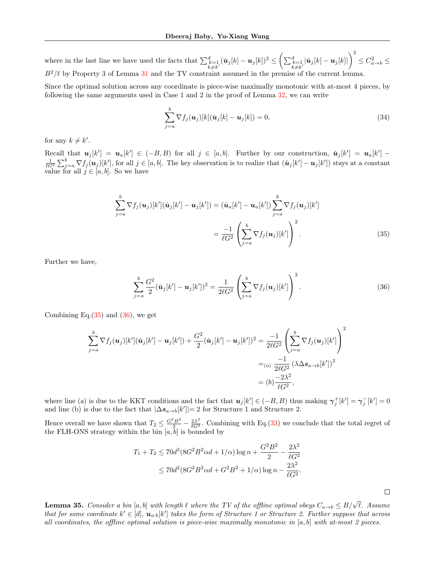where in the last line we have used the facts that  $\sum_{\substack{k=1 \ k \neq k'}}^d (\check{u}_j[k] - u_j[k])^2 \leq \left( \sum_{\substack{k=1 \ k \neq k'}}^d |\check{u}_j[k] - u_j[k]| \right)$  $\setminus^2$  $\leq C_{a\rightarrow b}^2 \leq$  $B^2/\ell$  by Property 3 of Lemma [31](#page-27-0) and the TV constraint assumed in the premise of the current lemma.

Since the optimal solution across any coordinate is piece-wise maximally monotonic with at-most 4 pieces, by following the same arguments used in Case 1 and 2 in the proof of Lemma [32,](#page-29-0) we can write

<span id="page-32-2"></span><span id="page-32-0"></span>
$$
\sum_{j=a}^{b} \nabla f_j(\boldsymbol{u}_j)[k](\check{\boldsymbol{u}}_j[k] - \boldsymbol{u}_j[k]) = 0,
$$
\n(34)

for any  $k \neq k'$ .

Recall that  $u_j[k'] = u_a[k'] \in (-B, B)$  for all  $j \in [a, b]$ . Further by our construction,  $\check{u}_j[k'] = u_a[k'] \frac{1}{\ell G^2} \sum_{j=a}^b \nabla f_j(\boldsymbol{u}_j)[k'],$  for all  $j \in [a, b]$ . The key observation is to realize that  $(\tilde{\boldsymbol{u}}_j[k'] - \boldsymbol{u}_j[k'])$  stays at a constant value for all  $j \in [a, b]$ . So we have

$$
\sum_{j=a}^{b} \nabla f_j(\boldsymbol{u}_j)[k'](\tilde{\boldsymbol{u}}_j[k'] - \boldsymbol{u}_j[k']) = (\tilde{\boldsymbol{u}}_a[k'] - \boldsymbol{u}_a[k']) \sum_{j=a}^{b} \nabla f_j(\boldsymbol{u}_j)[k']
$$

$$
= \frac{-1}{\ell G^2} \left( \sum_{j=a}^{b} \nabla f_j(\boldsymbol{u}_j)[k'] \right)^2.
$$
(35)

Further we have,

$$
\sum_{j=a}^{b} \frac{G^2}{2} (\check{u}_j[k'] - u_j[k'])^2 = \frac{1}{2\ell G^2} \left( \sum_{j=a}^{b} \nabla f_j(u_j)[k'] \right)^2.
$$
 (36)

<span id="page-32-1"></span> $\Box$ 

Combining Eq. $(35)$  and  $(36)$ , we get

$$
\sum_{j=a}^{b} \nabla f_j(\boldsymbol{u}_j)[k'](\check{\boldsymbol{u}}_j[k'] - \boldsymbol{u}_j[k']) + \frac{G^2}{2}(\check{\boldsymbol{u}}_j[k'] - \boldsymbol{u}_j[k'])^2 = \frac{-1}{2\ell G^2} \left( \sum_{j=a}^{b} \nabla f_j(\boldsymbol{u}_j)[k'] \right)^2
$$
  
=  $(a) \frac{-1}{2\ell G^2} (\lambda \Delta s_{a\to b}[k'])^2$   
=  $(b) \frac{-2\lambda^2}{\ell G^2},$ 

where line (a) is due to the KKT conditions and the fact that  $u_j[k'] \in (-B, B)$  thus making  $\gamma_j^+[k'] = \gamma_j^-[k'] = 0$ and line (b) is due to the fact that  $|\Delta s_{a\rightarrow b}[k']|=2$  for Structure 1 and Structure 2.

Hence overall we have shown that  $T_2 \n\leq \frac{G^2 B^2}{r^2} - \frac{2\lambda^2}{r^2}$ . Combining with Eq.[\(33\)](#page-31-0) we conclude that the total regret of the FLH-ONS strategy within the bin  $[a, b]$  is bounded by

$$
T_1 + T_2 \le 70d^2(8G^2B^2\alpha d + 1/\alpha)\log n + \frac{G^2B^2}{2} - \frac{2\lambda^2}{\ell G^2}
$$
  

$$
\le 70d^2(8G^2B^2\alpha d + G^2B^2 + 1/\alpha)\log n - \frac{2\lambda^2}{\ell G^2}.
$$

<span id="page-32-3"></span>**Lemma 35.** Consider a bin  $[a, b]$  with length  $\ell$  where the TV of the offline optimal obeys  $C_{a\to b} \leq B/\sqrt{\ell}$ . Assume that for some coordinate  $k' \in [d]$ ,  $u_{a:b}[k']$  takes the form of Structure 1 or Structure 2. Further suppose that across all coordinates, the offline optimal solution is piece-wise maximally monotonic in  $[a, b]$  with at-most 2 pieces.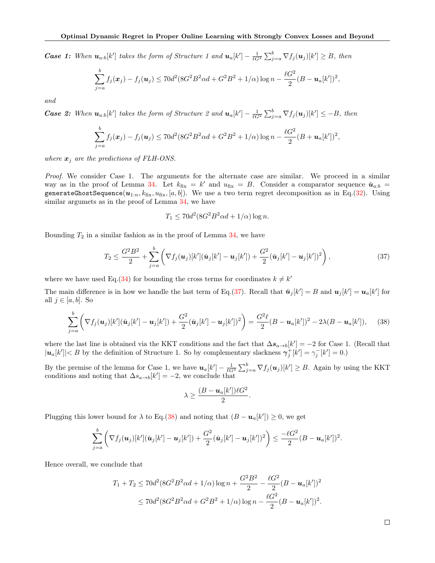**Case 1:** When  $u_{a:b}[k']$  takes the form of Structure 1 and  $u_a[k'] - \frac{1}{\ell G^2} \sum_{j=a}^{b} \nabla f_j(u_j)[k'] \geq B$ , then

$$
\sum_{j=a}^{b} f_j(\boldsymbol{x}_j) - f_j(\boldsymbol{u}_j) \le 70d^2(8G^2B^2\alpha d + G^2B^2 + 1/\alpha)\log n - \frac{\ell G^2}{2}(B - \boldsymbol{u}_a[k'])^2,
$$

and

**Case 2:** When  $u_{a:b}[k']$  takes the form of Structure 2 and  $u_a[k'] - \frac{1}{\ell G^2} \sum_{j=a}^{b} \nabla f_j(u_j)[k'] \leq -B$ , then

$$
\sum_{j=a}^{b} f_j(\boldsymbol{x}_j) - f_j(\boldsymbol{u}_j) \le 70d^2(8G^2B^2\alpha d + G^2B^2 + 1/\alpha)\log n - \frac{\ell G^2}{2}(B + \boldsymbol{u}_a[k'])^2,
$$

where  $x_j$  are the predictions of FLH-ONS.

Proof. We consider Case 1. The arguments for the alternate case are similar. We proceed in a similar way as in the proof of Lemma [34.](#page-31-1) Let  $k_{fix} = k'$  and  $u_{fix} = B$ . Consider a comparator sequence  $\tilde{u}_{a:b} =$ generateGhostSequence $(u_{1:n}, k_{fix}, u_{fix}, [a, b])$ . We use a two term regret decomposition as in Eq.[\(32\)](#page-31-2). Using similar argumets as in the proof of Lemma [34,](#page-31-1) we have

<span id="page-33-0"></span>
$$
T_1 \le 70d^2(8G^2B^2\alpha d + 1/\alpha)\log n.
$$

Bounding  $T_2$  in a similar fashion as in the proof of Lemma [34,](#page-31-1) we have

$$
T_2 \le \frac{G^2 B^2}{2} + \sum_{j=a}^{b} \left( \nabla f_j(\boldsymbol{u}_j) [k'] (\tilde{\boldsymbol{u}}_j [k'] - \boldsymbol{u}_j [k']) + \frac{G^2}{2} (\tilde{\boldsymbol{u}}_j [k'] - \boldsymbol{u}_j [k'])^2 \right), \tag{37}
$$

where we have used Eq.[\(34\)](#page-32-2) for bounding the cross terms for coordinates  $k \neq k'$ 

The main difference is in how we handle the last term of Eq.[\(37\)](#page-33-0). Recall that  $\tilde{\mathbf{u}}_j[k'] = B$  and  $\mathbf{u}_j[k'] = \mathbf{u}_a[k']$  for all  $j \in [a, b]$ . So

$$
\sum_{j=a}^{b} \left( \nabla f_j(\boldsymbol{u}_j)[k'] (\tilde{\boldsymbol{u}}_j[k'] - \boldsymbol{u}_j[k']) + \frac{G^2}{2} (\tilde{\boldsymbol{u}}_j[k'] - \boldsymbol{u}_j[k'])^2 \right) = \frac{G^2 \ell}{2} (B - \boldsymbol{u}_a[k'])^2 - 2\lambda (B - \boldsymbol{u}_a[k'])
$$
\n(38)

where the last line is obtained via the KKT conditions and the fact that  $\Delta s_{a\rightarrow b}[k'] = -2$  for Case 1. (Recall that  $|\mathbf{u}_a[k']| < B$  by the definition of Structure 1. So by complementary slackness  $\gamma_j^+ [k'] = \gamma_j^- [k'] = 0$ .)

By the premise of the lemma for Case 1, we have  $u_a[k'] - \frac{1}{\ell G^2} \sum_{j=a}^b \nabla f_j(u_j)[k'] \geq B$ . Again by using the KKT conditions and noting that  $\Delta s_{a\rightarrow b}[k'] = -2$ , we conclude that

$$
\lambda \geq \frac{(B - u_a[k'])\ell G^2}{2}.
$$

Plugging this lower bound for  $\lambda$  to Eq.[\(38\)](#page-33-1) and noting that  $(B - u_a[k']) \geq 0$ , we get

$$
\sum_{j=a}^{b} \left( \nabla f_j(\boldsymbol{u}_j)[k'](\check{\boldsymbol{u}}_j[k'] - \boldsymbol{u}_j[k']) + \frac{G^2}{2} (\check{\boldsymbol{u}}_j[k'] - \boldsymbol{u}_j[k'])^2 \right) \leq \frac{-\ell G^2}{2} (B - \boldsymbol{u}_a[k'])^2.
$$

Hence overall, we conclude that

$$
T_1 + T_2 \le 70d^2(8G^2B^2\alpha d + 1/\alpha)\log n + \frac{G^2B^2}{2} - \frac{\ell G^2}{2}(B - \mathbf{u}_a[k'])^2
$$
  

$$
\le 70d^2(8G^2B^2\alpha d + G^2B^2 + 1/\alpha)\log n - \frac{\ell G^2}{2}(B - \mathbf{u}_a[k'])^2.
$$

<span id="page-33-1"></span> $\Box$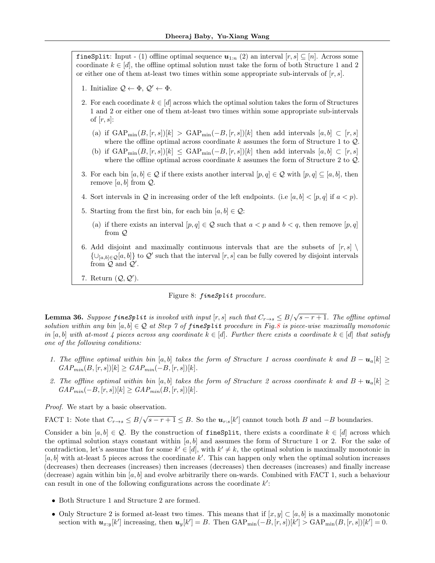<span id="page-34-0"></span>**fineSplit:** Input - (1) offline optimal sequence  $u_{1:n}$  (2) an interval  $[r, s] \subseteq [n]$ . Across some coordinate  $k \in [d]$ , the offline optimal solution must take the form of both Structure 1 and 2 or either one of them at-least two times within some appropriate sub-intervals of  $[r, s]$ .

- 1. Initialize  $\mathcal{Q} \leftarrow \Phi$ ,  $\mathcal{Q}' \leftarrow \Phi$ .
- 2. For each coordinate  $k \in [d]$  across which the optimal solution takes the form of Structures 1 and 2 or either one of them at-least two times within some appropriate sub-intervals of  $[r, s]$ :
	- (a) if  $\text{GAP}_{\text{min}}(B, [r, s])[k] > \text{GAP}_{\text{min}}(-B, [r, s])[k]$  then add intervals  $[a, b] \subset [r, s]$ where the offline optimal across coordinate  $k$  assumes the form of Structure 1 to  $\mathcal{Q}$ .
	- (b) if  $\text{GAP}_{\text{min}}(B, [r, s])[k] \leq \text{GAP}_{\text{min}}(-B, [r, s])[k]$  then add intervals  $[a, b] \subset [r, s]$ where the offline optimal across coordinate  $k$  assumes the form of Structure 2 to  $\mathcal{Q}$ .
- 3. For each bin  $[a, b] \in \mathcal{Q}$  if there exists another interval  $[p, q] \in \mathcal{Q}$  with  $[p, q] \subseteq [a, b]$ , then remove  $[a, b]$  from  $\mathcal{Q}$ .
- 4. Sort intervals in Q in increasing order of the left endpoints. (i.e [a, b]  $\lt [p, q]$  if  $a \lt p$ ).
- 5. Starting from the first bin, for each bin  $[a, b] \in \mathcal{Q}$ :
	- (a) if there exists an interval  $[p, q] \in \mathcal{Q}$  such that  $a < p$  and  $b < q$ , then remove  $[p, q]$ from Q
- 6. Add disjoint and maximally continuous intervals that are the subsets of  $[r, s] \setminus$  $\{\cup_{[a,b]\in\mathcal{Q}}[a,b]\}$  to  $\mathcal{Q}'$  such that the interval  $[r,s]$  can be fully covered by disjoint intervals from  $\mathcal{Q}$  and  $\mathcal{Q}'$ .
- 7. Return  $(Q, Q')$ .



<span id="page-34-1"></span>**Lemma 36.** Suppose finesplit is invoked with input  $[r, s]$  such that  $C_{r\to s} \leq B/\sqrt{s-r+1}$ . The offline optimal solution within any bin  $[a, b] \in \mathcal{Q}$  at Step 7 of fineSplit procedure in Fig[.8](#page-34-0) is piece-wise maximally monotonic in [a, b] with at-most 4 pieces across any coordinate  $k \in [d]$ . Further there exists a coordinate  $k \in [d]$  that satisfy one of the following conditions:

- 1. The offline optimal within bin [a, b] takes the form of Structure 1 across coordinate k and  $B u_a[k] \geq$  $GAP_{min}(B, [r, s])[k] \geq \frac{GAP_{min}(-B, [r, s])[k]}{SAP_{min}(-B, [r, s])}[k]$ .
- 2. The offline optimal within bin [a, b] takes the form of Structure 2 across coordinate k and  $B + u_a[k] \geq$  $GAP_{min}(-B, [r, s])[k] \geq GAP_{min}(B, [r, s])[k].$

Proof. We start by a basic observation.

FACT 1: Note that  $C_{r\to s} \leq B/\sqrt{s-r+1} \leq B$ . So the  $u_{r:s}[k']$  cannot touch both B and  $-B$  boundaries.

Consider a bin  $[a, b] \in \mathcal{Q}$ . By the construction of finesplit, there exists a coordinate  $k \in [d]$  across which the optimal solution stays constant within  $[a, b]$  and assumes the form of Structure 1 or 2. For the sake of contradiction, let's assume that for some  $k' \in [d]$ , with  $k' \neq k$ , the optimal solution is maximally monotonic in  $[a, b]$  with at-least 5 pieces across the coordinate k'. This can happen only when the optimal solution increases (decreases) then decreases (increases) then increases (decreases) then decreases (increases) and finally increase (decrease) again within bin [a, b] and evolve arbitrarily there on-wards. Combined with FACT 1, such a behaviour can result in one of the following configurations across the coordinate  $k'$ :

- Both Structure 1 and Structure 2 are formed.
- Only Structure 2 is formed at-least two times. This means that if  $[x, y] \subset [a, b]$  is a maximally monotonic section with  $u_{x:y}[k']$  increasing, then  $u_y[k'] = B$ . Then  $\text{GAP}_{\text{min}}(-B, [r, s])[k'] > \text{GAP}_{\text{min}}(B, [r, s])[k'] = 0$ .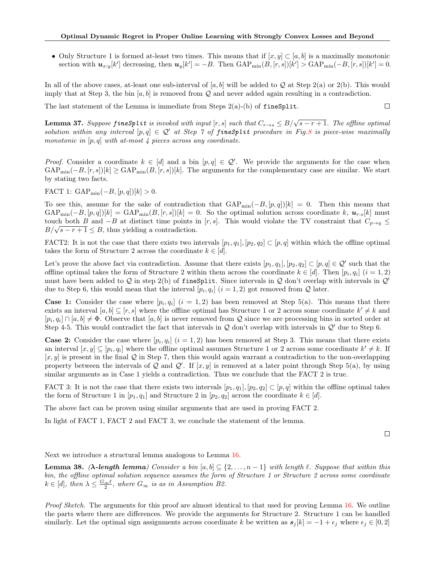• Only Structure 1 is formed at-least two times. This means that if  $[x, y] \subset [a, b]$  is a maximally monotonic section with  $u_{x:y}[k']$  decreasing, then  $u_y[k'] = -B$ . Then  $\text{GAP}_{\text{min}}(B, [r, s])[k'] > \text{GAP}_{\text{min}}(-B, [r, s])[k'] = 0$ .

In all of the above cases, at-least one sub-interval of  $[a, b]$  will be added to Q at Step 2(a) or 2(b). This would imply that at Step 3, the bin  $[a, b]$  is removed from Q and never added again resulting in a contradiction.

The last statement of the Lemma is immediate from Steps  $2(a)$ -(b) of fineSplit.

<span id="page-35-0"></span>**Lemma 37.** Suppose finesplit is invoked with input  $[r, s]$  such that  $C_{r\to s} \leq B/\sqrt{s-r+1}$ . The offline optimal solution within any interval  $[p,q] \in \mathcal{Q}'$  at Step 7 of finesplit procedure in Fig[.8](#page-34-0) is piece-wise maximally monotonic in  $[p, q]$  with at-most 4 pieces across any coordinate.

*Proof.* Consider a coordinate  $k \in [d]$  and a bin  $[p,q] \in \mathcal{Q}'$ . We provide the arguments for the case when  $GAP_{\text{min}}(-B, [r, s])[k] \geq GAP_{\text{min}}(B, [r, s])[k].$  The arguments for the complementary case are similar. We start by stating two facts.

FACT 1: GAP<sub>min</sub> $(-B, [p, q])[k] > 0$ .

To see this, assume for the sake of contradiction that  $GAP_{\text{min}}(-B, [p,q])[k] = 0$ . Then this means that  $GAP_{min}(-B, [p,q])[k] = GAP_{min}(B, [r, s])[k] = 0$ . So the optimal solution across coordinate k,  $u_{r:s}[k]$  must touch both B and  $-B$  at distinct time points in [r, s]. This would violate the TV constraint that  $C_{p\to q} \leq$  $B/\sqrt{s-r+1} \leq B$ , thus yielding a contradiction.

FACT2: It is not the case that there exists two intervals  $[p_1, q_1], [p_2, q_2] \subset [p, q]$  within which the offline optimal takes the form of Structure 2 across the coordinate  $k \in [d]$ .

Let's prove the above fact via contradiction. Assume that there exists  $[p_1, q_1], [p_2, q_2] \subset [p, q] \in \mathcal{Q}'$  such that the offline optimal takes the form of Structure 2 within them across the coordinate  $k \in [d]$ . Then  $[p_i, q_i]$   $(i = 1, 2)$ must have been added to Q in step 2(b) of finesplit. Since intervals in Q don't overlap with intervals in  $\mathcal{Q}'$ due to Step 6, this would mean that the interval  $[p_i, q_i]$   $(i = 1, 2)$  got removed from Q later.

**Case 1:** Consider the case where  $[p_i, q_i]$   $(i = 1, 2)$  has been removed at Step 5(a). This means that there exists an interval  $[a, b] \subseteq [r, s]$  where the offline optimal has Structure 1 or 2 across some coordinate  $k' \neq k$  and  $[p_i, q_i] \cap [a, b] \neq \Phi$ . Observe that  $[a, b]$  is never removed from Q since we are processing bins in sorted order at Step 4-5. This would contradict the fact that intervals in  $\mathcal Q$  don't overlap with intervals in  $\mathcal Q'$  due to Step 6.

**Case 2:** Consider the case where  $[p_i, q_i]$   $(i = 1, 2)$  has been removed at Step 3. This means that there exists an interval  $[x, y] \subseteq [p_i, q_i]$  where the offline optimal assumes Structure 1 or 2 across some coordinate  $k' \neq k$ . If  $[x, y]$  is present in the final Q in Step 7, then this would again warrant a contradiction to the non-overlapping property between the intervals of Q and Q'. If  $[x, y]$  is removed at a later point through Step 5(a), by using similar arguments as in Case 1 yields a contradiction. Thus we conclude that the FACT 2 is true.

FACT 3: It is not the case that there exists two intervals  $[p_1, q_1], [p_2, q_2] \subset [p, q]$  within the offline optimal takes the form of Structure 1 in  $[p_1, q_1]$  and Structure 2 in  $[p_2, q_2]$  across the coordinate  $k \in [d]$ .

The above fact can be proven using similar arguments that are used in proving FACT 2.

In light of FACT 1, FACT 2 and FACT 3, we conclude the statement of the lemma.

 $\Box$ 

 $\Box$ 

Next we introduce a structural lemma analogous to Lemma [16.](#page-14-0)

<span id="page-35-1"></span>**Lemma 38.** ( $\lambda$ -length lemma) Consider a bin [a, b]  $\subseteq \{2, ..., n-1\}$  with length  $\ell$ . Suppose that within this bin, the offline optimal solution sequence assumes the form of Structure 1 or Structure 2 across some coordinate  $k \in [d]$ , then  $\lambda \leq \frac{G_{\infty} \ell}{2}$ , where  $G_{\infty}$  is as in Assumption B2.

Proof Sketch. The arguments for this proof are almost identical to that used for proving Lemma [16.](#page-14-0) We outline the parts where there are differences. We provide the arguments for Structure 2. Structure 1 can be handled similarly. Let the optimal sign assignments across coordinate k be written as  $s_j[k] = -1 + \epsilon_j$  where  $\epsilon_j \in [0,2]$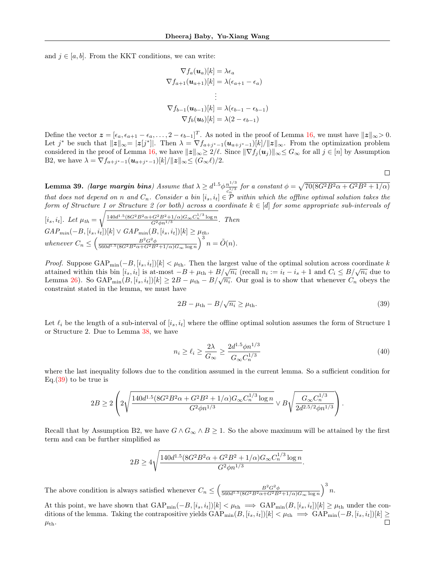and  $j \in [a, b]$ . From the KKT conditions, we can write:

$$
\nabla f_a(\mathbf{u}_a)[k] = \lambda \epsilon_a
$$
  
\n
$$
\nabla f_{a+1}(\mathbf{u}_{a+1})[k] = \lambda(\epsilon_{a+1} - \epsilon_a)
$$
  
\n
$$
\vdots
$$
  
\n
$$
\nabla f_{b-1}(\mathbf{u}_{b-1})[k] = \lambda(\epsilon_{b-1} - \epsilon_{b-1})
$$
  
\n
$$
\nabla f_b(\mathbf{u}_b)[k] = \lambda(2 - \epsilon_{b-1})
$$

Define the vector  $\boldsymbol{z} = [\epsilon_a, \epsilon_{a+1} - \epsilon_a, \dots, 2 - \epsilon_{b-1}]^T$ . As noted in the proof of Lemma [16,](#page-14-0) we must have  $||\boldsymbol{z}||_{\infty} > 0$ . Let  $j^*$  be such that  $||z||_{\infty} = |z[j^*]|$ . Then  $\lambda = \nabla f_{a+j^*-1}(\boldsymbol{u}_{a+j^*-1})[k]/||z||_{\infty}$ . From the optimization problem considered in the proof of Lemma [16,](#page-14-0) we have  $||z||_{\infty} \geq 2/\ell$ . Since  $||\nabla f_j(u_j)||_{\infty} \leq G_{\infty}$  for all  $j \in [n]$  by Assumption B2, we have  $\lambda = \nabla f_{a+j^*-1}(\bm{u}_{a+j^*-1})[k]/\|\bm{z}\|_{\infty} \leq (G_{\infty}\ell)/2$ .

<span id="page-36-1"></span>**Lemma 39.** (large margin bins) Assume that  $\lambda \geq d^{1.5} \phi \frac{n^{1/3}}{c_{\rm s}^{1/3}}$  $\frac{n^{1/3}}{c_n^{1/3}}$  for a constant  $\phi = \sqrt{70(8G^2B^2\alpha + G^2B^2 + 1/\alpha)}$ that does not depend on n and  $C_n$ . Consider a bin  $[i_s, i_t] \in \mathcal{P}$  within which the offline optimal solution takes the form of Structure 1 or Structure 2 (or both) across a coordinate  $k \in [d]$  for some appropriate sub-intervals of

$$
[i_s, i_t]. \text{ Let } \mu_{th} = \sqrt{\frac{140d^{1.5}(8G^2B^2\alpha + G^2B^2 + 1/\alpha)G_{\infty}C_n^{1/3}\log n}{G^2\phi n^{1/3}}}. \text{ Then}
$$
  

$$
GAP_{min}(-B, [i_s, i_t])[k] \vee GAP_{min}(B, [i_s, i_t])[k] \ge \mu_{th},
$$
  

$$
whenever C_n \le \left(\frac{B^2G^2\phi}{560d^{1.5}(8G^2B^2\alpha + G^2B^2 + 1/\alpha)G_{\infty}\log n}\right)^3 n = \tilde{O}(n).
$$

*Proof.* Suppose  $\text{GAP}_{\text{min}}(-B, [i_s, i_t])[k] < \mu_{\text{th}}$ . Then the largest value of the optimal solution across coordinate k attained within this bin  $[i_s, i_t]$  is at-most  $-B + \mu_{th} + B/\sqrt{n_i}$  (recall  $n_i := i_t - i_s + 1$  and  $C_i \leq B/\sqrt{n_i}$  due to Lemma [26\)](#page-26-0). So  $\text{GAP}_{\text{min}}(B, [i_s, i_t])[k] \geq 2B - \mu_{\text{th}} - B/\sqrt{n_i}$ . Our goal is to show that whenever  $C_n$  obeys the constraint stated in the lemma, we must have

$$
2B - \mu_{\rm th} - B/\sqrt{n_i} \ge \mu_{\rm th}.\tag{39}
$$

<span id="page-36-2"></span><span id="page-36-0"></span> $\Box$ 

Let  $\ell_i$  be the length of a sub-interval of  $[i_s, i_t]$  where the offline optimal solution assumes the form of Structure 1 or Structure 2. Due to Lemma [38,](#page-35-1) we have

$$
n_i \ge \ell_i \ge \frac{2\lambda}{G_{\infty}} \ge \frac{2d^{1.5}\phi n^{1/3}}{G_{\infty}C_n^{1/3}}\tag{40}
$$

where the last inequality follows due to the condition assumed in the current lemma. So a sufficient condition for Eq. $(39)$  to be true is

$$
2B \ge 2\left(2\sqrt{\frac{140d^{1.5}(8G^2B^2\alpha + G^2B^2 + 1/\alpha)G_{\infty}C_n^{1/3}\log n}{G^2\phi n^{1/3}}}\vee B\sqrt{\frac{G_{\infty}C_n^{1/3}}{2d^{2.5/2}\phi n^{1/3}}}\right).
$$

Recall that by Assumption B2, we have  $G \wedge G_{\infty} \wedge B \geq 1$ . So the above maximum will be attained by the first term and can be further simplified as

$$
2B \ge 4\sqrt{\frac{140d^{1.5}(8G^2B^2\alpha + G^2B^2 + 1/\alpha)G_{\infty}C_n^{1/3}\log n}{G^2\phi n^{1/3}}}.
$$

The above condition is always satisfied whenever  $C_n \leq \left(\frac{B^2G^2 \phi}{560d^{1.5}(8G^2B^2 \alpha + G^2B^2)}\right)$  $rac{B^2G^2\phi}{560d^{1.5}(8G^2B^2\alpha+G^2B^2+1/\alpha)G_{\infty}\log n}\bigg)^3 n.$ 

At this point, we have shown that  $\text{GAP}_{\text{min}}(-B, [i_s, i_t])[k] < \mu_{\text{th}} \implies \text{GAP}_{\text{min}}(B, [i_s, i_t])[k] \geq \mu_{\text{th}}$  under the conditions of the lemma. Taking the contrapositive yields  $\overrightarrow{GAP}_{min}(B, [i_s, i_t])[k] \leq \mu_{th} \implies \overrightarrow{GAP}_{min}(-B, [i_s, i_t])[k] \geq \mu_{th}$  $\mu_{\rm th}$ .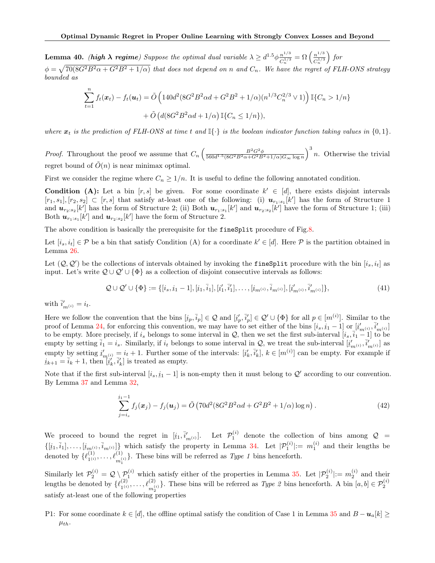<span id="page-37-0"></span>**Lemma 40.** (high  $\lambda$  regime) Suppose the optimal dual variable  $\lambda \geq d^{1.5} \phi \frac{n^{1/3}}{C_n^{1/3}}$  $\frac{n^{1/3}}{C_n^{1/3}} = \Omega\left(\frac{n^{1/3}}{C_n^{1/3}}\right)$  $\phi = \sqrt{70(8G^2B^2\alpha + G^2B^2 + 1/\alpha)}$  that does not depend on n and  $C_n$ . We have the regret of FLH-ONS strategy  $\frac{n^{1/3}}{C_n^{1/3}}\bigg)$  for bounded as

$$
\sum_{t=1}^{n} f_t(\boldsymbol{x}_t) - f_t(\boldsymbol{u}_t) = \tilde{O}\left(140d^2(8G^2B^2\alpha d + G^2B^2 + 1/\alpha)(n^{1/3}C_n^{2/3} \vee 1)\right) \mathbb{I}\{C_n > 1/n\} + \tilde{O}\left(d(8G^2B^2\alpha d + 1/\alpha)\mathbb{I}\{C_n \le 1/n\}\right),
$$

where  $x_t$  is the prediction of FLH-ONS at time t and  $\mathbb{I}\{\cdot\}$  is the boolean indicator function taking values in  $\{0, 1\}$ .

*Proof.* Throughout the proof we assume that  $C_n \left( \frac{B^2 G^2 \phi}{560d^{1.5} (8G^2 B^2 \alpha + G^2 B^2)} \right)$  $rac{B^2G^2\phi}{560d^{1.5}(8G^2B^2\alpha+G^2B^2+1/\alpha)G_{\infty}\log n}$ <sup>3</sup>n. Otherwise the trivial regret bound of  $\tilde{O}(n)$  is near minimax optimal.

First we consider the regime where  $C_n \geq 1/n$ . It is useful to define the following annotated condition.

**Condition** (A): Let a bin  $[r, s]$  be given. For some coordinate  $k' \in [d]$ , there exists disjoint intervals  $[r_1, s_1], [r_2, s_2] \subset [r, s]$  that satisfy at-least one of the following: (i)  $u_{r_1:s_1}[k']$  has the form of Structure 1 and  $u_{r_2:s_2}[k']$  has the form of Structure 2; (ii) Both  $u_{r_1:s_1}[k']$  and  $u_{r_2:s_2}[k']$  have the form of Structure 1; (iii) Both  $u_{r_1:s_1}[k']$  and  $u_{r_2:s_2}[k']$  have the form of Structure 2.

The above condition is basically the prerequisite for the fineSplit procedure of Fig[.8.](#page-34-0)

Let  $[i_s, i_t] \in \mathcal{P}$  be a bin that satisfy Condition (A) for a coordinate  $k' \in [d]$ . Here  $\mathcal{P}$  is the partition obtained in Lemma [26.](#page-26-0)

Let  $(Q, Q')$  be the collections of intervals obtained by invoking the fineSplit procedure with the bin  $[i_s, i_t]$  as input. Let's write  $\mathcal{Q} \cup \mathcal{Q}' \cup \{\Phi\}$  as a collection of disjoint consecutive intervals as follows:

<span id="page-37-1"></span>
$$
Q \cup Q' \cup \{\Phi\} := \{ [i_s, i_1 - 1], [i_1, \bar{i}_1], [i'_1, \bar{i}'_1], \dots, [i_{m^{(i)}}, \bar{i}_{m^{(i)}}], [i'_{m^{(i)}}, \bar{i}'_{m^{(i)}}] \},
$$
\n(41)

with  $\bar{i}'_{m^{(i)}} = i_t$ .

Here we follow the convention that the bins  $[i_p, \bar{i}_p] \in \mathcal{Q}$  and  $[i'_p, \bar{i}'_p] \in \mathcal{Q}' \cup {\Phi}$  for all  $p \in [m^{(i)}]$ . Similar to the proof of Lemma [24,](#page-20-1) for enforcing this convention, we may have to set either of the bins  $[i_s, i_1 - 1]$  or  $[i'_{m(i)}, \overline{i}'_{m(i)}]$ to be empty. More precisely, if  $i_s$  belongs to some interval in Q, then we set the first sub-interval  $[i_s, \overline{i_1} - 1]$  to be empty by setting  $\overline{i}_1 = i_s$ . Similarly, if  $i_t$  belongs to some interval in  $\mathcal{Q}$ , we treat the sub-interval  $[\underline{i}'_{m^{(i)}}, \overline{i}'_{m^{(i)}}]$  as empty by setting  $i'_{m^{(i)}} = i_t + 1$ . Further some of the intervals:  $[i'_k, \bar{i}'_k]$ ,  $k \in [m^{(i)}]$  can be empty. For example if  $i_{m^{(i)}-1} = i_t + 1$  then  $[i'_{m^{(i)}-1}]$  is treated as empty.  $\tilde{\overline{a}}$  $\underline{i}_{k+1} = \overline{i}_k + 1$ , then  $[\underline{i}'_k, \overline{i}'_k]$  is treated as empty.

Note that if the first sub-interval  $[i_s, i_1 - 1]$  is non-empty then it must belong to  $\mathcal{Q}'$  according to our convention.<br>By Lamma 37 and Lamma 39 By Lemma [37](#page-35-0) and Lemma [32,](#page-29-0)

<span id="page-37-2"></span>
$$
\sum_{j=i_s}^{i_1-1} f_j(\boldsymbol{x}_j) - f_j(\boldsymbol{u}_j) = \tilde{O}\left(70d^2(8G^2B^2\alpha d + G^2B^2 + 1/\alpha)\log n\right).
$$
\n(42)

We proceed to bound the regret in  $[i_1, \bar{i}'_{m^{(i)}}]$ . Let  $\mathcal{P}_1^{(i)}$  denote the collection of bins among  $\mathcal{Q}$  = ے۔<br>ا  $\{[\underline{i}_1,\overline{i}_1],\ldots,[\underline{i}_{m(i)},\overline{i}_{m(i)}]\}$  which satisfy the property in Lemma [34.](#page-31-1) Let  $|\mathcal{P}_1^{(i)}|:= m_1^{(i)}$  and their lengths be denoted by  $\{\ell_{1(i)}^{(1)}\}$  $\{1 \choose 1 \{i\}}, \ldots, \ell^{(1)} \choose m_1^{(i)}\}.$  These bins will be referred as *Type 1* bins henceforth. 1

Similarly let  $\mathcal{P}_2^{(i)} = \mathcal{Q} \setminus \mathcal{P}_1^{(i)}$  which satisfy either of the properties in Lemma [35.](#page-32-3) Let  $|\mathcal{P}_2^{(i)}| := m_2^{(i)}$  and their lengths be denoted by  $\{\ell_{1^{(i)}}^{(2)}\}$  $\{\ell_{1}^{(2)},\ldots,\ell_{m_2^{(i)}}^{(2)}\}$ . These bins will be referred as *Type 2* bins henceforth. A bin  $[a,b] \in \mathcal{P}_2^{(i)}$ satisfy at-least one of the following properties

P1: For some coordinate  $k \in [d]$ , the offline optimal satisfy the condition of Case 1 in Lemma [35](#page-32-3) and  $B - u_a[k] \ge$  $\mu_{th}$ .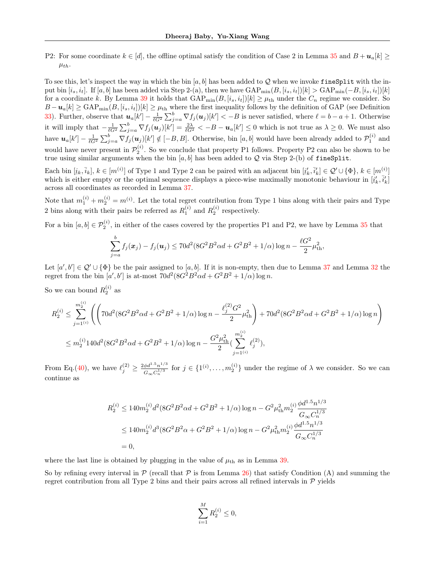P2: For some coordinate  $k \in [d]$ , the offline optimal satisfy the condition of Case 2 in Lemma [35](#page-32-3) and  $B + u_a[k] \geq$  $\mu_{th}$ .

To see this, let's inspect the way in which the bin [a, b] has been added to Q when we invoke fineSplit with the input bin  $[i_s, i_t]$ . If  $[a, b]$  has been added via Step 2-(a), then we have  $\text{GAP}_{\text{min}}(B, [i_s, i_t])[k] > \text{GAP}_{\text{min}}(-B, [i_s, i_t])[k]$ for a coordinate k. By Lemma [39](#page-36-1) it holds that  $\text{GAP}_{\text{min}}(B, [i_s, i_t])[k] \geq \mu_{\text{th}}$  under the  $C_n$  regime we consider. So  $B - u_a[k] \geq \text{GAP}_{\text{min}}(B,[i_s,i_t])[k] \geq \mu_{\text{th}}$  where the first inequality follows by the definition of GAP (see Definition [33\)](#page-30-0). Further, observe that  $u_a[k'] - \frac{1}{\ell G^2} \sum_{j=a}^b \nabla f_j(u_j)[k'] < -B$  is never satisfied, where  $\ell = b - a + 1$ . Otherwise it will imply that  $-\frac{1}{\ell G^2} \sum_{j=a}^b \nabla f_j(\boldsymbol{u}_j)[k'] = \frac{2\lambda}{\ell G^2} < -B - \boldsymbol{u}_a[k'] \leq 0$  which is not true as  $\lambda \geq 0$ . We must also have  $u_a[k'] - \frac{1}{\ell G^2} \sum_{j=a}^b \nabla f_j(u_j)[k'] \notin [-B, B]$ . Otherwise, bin  $[a, b]$  would have been already added to  $\mathcal{P}_1^{(i)}$  and would have never present in  $\mathcal{P}_2^{(i)}$ . So we conclude that property P1 follows. Property P2 can also be shown to be true using similar arguments when the bin  $[a, b]$  has been added to  $Q$  via Step 2-(b) of fineSplit.

Each bin  $[i_k, \bar{i}_k]$ ,  $k \in [m^{(i)}]$  of Type 1 and Type 2 can be paired with an adjacent bin  $[i'_k, \bar{i}'_k] \in \mathcal{Q}' \cup \{\Phi\}$ ,  $k \in [m^{(i)}]$  $\frac{\text{Total on } [\varepsilon_k, \varepsilon_k]}{\varepsilon_k}$ ,  $\frac{\varepsilon_k}{k!}$ ,  $\frac{\varepsilon_k}{k!}$  which is either empty or the optimal sequence displays a piece-wise maximally monotonic behaviour in  $[\underline{i}'_k, \overline{i}'_k]$ across all coordinates as recorded in Lemma [37.](#page-35-0)

Note that  $m_1^{(i)} + m_2^{(i)} = m^{(i)}$ . Let the total regret contribution from Type 1 bins along with their pairs and Type 2 bins along with their pairs be referred as  $R_1^{(i)}$  and  $R_2^{(i)}$  respectively.

For a bin  $[a, b] \in \mathcal{P}_2^{(i)}$ , in either of the cases covered by the properties P1 and P2, we have by Lemma [35](#page-32-3) that

$$
\sum_{j=a}^{b} f_j(\boldsymbol{x}_j) - f_j(\boldsymbol{u}_j) \le 70d^2(8G^2B^2\alpha d + G^2B^2 + 1/\alpha)\log n - \frac{\ell G^2}{2}\mu_{\text{th}}^2,
$$

Let  $[a',b'] \in \mathcal{Q}' \cup \{\Phi\}$  be the pair assigned to  $[a,b]$ . If it is non-empty, then due to Lemma [37](#page-35-0) and Lemma [32](#page-29-0) the regret from the bin  $[a', b']$  is at-most  $70d^2(8G^2B^2\alpha d + G^2B^2 + 1/\alpha) \log n$ .

So we can bound  $R_2^{(i)}$  as

$$
R_2^{(i)} \le \sum_{j=1^{(i)}}^{m_2^{(i)}} \left( \left( 70d^2 (8G^2B^2\alpha d + G^2B^2 + 1/\alpha) \log n - \frac{\ell_j^{(2)}G^2}{2} \mu_{\text{th}}^2 \right) + 70d^2 (8G^2B^2\alpha d + G^2B^2 + 1/\alpha) \log n \right)
$$
  

$$
\le m_2^{(i)} 140d^2 (8G^2B^2\alpha d + G^2B^2 + 1/\alpha) \log n - \frac{G^2\mu_{\text{th}}^2}{2} \left( \sum_{j=1^{(i)}}^{m_2^{(i)}} \ell_j^{(2)} \right),
$$

From Eq.[\(40\)](#page-36-2), we have  $\ell_j^{(2)} \geq \frac{2\phi d^{1.5} n^{1/3}}{G_{\infty} C_n^{1/3}}$  $\frac{\phi d^{1.5} n^{1/3}}{G_{\infty} C_n^{1/3}}$  for  $j \in \{1^{(i)}, \ldots, m_2^{(i)}\}$  under the regime of  $\lambda$  we consider. So we can continue as

$$
R_2^{(i)} \le 140m_2^{(i)}d^2(8G^2B^2\alpha d + G^2B^2 + 1/\alpha)\log n - G^2\mu_{\rm th}^2 m_2^{(i)}\frac{\phi d^{1.5}n^{1/3}}{G_{\infty}C_n^{1/3}}
$$
  
\n
$$
\le 140m_2^{(i)}d^3(8G^2B^2\alpha + G^2B^2 + 1/\alpha)\log n - G^2\mu_{\rm th}^2 m_2^{(i)}\frac{\phi d^{1.5}n^{1/3}}{G_{\infty}C_n^{1/3}}
$$
  
\n= 0,

where the last line is obtained by plugging in the value of  $\mu_{th}$  as in Lemma [39.](#page-36-1)

So by refining every interval in  $\mathcal P$  (recall that  $\mathcal P$  is from Lemma [26\)](#page-26-0) that satisfy Condition (A) and summing the regret contribution from all Type 2 bins and their pairs across all refined intervals in  $\mathcal P$  yields

$$
\sum_{i=1}^{M} R_2^{(i)} \le 0,
$$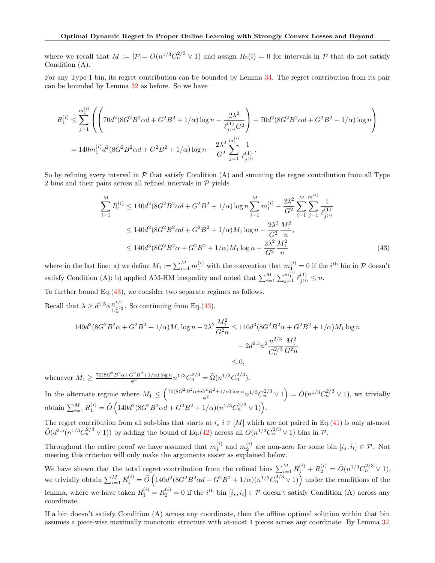where we recall that  $M := |\mathcal{P}| = O(n^{1/3} C_n^{2/3} \vee 1)$  and assign  $R_2(i) = 0$  for intervals in  $\mathcal{P}$  that do not satisfy Condition (A).

For any Type 1 bin, its regret contribution can be bounded by Lemma [34.](#page-31-1) The regret contribution from its pair can be bounded by Lemma [32](#page-29-0) as before. So we have

$$
R_1^{(i)} \le \sum_{j=1}^{m_1^{(i)}} \left( \left( 70d^2 (8G^2 B^2 \alpha d + G^2 B^2 + 1/\alpha) \log n - \frac{2\lambda^2}{\ell_{j^{(i)}}^{(1)} G^2} \right) + 70d^2 (8G^2 B^2 \alpha d + G^2 B^2 + 1/\alpha) \log n \right)
$$
  
=  $140m_1^{(i)} d^2 (8G^2 B^2 \alpha d + G^2 B^2 + 1/\alpha) \log n - \frac{2\lambda^2}{G^2} \sum_{j=1}^{m_1^{(i)}} \frac{1}{\ell_{j^{(i)}}^{(1)}}.$ 

So by refining every interval in  $\mathcal P$  that satisfy Condition (A) and summing the regret contribution from all Type 2 bins and their pairs across all refined intervals in  $P$  yields

<span id="page-39-0"></span>
$$
\sum_{i=1}^{M} R_1^{(i)} \le 140d^2 (8G^2B^2\alpha d + G^2B^2 + 1/\alpha) \log n \sum_{i=1}^{M} m_1^{(i)} - \frac{2\lambda^2}{G^2} \sum_{i=1}^{M} \sum_{j=1}^{m_1^{(i)}} \frac{1}{\ell_{j^{(i)}}^{(1)}}
$$
  
\n
$$
\le 140d^2 (8G^2B^2\alpha d + G^2B^2 + 1/\alpha)M_1 \log n - \frac{2\lambda^2}{G^2} \frac{M_1^2}{n},
$$
  
\n
$$
\le 140d^3 (8G^2B^2\alpha + G^2B^2 + 1/\alpha)M_1 \log n - \frac{2\lambda^2}{G^2} \frac{M_1^2}{n}
$$
 (43)

where in the last line: a) we define  $M_1 := \sum_{i=1}^M m_1^{(i)}$  with the convention that  $m_1^{(i)} = 0$  if the  $i^{\text{th}}$  bin in  $\mathcal P$  doesn't satisfy Condition (A); b) applied AM-HM inequality and noted that  $\sum_{i=1}^{M} \sum_{j=1}^{m_1^{(i)}} \ell_{j^{(i)}}^{(1)}$  $j^{(1)} \n\leq n.$ 

To further bound  $Eq. (43)$  $Eq. (43)$ , we consider two separate regimes as follows. Recall that  $\lambda \geq d^{1.5} \phi \frac{n^{1/3}}{C_2^{1/3}}$  $\frac{n^{1/3}}{C_n^{1/3}}$ . So continuing from Eq.[\(43\)](#page-39-0),

$$
140d^{3}(8G^{2}B^{2}\alpha + G^{2}B^{2} + 1/\alpha)M_{1}\log n - 2\lambda^{2}\frac{M_{1}^{2}}{G^{2}n} \le 140d^{3}(8G^{2}B^{2}\alpha + G^{2}B^{2} + 1/\alpha)M_{1}\log n - 2d^{2.5}\phi^{2}\frac{n^{2/3}}{C_{n}^{2/3}}\frac{M_{1}^{2}}{G^{2}n}
$$
  
  $\le 0,$ 

whenever  $M_1 \ge \frac{70(8G^2B^2\alpha + G^2B^2 + 1/\alpha)\log n}{\phi^2} n^{1/3} C_n^{2/3} = \tilde{\Omega}(n^{1/3}C_n^{2/3}).$ 

In the alternate regime where  $M_1 \leq \left( \frac{70(8G^2B^2\alpha + G^2B^2 + 1/\alpha)\log n}{\phi^2} n^{1/3}C_n^{2/3} \vee 1 \right) = \tilde{O}(n^{1/3}C_n^{2/3} \vee 1)$ , we trivially obtain  $\sum_{i=1}^{M} R_1^{(i)} = \tilde{O}\left(140d^2(8G^2B^2\alpha d + G^2B^2 + 1/\alpha)(n^{1/3}C_n^{2/3} \vee 1)\right)$ .

The regret contribution from all sub-bins that starts at  $i_s$  i ∈ [M] which are not paired in Eq.[\(41\)](#page-37-1) is only at-most  $\tilde{O}(d^{2.5}(n^{1/3}C_n^{2/3} \vee 1))$  by adding the bound of Eq.[\(42\)](#page-37-2) across all  $O(n^{1/3}C_n^{2/3} \vee 1)$  bins in  $\mathcal{P}$ .

Throughout the entire proof we have assumed that  $m_1^{(i)}$  and  $m_2^{(i)}$  are non-zero for some bin  $[i_s, i_t] \in \mathcal{P}$ . Not meeting this criterion will only make the arguments easier as explained below.

We have shown that the total regret contribution from the refined bins  $\sum_{i=1}^{M} R_1^{(i)} + R_2^{(i)} = \tilde{O}(n^{1/3}C_n^{2/3} \vee 1),$ we trivially obtain  $\sum_{i=1}^{M} R_1^{(i)} = \tilde{O}\left(140d^2(8G^2B^2\alpha d + G^2B^2 + 1/\alpha)(n^{1/3}C_n^{2/3} \vee 1)\right)$  under the conditions of the lemma, where we have taken  $R_1^{(i)} = R_2^{(i)} = 0$  if the  $i^{\text{th}}$  bin  $[i_s, i_t] \in \mathcal{P}$  doesn't satisfy Condition (A) across any coordinate.

If a bin doesn't satisfy Condition (A) across any coordinate, then the offline optimal solution within that bin assumes a piece-wise maximally monotonic structure with at-most 4 pieces across any coordinate. By Lemma [32,](#page-29-0)